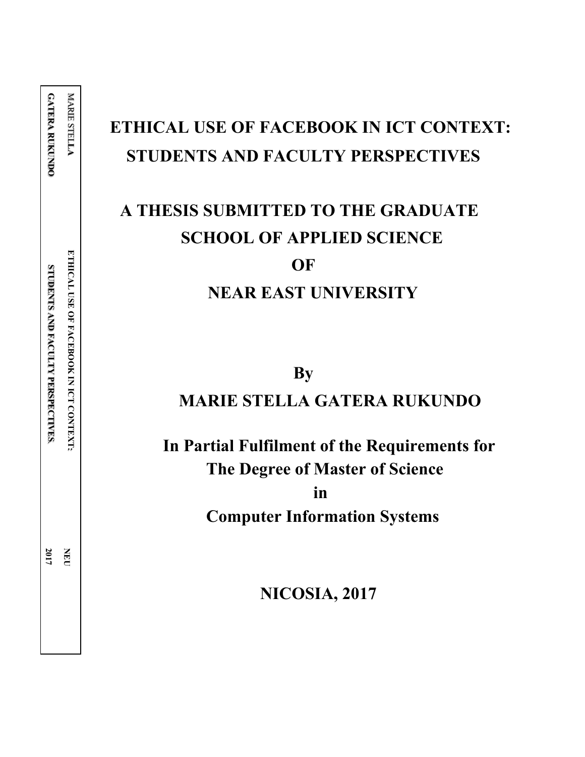**2017 NEU**

# **ETHICAL USE OF FACEBOOK IN ICT CONTEXT: STUDENTS AND FACULTY PERSPECTIVES**

# **A THESIS SUBMITTED TO THE GRADUATE SCHOOL OF APPLIED SCIENCE OF NEAR EAST UNIVERSITY**

**By**

# **MARIE STELLA GATERA RUKUNDO**

 **In Partial Fulfilment of the Requirements for The Degree of Master of Science in Computer Information Systems**

 **NICOSIA, 2017**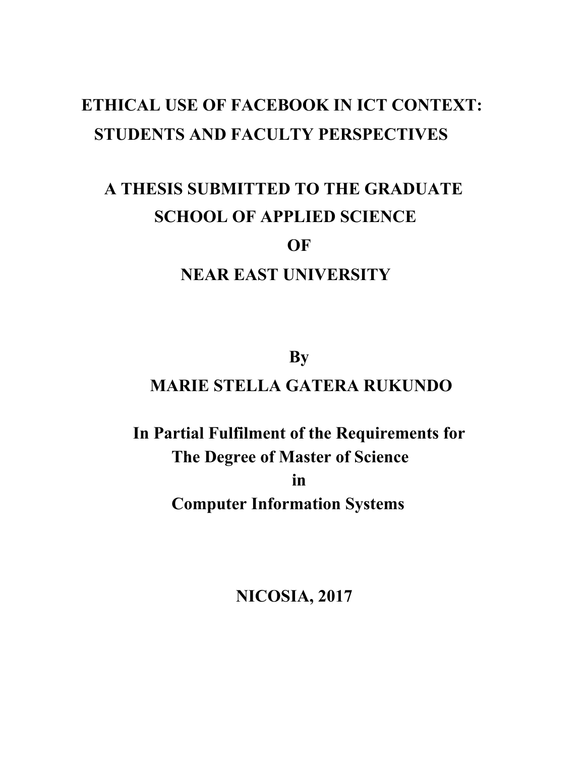# **ETHICAL USE OF FACEBOOK IN ICT CONTEXT: STUDENTS AND FACULTY PERSPECTIVES**

# **A THESIS SUBMITTED TO THE GRADUATE SCHOOL OF APPLIED SCIENCE**

# **OF**

# **NEAR EAST UNIVERSITY**

# **By MARIE STELLA GATERA RUKUNDO**

# **In Partial Fulfilment of the Requirements for The Degree of Master of Science in Computer Information Systems**

 **NICOSIA, 2017**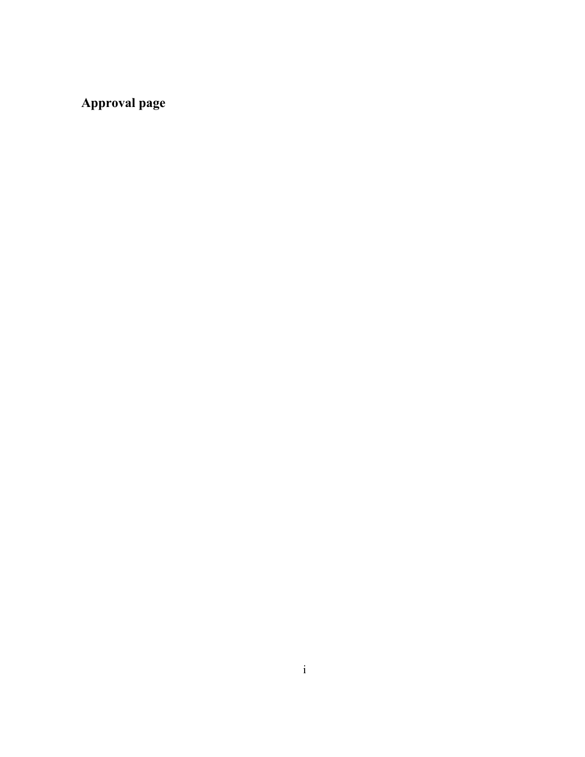**Approval page**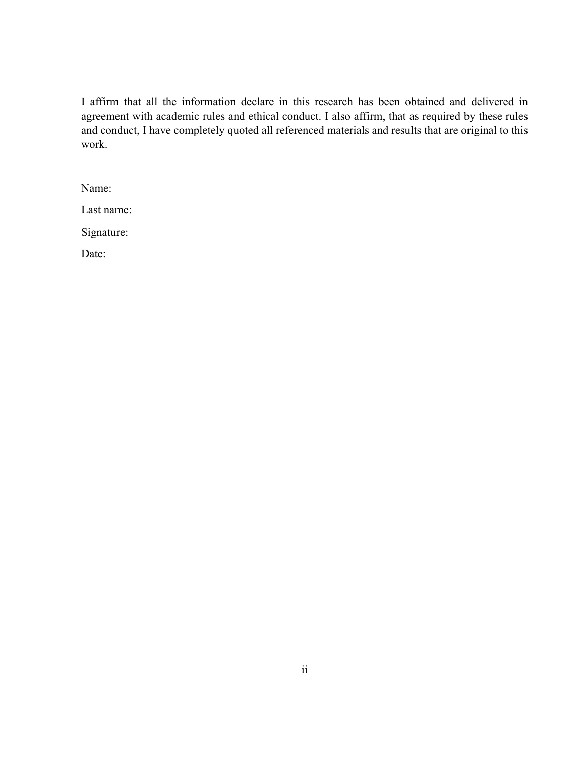I affirm that all the information declare in this research has been obtained and delivered in agreement with academic rules and ethical conduct. I also affirm, that as required by these rules and conduct, I have completely quoted all referenced materials and results that are original to this work.

Name:

Last name:

Signature:

Date: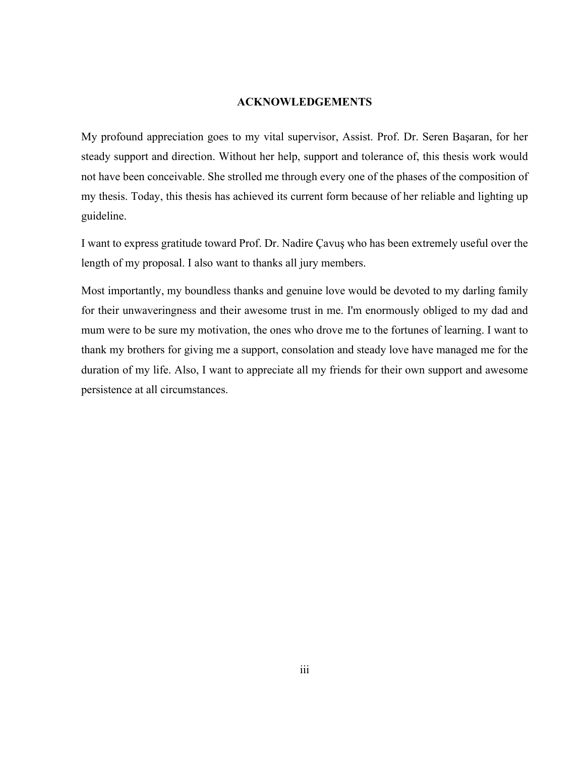#### <span id="page-4-0"></span>**ACKNOWLEDGEMENTS**

My profound appreciation goes to my vital supervisor, Assist. Prof. Dr. Seren Başaran, for her steady support and direction. Without her help, support and tolerance of, this thesis work would not have been conceivable. She strolled me through every one of the phases of the composition of my thesis. Today, this thesis has achieved its current form because of her reliable and lighting up guideline.

I want to express gratitude toward Prof. Dr. Nadire Çavuş who has been extremely useful over the length of my proposal. I also want to thanks all jury members.

Most importantly, my boundless thanks and genuine love would be devoted to my darling family for their unwaveringness and their awesome trust in me. I'm enormously obliged to my dad and mum were to be sure my motivation, the ones who drove me to the fortunes of learning. I want to thank my brothers for giving me a support, consolation and steady love have managed me for the duration of my life. Also, I want to appreciate all my friends for their own support and awesome persistence at all circumstances.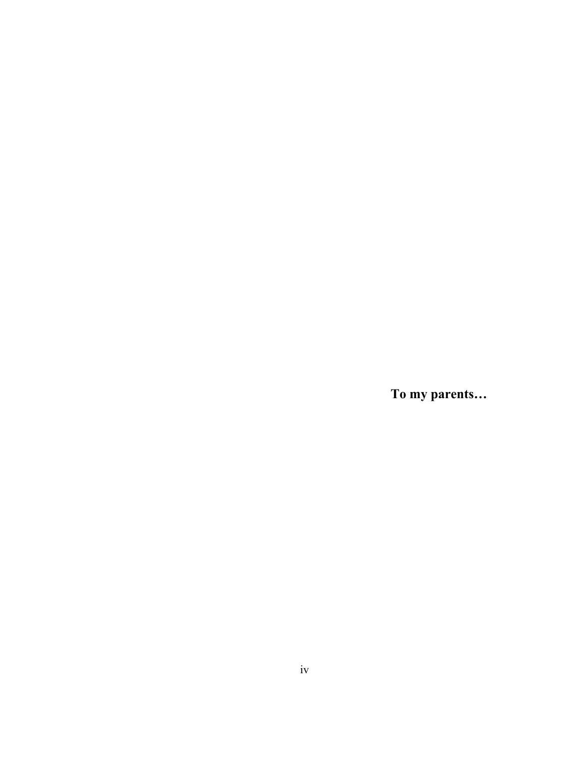**To my parents…**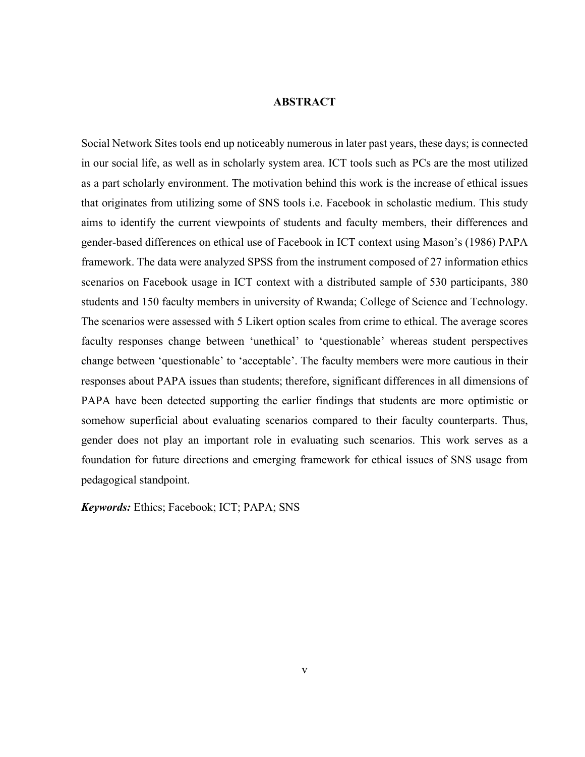#### <span id="page-6-0"></span>**ABSTRACT**

Social Network Sites tools end up noticeably numerous in later past years, these days; is connected in our social life, as well as in scholarly system area. ICT tools such as PCs are the most utilized as a part scholarly environment. The motivation behind this work is the increase of ethical issues that originates from utilizing some of SNS tools i.e. Facebook in scholastic medium. This study aims to identify the current viewpoints of students and faculty members, their differences and gender-based differences on ethical use of Facebook in ICT context using Mason's (1986) PAPA framework. The data were analyzed SPSS from the instrument composed of 27 information ethics scenarios on Facebook usage in ICT context with a distributed sample of 530 participants, 380 students and 150 faculty members in university of Rwanda; College of Science and Technology. The scenarios were assessed with 5 Likert option scales from crime to ethical. The average scores faculty responses change between 'unethical' to 'questionable' whereas student perspectives change between 'questionable' to 'acceptable'. The faculty members were more cautious in their responses about PAPA issues than students; therefore, significant differences in all dimensions of PAPA have been detected supporting the earlier findings that students are more optimistic or somehow superficial about evaluating scenarios compared to their faculty counterparts. Thus, gender does not play an important role in evaluating such scenarios. This work serves as a foundation for future directions and emerging framework for ethical issues of SNS usage from pedagogical standpoint.

*Keywords:* Ethics; Facebook; ICT; PAPA; SNS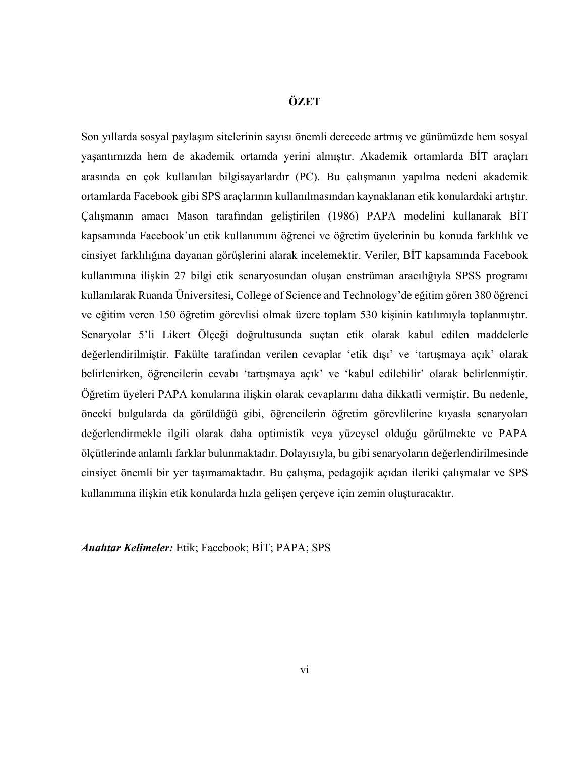#### <span id="page-7-0"></span>**ÖZET**

Son yıllarda sosyal paylaşım sitelerinin sayısı önemli derecede artmış ve günümüzde hem sosyal yaşantımızda hem de akademik ortamda yerini almıştır. Akademik ortamlarda BİT araçları arasında en çok kullanılan bilgisayarlardır (PC). Bu çalışmanın yapılma nedeni akademik ortamlarda Facebook gibi SPS araçlarının kullanılmasından kaynaklanan etik konulardaki artıştır. Çalışmanın amacı Mason tarafından geliştirilen (1986) PAPA modelini kullanarak BİT kapsamında Facebook'un etik kullanımını öğrenci ve öğretim üyelerinin bu konuda farklılık ve cinsiyet farklılığına dayanan görüşlerini alarak incelemektir. Veriler, BİT kapsamında Facebook kullanımına ilişkin 27 bilgi etik senaryosundan oluşan enstrüman aracılığıyla SPSS programı kullanılarak Ruanda Üniversitesi, College of Science and Technology'de eğitim gören 380 öğrenci ve eğitim veren 150 öğretim görevlisi olmak üzere toplam 530 kişinin katılımıyla toplanmıştır. Senaryolar 5'li Likert Ölçeği doğrultusunda suçtan etik olarak kabul edilen maddelerle değerlendirilmiştir. Fakülte tarafından verilen cevaplar 'etik dışı' ve 'tartışmaya açık' olarak belirlenirken, öğrencilerin cevabı 'tartışmaya açık' ve 'kabul edilebilir' olarak belirlenmiştir. Öğretim üyeleri PAPA konularına ilişkin olarak cevaplarını daha dikkatli vermiştir. Bu nedenle, önceki bulgularda da görüldüğü gibi, öğrencilerin öğretim görevlilerine kıyasla senaryoları değerlendirmekle ilgili olarak daha optimistik veya yüzeysel olduğu görülmekte ve PAPA ölçütlerinde anlamlı farklar bulunmaktadır. Dolayısıyla, bu gibi senaryoların değerlendirilmesinde cinsiyet önemli bir yer taşımamaktadır. Bu çalışma, pedagojik açıdan ileriki çalışmalar ve SPS kullanımına ilişkin etik konularda hızla gelişen çerçeve için zemin oluşturacaktır.

*Anahtar Kelimeler:* Etik; Facebook; BİT; PAPA; SPS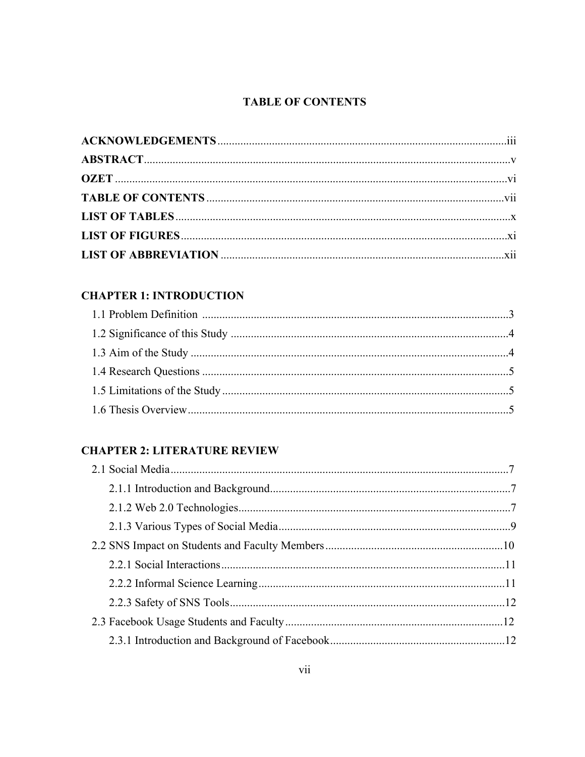# <span id="page-8-0"></span>**TABLE OF CONTENTS**

# **CHAPTER 1: INTRODUCTION**

# **CHAPTER 2: LITERATURE REVIEW**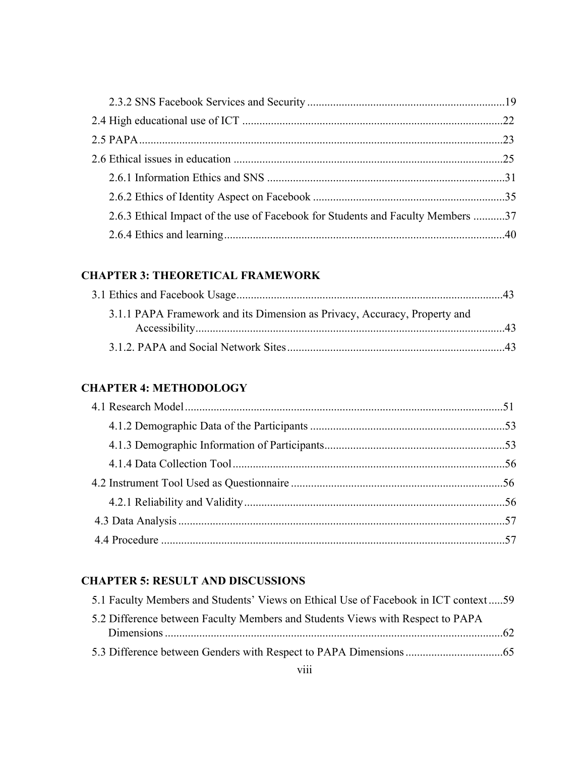| 2.6.3 Ethical Impact of the use of Facebook for Students and Faculty Members 37 |  |
|---------------------------------------------------------------------------------|--|
|                                                                                 |  |

## **[CHAPTER 3: THEORETICAL](#page-56-0) FRAMEWORK**

| 3.1.1 PAPA Framework and its Dimension as Privacy, Accuracy, Property and |  |
|---------------------------------------------------------------------------|--|
|                                                                           |  |
|                                                                           |  |

### **[CHAPTER 4:](#page-64-0) [METHODOLOGY](#page-64-1)**

# **[CHAPTER 5:](#page-72-0) [RESULT AND DISCUSSIONS](#page-72-1)**

| 5.1 Faculty Members and Students' Views on Ethical Use of Facebook in ICT context59 |  |
|-------------------------------------------------------------------------------------|--|
| 5.2 Difference between Faculty Members and Students Views with Respect to PAPA      |  |
|                                                                                     |  |
|                                                                                     |  |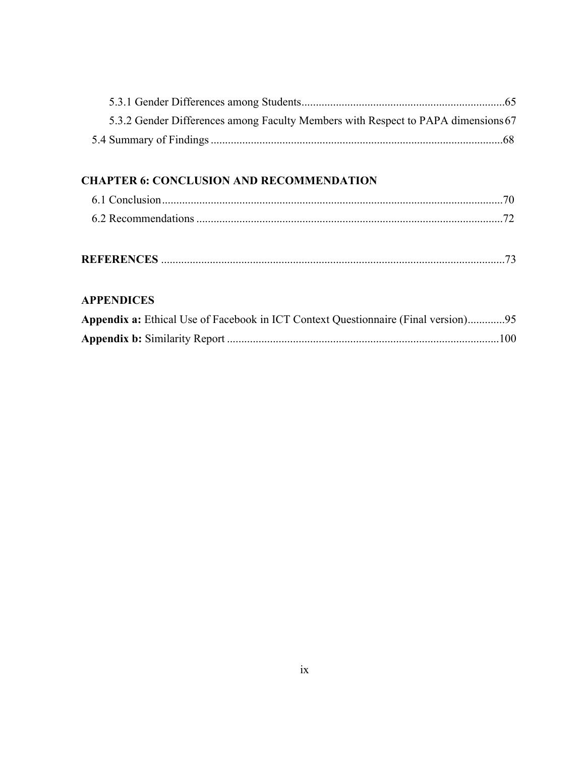| 5.3.2 Gender Differences among Faculty Members with Respect to PAPA dimensions 67 |  |
|-----------------------------------------------------------------------------------|--|
|                                                                                   |  |

### **[CHAPTER 6:](#page-83-0) [CONCLUSION AND RECOMMENDATION](#page-83-1)**

## **[APPENDICES](#page-86-0)**

| Appendix a: Ethical Use of Facebook in ICT Context Questionnaire (Final version)95 |  |
|------------------------------------------------------------------------------------|--|
|                                                                                    |  |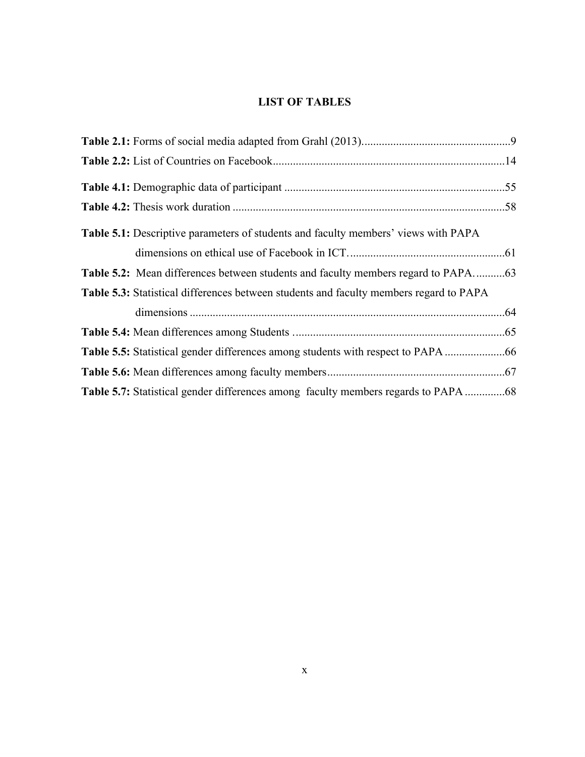## <span id="page-11-0"></span>**LIST OF TABLES**

| <b>Table 5.1:</b> Descriptive parameters of students and faculty members' views with PAPA |  |
|-------------------------------------------------------------------------------------------|--|
|                                                                                           |  |
|                                                                                           |  |
| Table 5.3: Statistical differences between students and faculty members regard to PAPA    |  |
|                                                                                           |  |
|                                                                                           |  |
|                                                                                           |  |
|                                                                                           |  |
|                                                                                           |  |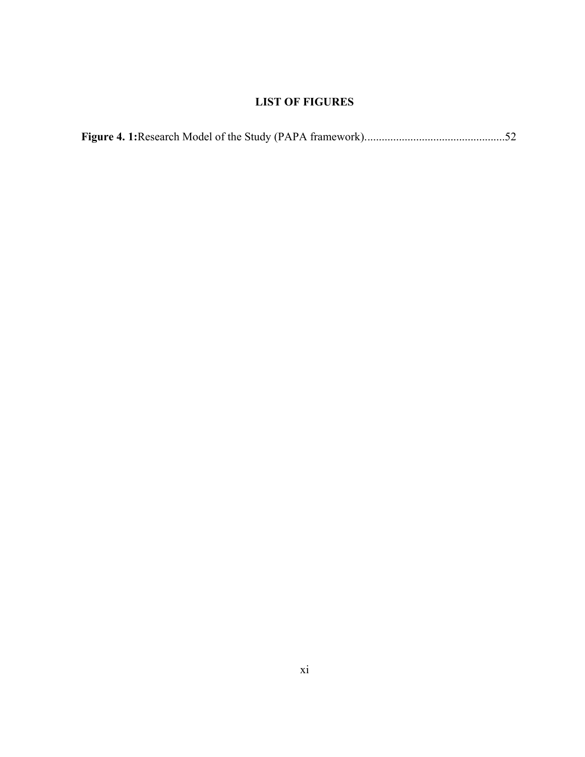# <span id="page-12-0"></span>**LIST OF FIGURES**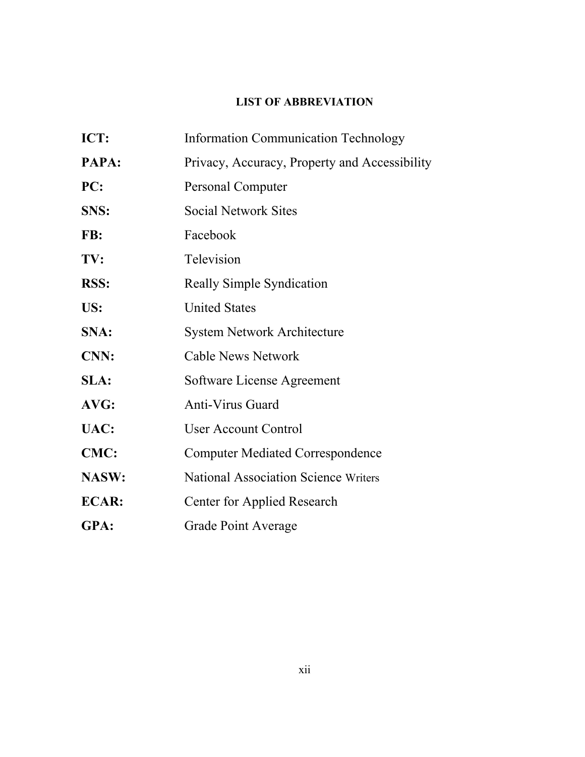# <span id="page-13-0"></span>**LIST OF ABBREVIATION**

| ICT:         | <b>Information Communication Technology</b>   |  |
|--------------|-----------------------------------------------|--|
| PAPA:        | Privacy, Accuracy, Property and Accessibility |  |
| PC:          | <b>Personal Computer</b>                      |  |
| SNS:         | <b>Social Network Sites</b>                   |  |
| FB:          | Facebook                                      |  |
| TV:          | Television                                    |  |
| <b>RSS:</b>  | <b>Really Simple Syndication</b>              |  |
| US:          | <b>United States</b>                          |  |
| SNA:         | <b>System Network Architecture</b>            |  |
| <b>CNN:</b>  | <b>Cable News Network</b>                     |  |
| SLA:         | Software License Agreement                    |  |
| AVG:         | <b>Anti-Virus Guard</b>                       |  |
| UAC:         | <b>User Account Control</b>                   |  |
| <b>CMC:</b>  | <b>Computer Mediated Correspondence</b>       |  |
| NASW:        | <b>National Association Science Writers</b>   |  |
| <b>ECAR:</b> | Center for Applied Research                   |  |
| GPA:         | <b>Grade Point Average</b>                    |  |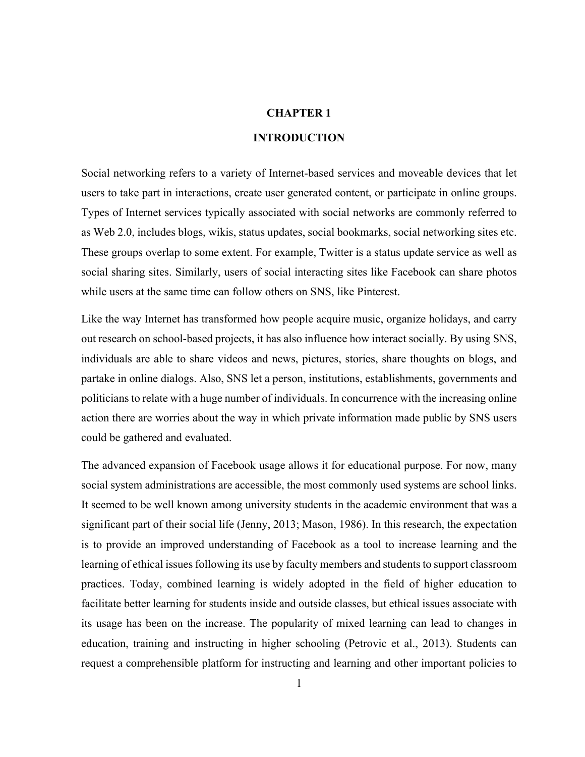#### <span id="page-14-0"></span>**CHAPTER 1**

#### <span id="page-14-1"></span>**INTRODUCTION**

Social networking refers to a variety of Internet-based services and moveable devices that let users to take part in interactions, create user generated content, or participate in online groups. Types of Internet services typically associated with social networks are commonly referred to as Web 2.0, includes blogs, wikis, status updates, social bookmarks, social networking sites etc. These groups overlap to some extent. For example, Twitter is a status update service as well as social sharing sites. Similarly, users of social interacting sites like Facebook can share photos while users at the same time can follow others on SNS, like Pinterest.

Like the way Internet has transformed how people acquire music, organize holidays, and carry out research on school-based projects, it has also influence how interact socially. By using SNS, individuals are able to share videos and news, pictures, stories, share thoughts on blogs, and partake in online dialogs. Also, SNS let a person, institutions, establishments, governments and politicians to relate with a huge number of individuals. In concurrence with the increasing online action there are worries about the way in which private information made public by SNS users could be gathered and evaluated.

The advanced expansion of Facebook usage allows it for educational purpose. For now, many social system administrations are accessible, the most commonly used systems are school links. It seemed to be well known among university students in the academic environment that was a significant part of their social life (Jenny, 2013; Mason, 1986). In this research, the expectation is to provide an improved understanding of Facebook as a tool to increase learning and the learning of ethical issues following its use by faculty members and students to support classroom practices. Today, combined learning is widely adopted in the field of higher education to facilitate better learning for students inside and outside classes, but ethical issues associate with its usage has been on the increase. The popularity of mixed learning can lead to changes in education, training and instructing in higher schooling (Petrovic et al., 2013). Students can request a comprehensible platform for instructing and learning and other important policies to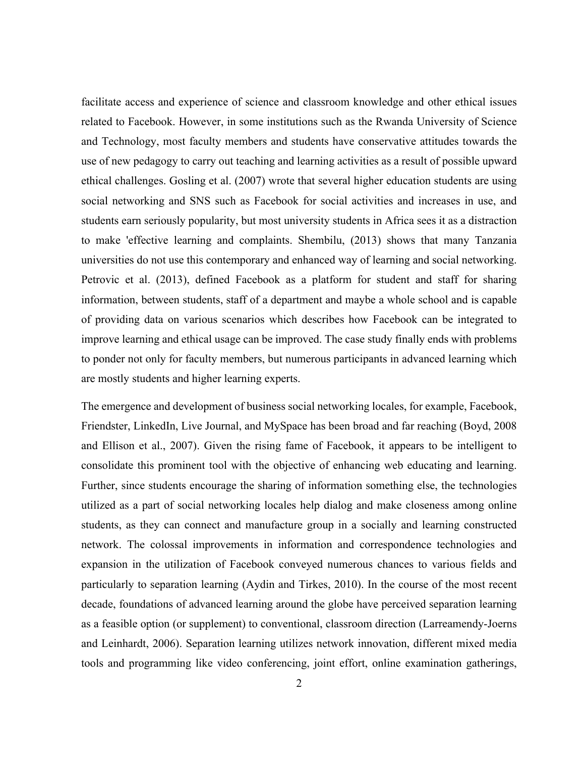facilitate access and experience of science and classroom knowledge and other ethical issues related to Facebook. However, in some institutions such as the Rwanda University of Science and Technology, most faculty members and students have conservative attitudes towards the use of new pedagogy to carry out teaching and learning activities as a result of possible upward ethical challenges. Gosling et al. (2007) wrote that several higher education students are using social networking and SNS such as Facebook for social activities and increases in use, and students earn seriously popularity, but most university students in Africa sees it as a distraction to make 'effective learning and complaints. Shembilu, (2013) shows that many Tanzania universities do not use this contemporary and enhanced way of learning and social networking. Petrovic et al. (2013), defined Facebook as a platform for student and staff for sharing information, between students, staff of a department and maybe a whole school and is capable of providing data on various scenarios which describes how Facebook can be integrated to improve learning and ethical usage can be improved. The case study finally ends with problems to ponder not only for faculty members, but numerous participants in advanced learning which are mostly students and higher learning experts.

The emergence and development of business social networking locales, for example, Facebook, Friendster, LinkedIn, Live Journal, and MySpace has been broad and far reaching (Boyd, 2008 and Ellison et al., 2007). Given the rising fame of Facebook, it appears to be intelligent to consolidate this prominent tool with the objective of enhancing web educating and learning. Further, since students encourage the sharing of information something else, the technologies utilized as a part of social networking locales help dialog and make closeness among online students, as they can connect and manufacture group in a socially and learning constructed network. The colossal improvements in information and correspondence technologies and expansion in the utilization of Facebook conveyed numerous chances to various fields and particularly to separation learning (Aydin and Tirkes, 2010). In the course of the most recent decade, foundations of advanced learning around the globe have perceived separation learning as a feasible option (or supplement) to conventional, classroom direction (Larreamendy-Joerns and Leinhardt, 2006). Separation learning utilizes network innovation, different mixed media tools and programming like video conferencing, joint effort, online examination gatherings,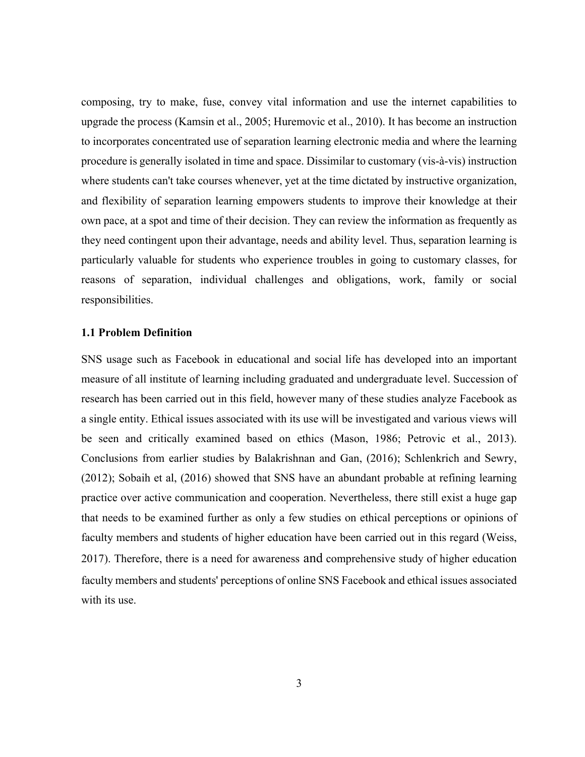composing, try to make, fuse, convey vital information and use the internet capabilities to upgrade the process (Kamsin et al., 2005; Huremovic et al., 2010). It has become an instruction to incorporates concentrated use of separation learning electronic media and where the learning procedure is generally isolated in time and space. Dissimilar to customary (vis-à-vis) instruction where students can't take courses whenever, yet at the time dictated by instructive organization, and flexibility of separation learning empowers students to improve their knowledge at their own pace, at a spot and time of their decision. They can review the information as frequently as they need contingent upon their advantage, needs and ability level. Thus, separation learning is particularly valuable for students who experience troubles in going to customary classes, for reasons of separation, individual challenges and obligations, work, family or social responsibilities.

#### <span id="page-16-0"></span>**1.1 Problem Definition**

SNS usage such as Facebook in educational and social life has developed into an important measure of all institute of learning including graduated and undergraduate level. Succession of research has been carried out in this field, however many of these studies analyze Facebook as a single entity. Ethical issues associated with its use will be investigated and various views will be seen and critically examined based on ethics (Mason, 1986; Petrovic et al., 2013). Conclusions from earlier studies by Balakrishnan and Gan, (2016); Schlenkrich and Sewry, (2012); Sobaih et al, (2016) showed that SNS have an abundant probable at refining learning practice over active communication and cooperation. Nevertheless, there still exist a huge gap that needs to be examined further as only a few studies on ethical perceptions or opinions of faculty members and students of higher education have been carried out in this regard (Weiss, 2017). Therefore, there is a need for awareness and comprehensive study of higher education faculty members and students' perceptions of online SNS Facebook and ethical issues associated with its use.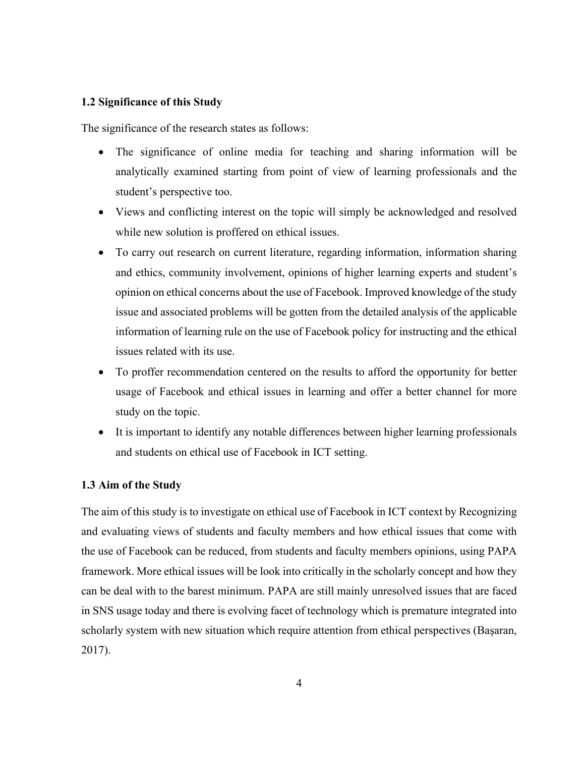#### <span id="page-17-0"></span>**1.2 Significance of this Study**

The significance of the research states as follows:

- The significance of online media for teaching and sharing information will be analytically examined starting from point of view of learning professionals and the student's perspective too.
- Views and conflicting interest on the topic will simply be acknowledged and resolved while new solution is proffered on ethical issues.
- To carry out research on current literature, regarding information, information sharing and ethics, community involvement, opinions of higher learning experts and student's opinion on ethical concerns about the use of Facebook. Improved knowledge of the study issue and associated problems will be gotten from the detailed analysis of the applicable information of learning rule on the use of Facebook policy for instructing and the ethical issues related with its use.
- To proffer recommendation centered on the results to afford the opportunity for better usage of Facebook and ethical issues in learning and offer a better channel for more study on the topic.
- It is important to identify any notable differences between higher learning professionals and students on ethical use of Facebook in ICT setting.

#### <span id="page-17-1"></span>**1.3 Aim of the Study**

The aim of this study is to investigate on ethical use of Facebook in ICT context by Recognizing and evaluating views of students and faculty members and how ethical issues that come with the use of Facebook can be reduced, from students and faculty members opinions, using PAPA framework. More ethical issues will be look into critically in the scholarly concept and how they can be deal with to the barest minimum. PAPA are still mainly unresolved issues that are faced in SNS usage today and there is evolving facet of technology which is premature integrated into scholarly system with new situation which require attention from ethical perspectives (Başaran, 2017).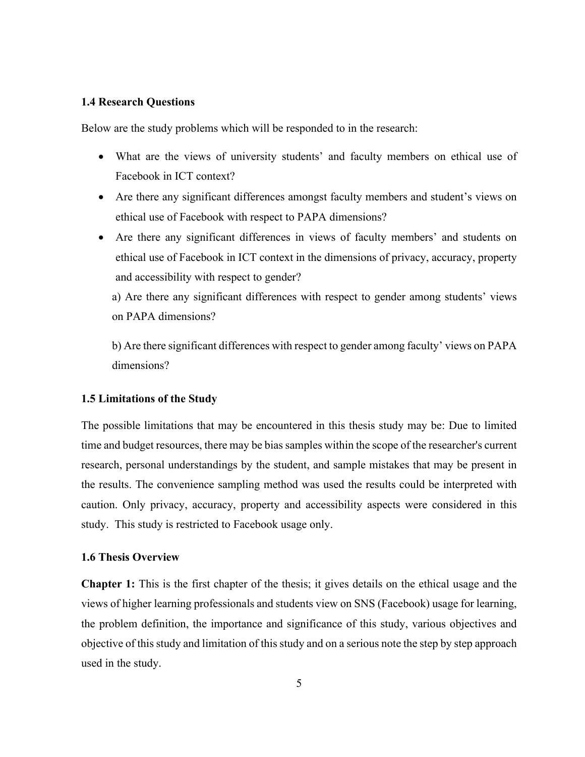#### <span id="page-18-0"></span>**1.4 Research Questions**

Below are the study problems which will be responded to in the research:

- What are the views of university students' and faculty members on ethical use of Facebook in ICT context?
- Are there any significant differences amongst faculty members and student's views on ethical use of Facebook with respect to PAPA dimensions?
- Are there any significant differences in views of faculty members' and students on ethical use of Facebook in ICT context in the dimensions of privacy, accuracy, property and accessibility with respect to gender?

a) Are there any significant differences with respect to gender among students' views on PAPA dimensions?

b) Are there significant differences with respect to gender among faculty' views on PAPA dimensions?

#### <span id="page-18-1"></span>**1.5 Limitations of the Study**

The possible limitations that may be encountered in this thesis study may be: Due to limited time and budget resources, there may be bias samples within the scope of the researcher's current research, personal understandings by the student, and sample mistakes that may be present in the results. The convenience sampling method was used the results could be interpreted with caution. Only privacy, accuracy, property and accessibility aspects were considered in this study. This study is restricted to Facebook usage only.

#### <span id="page-18-2"></span>**1.6 Thesis Overview**

**Chapter 1:** This is the first chapter of the thesis; it gives details on the ethical usage and the views of higher learning professionals and students view on SNS (Facebook) usage for learning, the problem definition, the importance and significance of this study, various objectives and objective of this study and limitation of this study and on a serious note the step by step approach used in the study.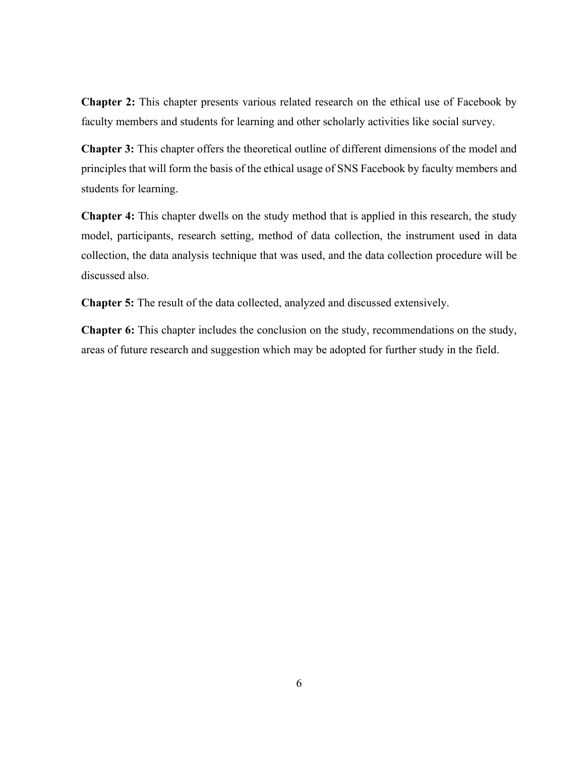**Chapter 2:** This chapter presents various related research on the ethical use of Facebook by faculty members and students for learning and other scholarly activities like social survey.

**Chapter 3:** This chapter offers the theoretical outline of different dimensions of the model and principles that will form the basis of the ethical usage of SNS Facebook by faculty members and students for learning.

**Chapter 4:** This chapter dwells on the study method that is applied in this research, the study model, participants, research setting, method of data collection, the instrument used in data collection, the data analysis technique that was used, and the data collection procedure will be discussed also.

**Chapter 5:** The result of the data collected, analyzed and discussed extensively.

**Chapter 6:** This chapter includes the conclusion on the study, recommendations on the study, areas of future research and suggestion which may be adopted for further study in the field.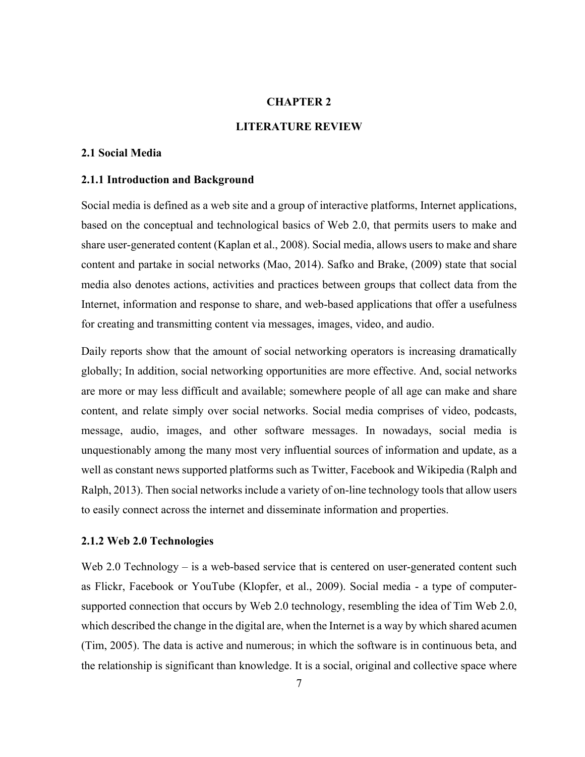#### <span id="page-20-0"></span>**CHAPTER 2**

#### <span id="page-20-1"></span>**LITERATURE REVIEW**

#### <span id="page-20-2"></span>**2.1 Social Media**

#### <span id="page-20-3"></span>**2.1.1 Introduction and Background**

Social media is defined as a web site and a group of interactive platforms, Internet applications, based on the conceptual and technological basics of Web 2.0, that permits users to make and share user-generated content (Kaplan et al., 2008). Social media, allows users to make and share content and partake in social networks (Mao, 2014). Safko and Brake, (2009) state that social media also denotes actions, activities and practices between groups that collect data from the Internet, information and response to share, and web-based applications that offer a usefulness for creating and transmitting content via messages, images, video, and audio.

Daily reports show that the amount of social networking operators is increasing dramatically globally; In addition, social networking opportunities are more effective. And, social networks are more or may less difficult and available; somewhere people of all age can make and share content, and relate simply over social networks. Social media comprises of video, podcasts, message, audio, images, and other software messages. In nowadays, social media is unquestionably among the many most very influential sources of information and update, as a well as constant news supported platforms such as Twitter, Facebook and Wikipedia (Ralph and Ralph, 2013). Then social networks include a variety of on-line technology tools that allow users to easily connect across the internet and disseminate information and properties.

#### <span id="page-20-4"></span>**2.1.2 Web 2.0 Technologies**

Web 2.0 Technology – is a web-based service that is centered on user-generated content such as Flickr, Facebook or YouTube (Klopfer, et al., 2009). Social media - a type of computersupported connection that occurs by Web 2.0 technology, resembling the idea of Tim Web 2.0, which described the change in the digital are, when the Internet is a way by which shared acumen (Tim, 2005). The data is active and numerous; in which the software is in continuous beta, and the relationship is significant than knowledge. It is a social, original and collective space where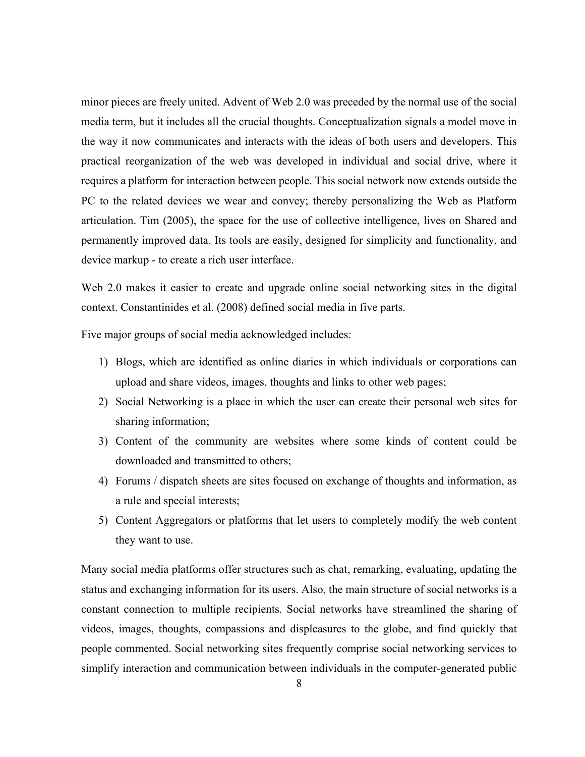minor pieces are freely united. Advent of Web 2.0 was preceded by the normal use of the social media term, but it includes all the crucial thoughts. Conceptualization signals a model move in the way it now communicates and interacts with the ideas of both users and developers. This practical reorganization of the web was developed in individual and social drive, where it requires a platform for interaction between people. This social network now extends outside the PC to the related devices we wear and convey; thereby personalizing the Web as Platform articulation. Tim (2005), the space for the use of collective intelligence, lives on Shared and permanently improved data. Its tools are easily, designed for simplicity and functionality, and device markup - to create a rich user interface.

Web 2.0 makes it easier to create and upgrade online social networking sites in the digital context. Constantinides et al. (2008) defined social media in five parts.

Five major groups of social media acknowledged includes:

- 1) Blogs, which are identified as online diaries in which individuals or corporations can upload and share videos, images, thoughts and links to other web pages;
- 2) Social Networking is a place in which the user can create their personal web sites for sharing information;
- 3) Content of the community are websites where some kinds of content could be downloaded and transmitted to others;
- 4) Forums / dispatch sheets are sites focused on exchange of thoughts and information, as a rule and special interests;
- 5) Content Aggregators or platforms that let users to completely modify the web content they want to use.

Many social media platforms offer structures such as chat, remarking, evaluating, updating the status and exchanging information for its users. Also, the main structure of social networks is a constant connection to multiple recipients. Social networks have streamlined the sharing of videos, images, thoughts, compassions and displeasures to the globe, and find quickly that people commented. Social networking sites frequently comprise social networking services to simplify interaction and communication between individuals in the computer-generated public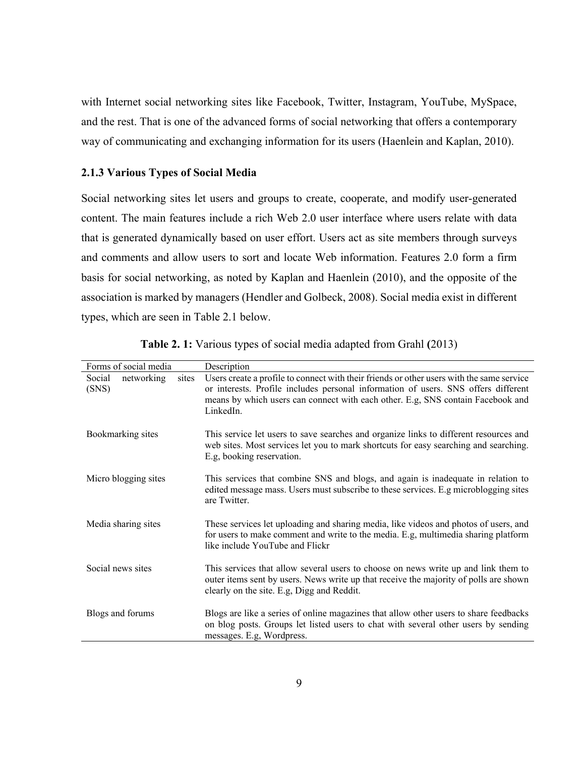with Internet social networking sites like Facebook, Twitter, Instagram, YouTube, MySpace, and the rest. That is one of the advanced forms of social networking that offers a contemporary way of communicating and exchanging information for its users (Haenlein and Kaplan, 2010).

#### <span id="page-22-0"></span>**2.1.3 Various Types of Social Media**

Social networking sites let users and groups to create, cooperate, and modify user-generated content. The main features include a rich Web 2.0 user interface where users relate with data that is generated dynamically based on user effort. Users act as site members through surveys and comments and allow users to sort and locate Web information. Features 2.0 form a firm basis for social networking, as noted by Kaplan and Haenlein (2010), and the opposite of the association is marked by managers (Hendler and Golbeck, 2008). Social media exist in different types, which are seen in Table 2.1 below.

| Forms of social media                  | Description                                                                                                                                                                                                                                                                     |
|----------------------------------------|---------------------------------------------------------------------------------------------------------------------------------------------------------------------------------------------------------------------------------------------------------------------------------|
| Social<br>networking<br>sites<br>(SNS) | Users create a profile to connect with their friends or other users with the same service<br>or interests. Profile includes personal information of users. SNS offers different<br>means by which users can connect with each other. E.g, SNS contain Facebook and<br>LinkedIn. |
| Bookmarking sites                      | This service let users to save searches and organize links to different resources and<br>web sites. Most services let you to mark shortcuts for easy searching and searching.<br>E.g. booking reservation.                                                                      |
| Micro blogging sites                   | This services that combine SNS and blogs, and again is inadequate in relation to<br>edited message mass. Users must subscribe to these services. E.g microblogging sites<br>are Twitter.                                                                                        |
| Media sharing sites                    | These services let uploading and sharing media, like videos and photos of users, and<br>for users to make comment and write to the media. E.g, multimedia sharing platform<br>like include YouTube and Flickr                                                                   |
| Social news sites                      | This services that allow several users to choose on news write up and link them to<br>outer items sent by users. News write up that receive the majority of polls are shown<br>clearly on the site. E.g. Digg and Reddit.                                                       |
| Blogs and forums                       | Blogs are like a series of online magazines that allow other users to share feedbacks<br>on blog posts. Groups let listed users to chat with several other users by sending<br>messages. E.g, Wordpress.                                                                        |

<span id="page-22-1"></span>**Table 2. 1:** Various types of social media adapted from Grahl **(**2013)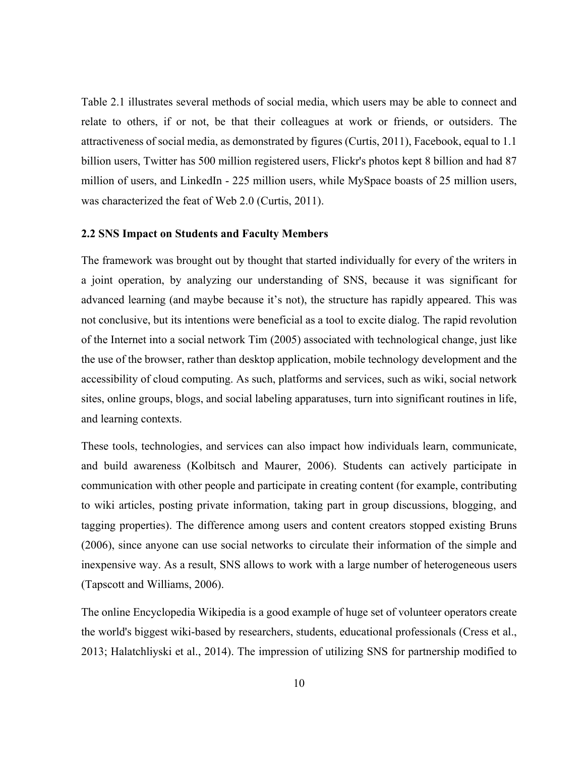Table 2.1 illustrates several methods of social media, which users may be able to connect and relate to others, if or not, be that their colleagues at work or friends, or outsiders. The attractiveness of social media, as demonstrated by figures (Curtis, 2011), Facebook, equal to 1.1 billion users, Twitter has 500 million registered users, Flickr's photos kept 8 billion and had 87 million of users, and LinkedIn - 225 million users, while MySpace boasts of 25 million users, was characterized the feat of Web 2.0 (Curtis, 2011).

#### <span id="page-23-0"></span>**2.2 SNS Impact on Students and Faculty Members**

The framework was brought out by thought that started individually for every of the writers in a joint operation, by analyzing our understanding of SNS, because it was significant for advanced learning (and maybe because it's not), the structure has rapidly appeared. This was not conclusive, but its intentions were beneficial as a tool to excite dialog. The rapid revolution of the Internet into a social network Tim (2005) associated with technological change, just like the use of the browser, rather than desktop application, mobile technology development and the accessibility of cloud computing. As such, platforms and services, such as wiki, social network sites, online groups, blogs, and social labeling apparatuses, turn into significant routines in life, and learning contexts.

These tools, technologies, and services can also impact how individuals learn, communicate, and build awareness (Kolbitsch and Maurer, 2006). Students can actively participate in communication with other people and participate in creating content (for example, contributing to wiki articles, posting private information, taking part in group discussions, blogging, and tagging properties). The difference among users and content creators stopped existing Bruns (2006), since anyone can use social networks to circulate their information of the simple and inexpensive way. As a result, SNS allows to work with a large number of heterogeneous users (Tapscott and Williams, 2006).

The online Encyclopedia Wikipedia is a good example of huge set of volunteer operators create the world's biggest wiki-based by researchers, students, educational professionals (Cress et al., 2013; Halatchliyski et al., 2014). The impression of utilizing SNS for partnership modified to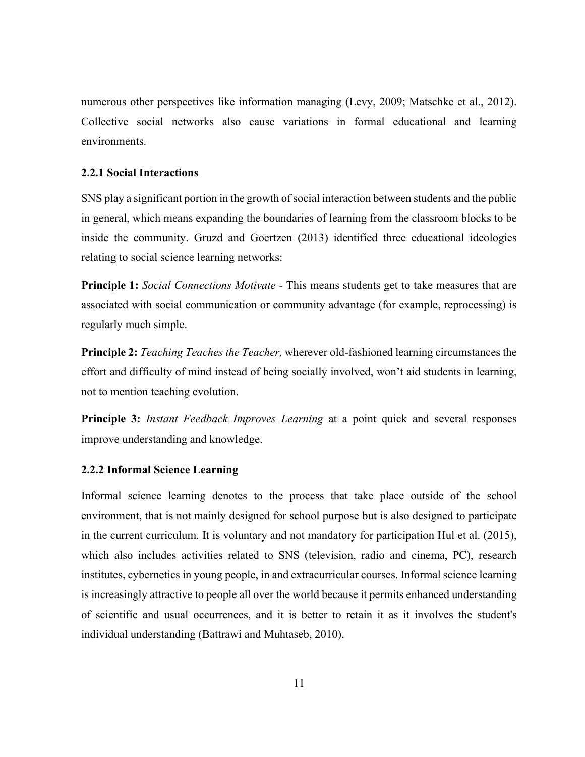numerous other perspectives like information managing (Levy, 2009; Matschke et al., 2012). Collective social networks also cause variations in formal educational and learning environments.

#### <span id="page-24-0"></span>**2.2.1 Social Interactions**

SNS play a significant portion in the growth of social interaction between students and the public in general, which means expanding the boundaries of learning from the classroom blocks to be inside the community. Gruzd and Goertzen (2013) identified three educational ideologies relating to social science learning networks:

**Principle 1:** *Social Connections Motivate* - This means students get to take measures that are associated with social communication or community advantage (for example, reprocessing) is regularly much simple.

**Principle 2:** *Teaching Teaches the Teacher,* wherever old-fashioned learning circumstances the effort and difficulty of mind instead of being socially involved, won't aid students in learning, not to mention teaching evolution.

**Principle 3:** *Instant Feedback Improves Learning* at a point quick and several responses improve understanding and knowledge.

#### <span id="page-24-1"></span>**2.2.2 Informal Science Learning**

Informal science learning denotes to the process that take place outside of the school environment, that is not mainly designed for school purpose but is also designed to participate in the current curriculum. It is voluntary and not mandatory for participation Hul et al. (2015), which also includes activities related to SNS (television, radio and cinema, PC), research institutes, cybernetics in young people, in and extracurricular courses. Informal science learning is increasingly attractive to people all over the world because it permits enhanced understanding of scientific and usual occurrences, and it is better to retain it as it involves the student's individual understanding (Battrawi and Muhtaseb, 2010).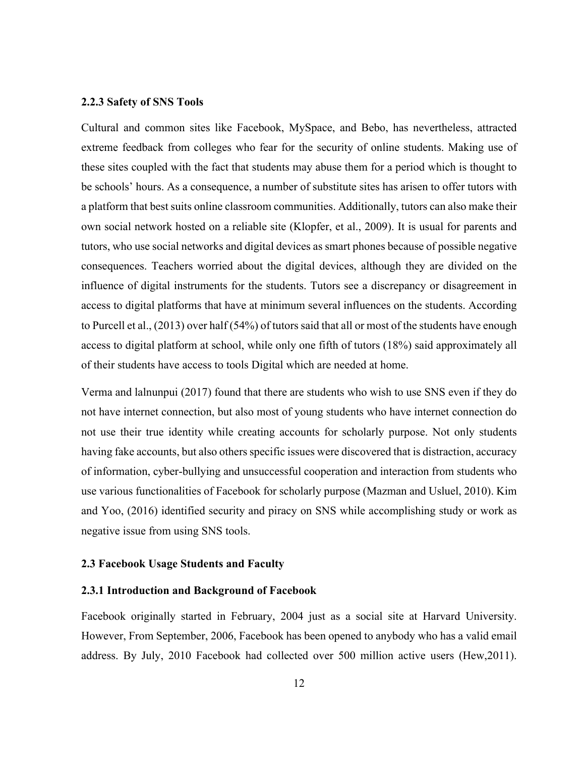#### <span id="page-25-0"></span>**2.2.3 Safety of SNS Tools**

Cultural and common sites like Facebook, MySpace, and Bebo, has nevertheless, attracted extreme feedback from colleges who fear for the security of online students. Making use of these sites coupled with the fact that students may abuse them for a period which is thought to be schools' hours. As a consequence, a number of substitute sites has arisen to offer tutors with a platform that best suits online classroom communities. Additionally, tutors can also make their own social network hosted on a reliable site (Klopfer, et al., 2009). It is usual for parents and tutors, who use social networks and digital devices as smart phones because of possible negative consequences. Teachers worried about the digital devices, although they are divided on the influence of digital instruments for the students. Tutors see a discrepancy or disagreement in access to digital platforms that have at minimum several influences on the students. According to Purcell et al., (2013) over half (54%) of tutors said that all or most of the students have enough access to digital platform at school, while only one fifth of tutors (18%) said approximately all of their students have access to tools Digital which are needed at home.

Verma and lalnunpui (2017) found that there are students who wish to use SNS even if they do not have internet connection, but also most of young students who have internet connection do not use their true identity while creating accounts for scholarly purpose. Not only students having fake accounts, but also others specific issues were discovered that is distraction, accuracy of information, cyber-bullying and unsuccessful cooperation and interaction from students who use various functionalities of Facebook for scholarly purpose (Mazman and Usluel, 2010). Kim and Yoo, (2016) identified security and piracy on SNS while accomplishing study or work as negative issue from using SNS tools.

#### <span id="page-25-1"></span>**2.3 Facebook Usage Students and Faculty**

#### <span id="page-25-2"></span>**2.3.1 Introduction and Background of Facebook**

Facebook originally started in February, 2004 just as a social site at Harvard University. However, From September, 2006, Facebook has been opened to anybody who has a valid email address. By July, 2010 Facebook had collected over 500 million active users (Hew,2011).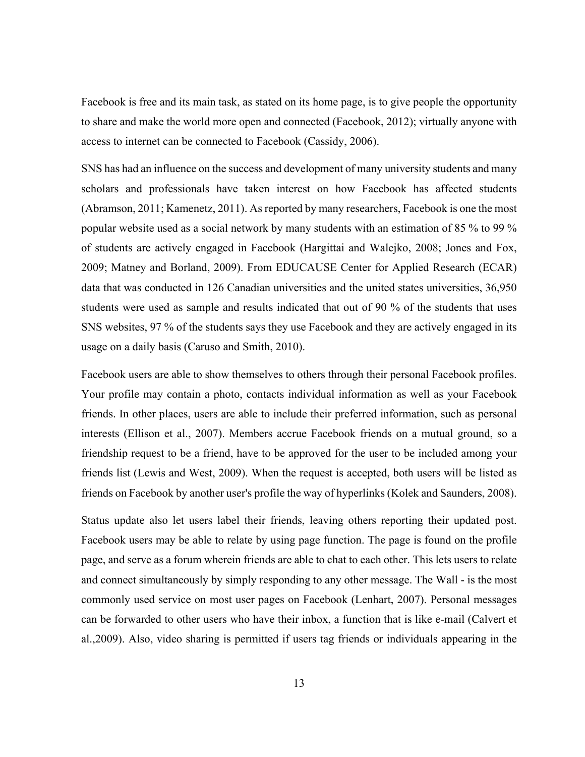Facebook is free and its main task, as stated on its home page, is to give people the opportunity to share and make the world more open and connected (Facebook, 2012); virtually anyone with access to internet can be connected to Facebook (Cassidy, 2006).

SNS has had an influence on the success and development of many university students and many scholars and professionals have taken interest on how Facebook has affected students (Abramson, 2011; Kamenetz, 2011). As reported by many researchers, Facebook is one the most popular website used as a social network by many students with an estimation of 85 % to 99 % of students are actively engaged in Facebook (Hargittai and Walejko, 2008; Jones and Fox, 2009; Matney and Borland, 2009). From EDUCAUSE Center for Applied Research (ECAR) data that was conducted in 126 Canadian universities and the united states universities, 36,950 students were used as sample and results indicated that out of 90 % of the students that uses SNS websites, 97 % of the students says they use Facebook and they are actively engaged in its usage on a daily basis (Caruso and Smith, 2010).

Facebook users are able to show themselves to others through their personal Facebook profiles. Your profile may contain a photo, contacts individual information as well as your Facebook friends. In other places, users are able to include their preferred information, such as personal interests (Ellison et al., 2007). Members accrue Facebook friends on a mutual ground, so a friendship request to be a friend, have to be approved for the user to be included among your friends list (Lewis and West, 2009). When the request is accepted, both users will be listed as friends on Facebook by another user's profile the way of hyperlinks (Kolek and Saunders, 2008).

Status update also let users label their friends, leaving others reporting their updated post. Facebook users may be able to relate by using page function. The page is found on the profile page, and serve as a forum wherein friends are able to chat to each other. This lets users to relate and connect simultaneously by simply responding to any other message. The Wall - is the most commonly used service on most user pages on Facebook (Lenhart, 2007). Personal messages can be forwarded to other users who have their inbox, a function that is like e-mail (Calvert et al.,2009). Also, video sharing is permitted if users tag friends or individuals appearing in the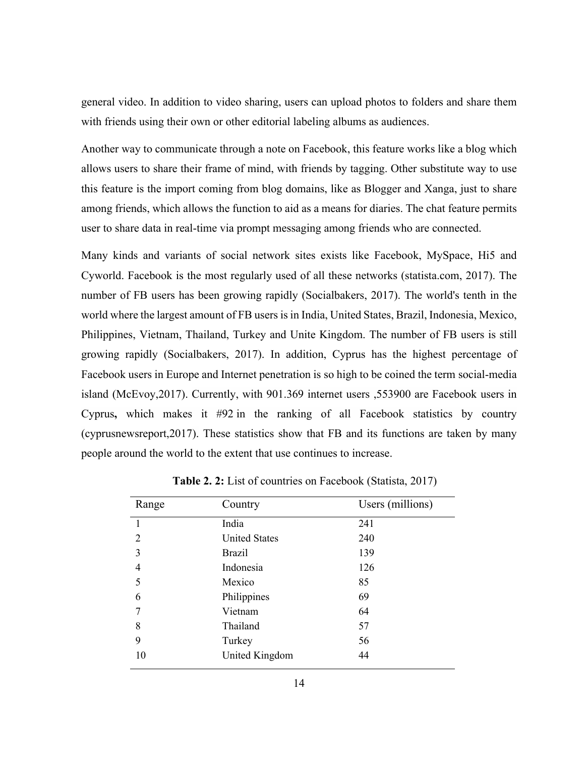general video. In addition to video sharing, users can upload photos to folders and share them with friends using their own or other editorial labeling albums as audiences.

Another way to communicate through a note on Facebook, this feature works like a blog which allows users to share their frame of mind, with friends by tagging. Other substitute way to use this feature is the import coming from blog domains, like as Blogger and Xanga, just to share among friends, which allows the function to aid as a means for diaries. The chat feature permits user to share data in real-time via prompt messaging among friends who are connected.

Many kinds and variants of social network sites exists like Facebook, MySpace, Hi5 and Cyworld. Facebook is the most regularly used of all these networks (statista.com, 2017). The number of FB users has been growing rapidly (Socialbakers, 2017). The world's tenth in the world where the largest amount of FB users is in India, United States, Brazil, Indonesia, Mexico, Philippines, Vietnam, Thailand, Turkey and Unite Kingdom. The number of FB users is still growing rapidly (Socialbakers, 2017). In addition, Cyprus has the highest percentage of Facebook users in Europe and Internet penetration is so high to be coined the term social-media island (McEvoy,2017). Currently, with 901.369 internet users ,553900 are Facebook users in Cyprus**,** which makes it #92 in the ranking of all Facebook statistics by country (cyprusnewsreport,2017). These statistics show that FB and its functions are taken by many people around the world to the extent that use continues to increase.

| Range          | Country              | Users (millions) |
|----------------|----------------------|------------------|
|                | India                | 241              |
| $\overline{2}$ | <b>United States</b> | 240              |
| 3              | <b>Brazil</b>        | 139              |
| 4              | Indonesia            | 126              |
| 5              | Mexico               | 85               |
| 6              | Philippines          | 69               |
|                | Vietnam              | 64               |
| 8              | Thailand             | 57               |
| 9              | Turkey               | 56               |
| 10             | United Kingdom       | 44               |

<span id="page-27-0"></span> **Table 2. 2:** List of countries on Facebook (Statista, 2017)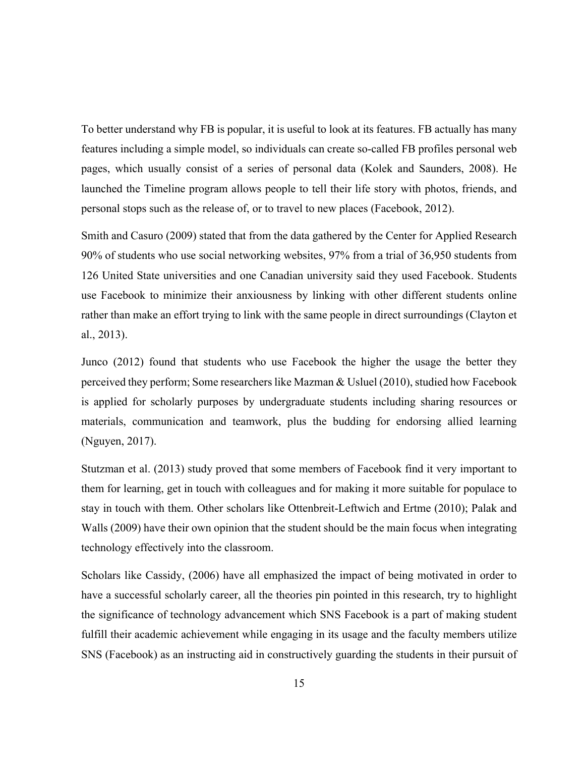To better understand why FB is popular, it is useful to look at its features. FB actually has many features including a simple model, so individuals can create so-called FB profiles personal web pages, which usually consist of a series of personal data (Kolek and Saunders, 2008). He launched the Timeline program allows people to tell their life story with photos, friends, and personal stops such as the release of, or to travel to new places (Facebook, 2012).

Smith and Casuro (2009) stated that from the data gathered by the Center for Applied Research 90% of students who use social networking websites, 97% from a trial of 36,950 students from 126 United State universities and one Canadian university said they used Facebook. Students use Facebook to minimize their anxiousness by linking with other different students online rather than make an effort trying to link with the same people in direct surroundings (Clayton et al., 2013).

Junco (2012) found that students who use Facebook the higher the usage the better they perceived they perform; Some researchers like Mazman & Usluel (2010), studied how Facebook is applied for scholarly purposes by undergraduate students including sharing resources or materials, communication and teamwork, plus the budding for endorsing allied learning (Nguyen, 2017).

Stutzman et al. (2013) study proved that some members of Facebook find it very important to them for learning, get in touch with colleagues and for making it more suitable for populace to stay in touch with them. Other scholars like Ottenbreit-Leftwich and Ertme (2010); Palak and Walls (2009) have their own opinion that the student should be the main focus when integrating technology effectively into the classroom.

Scholars like Cassidy, (2006) have all emphasized the impact of being motivated in order to have a successful scholarly career, all the theories pin pointed in this research, try to highlight the significance of technology advancement which SNS Facebook is a part of making student fulfill their academic achievement while engaging in its usage and the faculty members utilize SNS (Facebook) as an instructing aid in constructively guarding the students in their pursuit of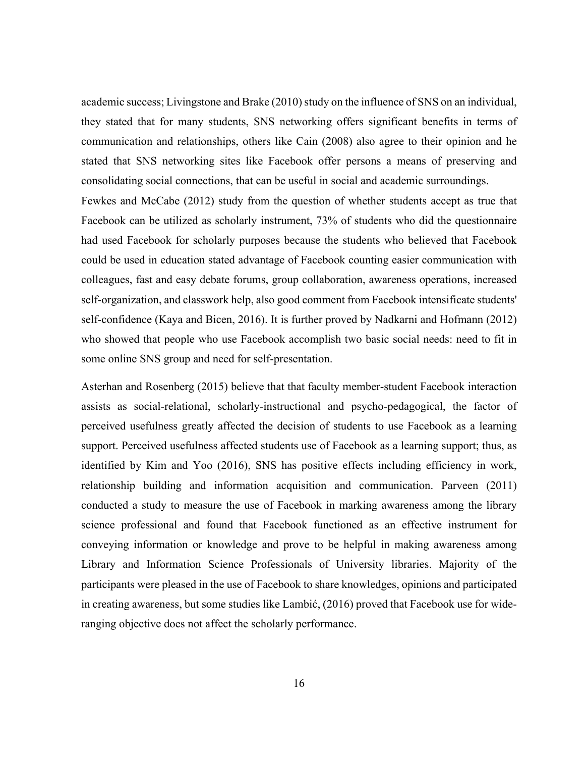academic success; Livingstone and Brake (2010) study on the influence of SNS on an individual, they stated that for many students, SNS networking offers significant benefits in terms of communication and relationships, others like Cain (2008) also agree to their opinion and he stated that SNS networking sites like Facebook offer persons a means of preserving and consolidating social connections, that can be useful in social and academic surroundings.

Fewkes and McCabe (2012) study from the question of whether students accept as true that Facebook can be utilized as scholarly instrument, 73% of students who did the questionnaire had used Facebook for scholarly purposes because the students who believed that Facebook could be used in education stated advantage of Facebook counting easier communication with colleagues, fast and easy debate forums, group collaboration, awareness operations, increased self-organization, and classwork help, also good comment from Facebook intensificate students' self-confidence (Kaya and Bicen, 2016). It is further proved by Nadkarni and Hofmann (2012) who showed that people who use Facebook accomplish two basic social needs: need to fit in some online SNS group and need for self-presentation.

Asterhan and Rosenberg (2015) believe that that faculty member-student Facebook interaction assists as social-relational, scholarly-instructional and psycho-pedagogical, the factor of perceived usefulness greatly affected the decision of students to use Facebook as a learning support. Perceived usefulness affected students use of Facebook as a learning support; thus, as identified by Kim and Yoo (2016), SNS has positive effects including efficiency in work, relationship building and information acquisition and communication. Parveen (2011) conducted a study to measure the use of Facebook in marking awareness among the library science professional and found that Facebook functioned as an effective instrument for conveying information or knowledge and prove to be helpful in making awareness among Library and Information Science Professionals of University libraries. Majority of the participants were pleased in the use of Facebook to share knowledges, opinions and participated in creating awareness, but some studies like Lambić, (2016) proved that Facebook use for wideranging objective does not affect the scholarly performance.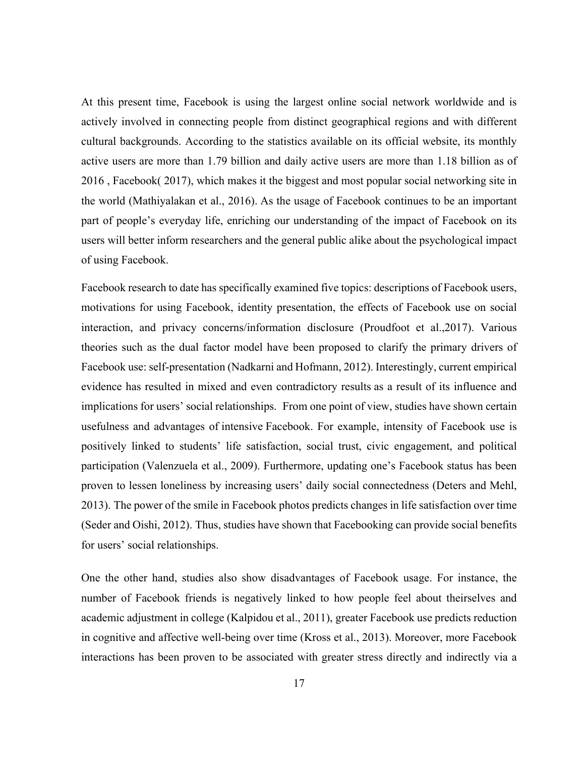At this present time, Facebook is using the largest online social network worldwide and is actively involved in connecting people from distinct geographical regions and with different cultural backgrounds. According to the statistics available on its official website, its monthly active users are more than 1.79 billion and daily active users are more than 1.18 billion as of 2016 , [Facebook\( 2017\)](https://www.ncbi.nlm.nih.gov/pmc/articles/PMC5281564/#B8), which makes it the biggest and most popular social networking site in the world (Mathiyalakan et al[., 2016\)](https://www.sciencedirect.com/science/article/pii/S0747563217304764#bib15). As the usage of Facebook continues to be an important part of people's everyday life, enriching our understanding of the impact of Facebook on its users will better inform researchers and the general public alike about the psychological impact of using Facebook.

Facebook research to date has specifically examined five topics: descriptions of Facebook users, motivations for using Facebook, identity presentation, the effects of Facebook use on social interaction, and privacy concerns/information disclosure [\(Proudfoot et al.,2017](https://www.ncbi.nlm.nih.gov/pmc/articles/PMC5281564/#B39)). Various theories such as the dual factor model have been proposed to clarify the primary drivers of Facebook use: self-presentation [\(Nadkarni and Hofmann, 2012\)](https://www.ncbi.nlm.nih.gov/pmc/articles/PMC5281564/#B28). Interestingly, current empirical evidence has resulted in mixed and even contradictory results as a result of its influence and implications for users' social relationships. From one point of view, studies have shown certain usefulness and advantages of intensive Facebook. For example, intensity of Facebook use is positively linked to students' life satisfaction, social trust, civic engagement, and political participation [\(Valenzuela et al., 2009](https://www.ncbi.nlm.nih.gov/pmc/articles/PMC5281564/#B36)). Furthermore, updating one's Facebook status has been proven to lessen loneliness by increasing users' daily social connectedness (Deters and Mehl, 2013). The power of the smile in Facebook photos predicts changes in life satisfaction over time [\(Seder and Oishi, 2012](https://www.ncbi.nlm.nih.gov/pmc/articles/PMC5281564/#B30)). Thus, studies have shown that Facebooking can provide social benefits for users' social relationships.

One the other hand, studies also show disadvantages of Facebook usage. For instance, the number of Facebook friends is negatively linked to how people feel about theirselves and academic adjustment in college ([Kalpidou et al., 2011](https://www.ncbi.nlm.nih.gov/pmc/articles/PMC5281564/#B20)), greater Facebook use predicts reduction in cognitive and affective well-being over time [\(Kross et al., 2013](https://www.ncbi.nlm.nih.gov/pmc/articles/PMC5281564/#B24)). Moreover, more Facebook interactions has been proven to be associated with greater stress directly and indirectly via a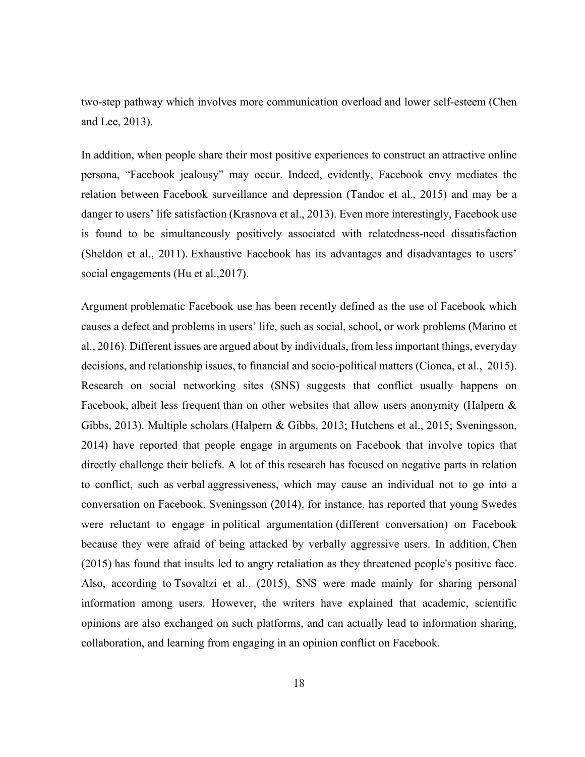two-step pathway which involves more communication overload and lower self-esteem ([Chen](https://www.ncbi.nlm.nih.gov/pmc/articles/PMC5281564/#B2)  [and Lee, 2013](https://www.ncbi.nlm.nih.gov/pmc/articles/PMC5281564/#B2)).

In addition, when people share their most positive experiences to construct an attractive online persona, "Facebook jealousy" may occur. Indeed, evidently, Facebook envy mediates the relation between Facebook surveillance and depression ([Tandoc et al., 2015](https://www.ncbi.nlm.nih.gov/pmc/articles/PMC5281564/#B35)) and may be a danger to users' life satisfaction [\(Krasnova et al., 2013\)](https://www.ncbi.nlm.nih.gov/pmc/articles/PMC5281564/#B21). Even more interestingly, Facebook use is found to be simultaneously positively associated with relatedness-need dissatisfaction [\(Sheldon et al., 2011\)](https://www.ncbi.nlm.nih.gov/pmc/articles/PMC5281564/#B33). Exhaustive Facebook has its advantages and disadvantages to users' social engagements (Hu et al., 2017).

Argument problematic Facebook use has been recently defined as the use of Facebook which causes a defect and problems in users' life, such as social, school, or work problems [\(Marino et](https://www.sciencedirect.com/science/article/pii/S0165032717307012#bib51)  [al., 2016](https://www.sciencedirect.com/science/article/pii/S0165032717307012#bib51)). Different issues are argued about by individuals, from less important things, everyday decisions, and relationship issues, to financial and socio-political matters [\(Cionea, et al., 2015](https://www.sciencedirect.com/science/article/pii/S0747563217304764#bib12)). Research on social networking sites (SNS) suggests that conflict usually happens on Facebook, albeit less frequent than on other websites that allow users anonymity [\(Halpern &](https://www.sciencedirect.com/science/article/pii/S0747563217304764#bib23)  [Gibbs, 2013](https://www.sciencedirect.com/science/article/pii/S0747563217304764#bib23)). Multiple scholars [\(Halpern & Gibbs, 2013; Hutchens et al., 2015; Sveningsson,](https://www.sciencedirect.com/science/article/pii/S0747563217304764#bib23)  [2014](https://www.sciencedirect.com/science/article/pii/S0747563217304764#bib23)) have reported that people engage in arguments on Facebook that involve topics that directly challenge their beliefs. A lot of this research has focused on negative parts in relation to conflict, such as verbal aggressiveness, which may cause an individual not to go into a conversation on Facebook. [Sveningsson \(2014\)](https://www.sciencedirect.com/science/article/pii/S0747563217304764#bib59), for instance, has reported that young Swedes were reluctant to engage in political argumentation (different conversation) on Facebook because they were afraid of being attacked by verbally aggressive users. In addition, [Chen](https://www.sciencedirect.com/science/article/pii/S0747563217304764#bib9)  [\(2015\)](https://www.sciencedirect.com/science/article/pii/S0747563217304764#bib9) has found that insults led to angry retaliation as they threatened people's positive face. Also, according to [Tsovaltzi et al., \(2015\),](https://www.sciencedirect.com/science/article/pii/S0747563217304764#bib63) SNS were made mainly for sharing personal information among users. However, the writers have explained that academic, scientific opinions are also exchanged on such platforms, and can actually lead to information sharing, collaboration, and learning from engaging in an opinion conflict on Facebook.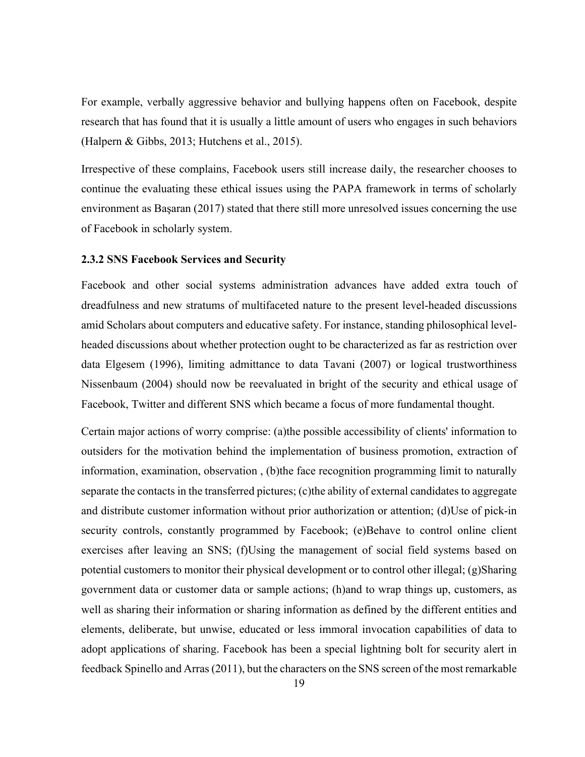For example, verbally aggressive behavior and bullying happens often on Facebook, despite research that has found that it is usually a little amount of users who engages in such behaviors [\(Halpern & Gibbs, 2013; Hutchens et al., 2015\)](https://www.sciencedirect.com/science/article/pii/S0747563217304764#bib23).

Irrespective of these complains, Facebook users still increase daily, the researcher chooses to continue the evaluating these ethical issues using the PAPA framework in terms of scholarly environment as Başaran (2017) stated that there still more unresolved issues concerning the use of Facebook in scholarly system.

#### <span id="page-32-0"></span>**2.3.2 SNS Facebook Services and Security**

Facebook and other social systems administration advances have added extra touch of dreadfulness and new stratums of multifaceted nature to the present level-headed discussions amid Scholars about computers and educative safety. For instance, standing philosophical levelheaded discussions about whether protection ought to be characterized as far as restriction over data Elgesem (1996), limiting admittance to data Tavani (2007) or logical trustworthiness Nissenbaum (2004) should now be reevaluated in bright of the security and ethical usage of Facebook, Twitter and different SNS which became a focus of more fundamental thought.

Certain major actions of worry comprise: (a)the possible accessibility of clients' information to outsiders for the motivation behind the implementation of business promotion, extraction of information, examination, observation , (b)the face recognition programming limit to naturally separate the contacts in the transferred pictures; (c)the ability of external candidates to aggregate and distribute customer information without prior authorization or attention; (d)Use of pick-in security controls, constantly programmed by Facebook; (e)Behave to control online client exercises after leaving an SNS; (f)Using the management of social field systems based on potential customers to monitor their physical development or to control other illegal; (g)Sharing government data or customer data or sample actions; (h)and to wrap things up, customers, as well as sharing their information or sharing information as defined by the different entities and elements, deliberate, but unwise, educated or less immoral invocation capabilities of data to adopt applications of sharing. Facebook has been a special lightning bolt for security alert in feedback Spinello and Arras (2011), but the characters on the SNS screen of the most remarkable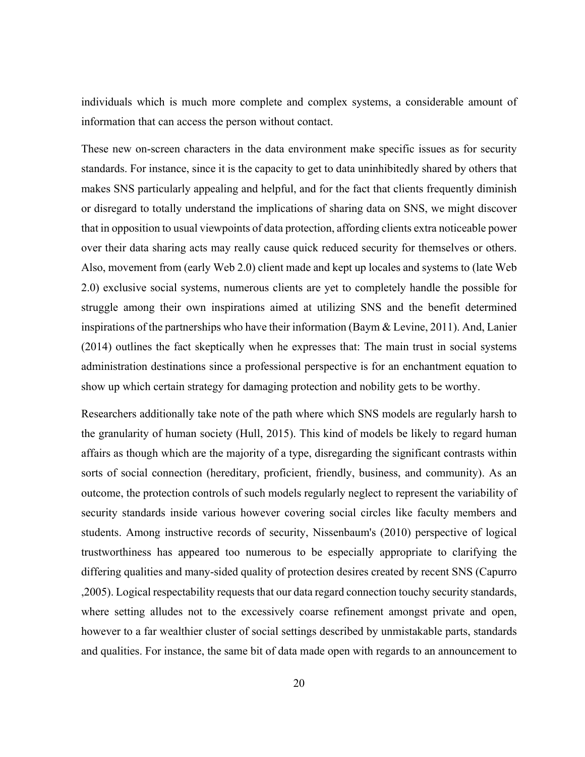individuals which is much more complete and complex systems, a considerable amount of information that can access the person without contact.

These new on-screen characters in the data environment make specific issues as for security standards. For instance, since it is the capacity to get to data uninhibitedly shared by others that makes SNS particularly appealing and helpful, and for the fact that clients frequently diminish or disregard to totally understand the implications of sharing data on SNS, we might discover that in opposition to usual viewpoints of data protection, affording clients extra noticeable power over their data sharing acts may really cause quick reduced security for themselves or others. Also, movement from (early Web 2.0) client made and kept up locales and systems to (late Web 2.0) exclusive social systems, numerous clients are yet to completely handle the possible for struggle among their own inspirations aimed at utilizing SNS and the benefit determined inspirations of the partnerships who have their information (Baym & Levine, 2011). And, Lanier (2014) outlines the fact skeptically when he expresses that: The main trust in social systems administration destinations since a professional perspective is for an enchantment equation to show up which certain strategy for damaging protection and nobility gets to be worthy.

Researchers additionally take note of the path where which SNS models are regularly harsh to the granularity of human society (Hull, 2015). This kind of models be likely to regard human affairs as though which are the majority of a type, disregarding the significant contrasts within sorts of social connection (hereditary, proficient, friendly, business, and community). As an outcome, the protection controls of such models regularly neglect to represent the variability of security standards inside various however covering social circles like faculty members and students. Among instructive records of security, Nissenbaum's (2010) perspective of logical trustworthiness has appeared too numerous to be especially appropriate to clarifying the differing qualities and many-sided quality of protection desires created by recent SNS (Capurro ,2005). Logical respectability requests that our data regard connection touchy security standards, where setting alludes not to the excessively coarse refinement amongst private and open, however to a far wealthier cluster of social settings described by unmistakable parts, standards and qualities. For instance, the same bit of data made open with regards to an announcement to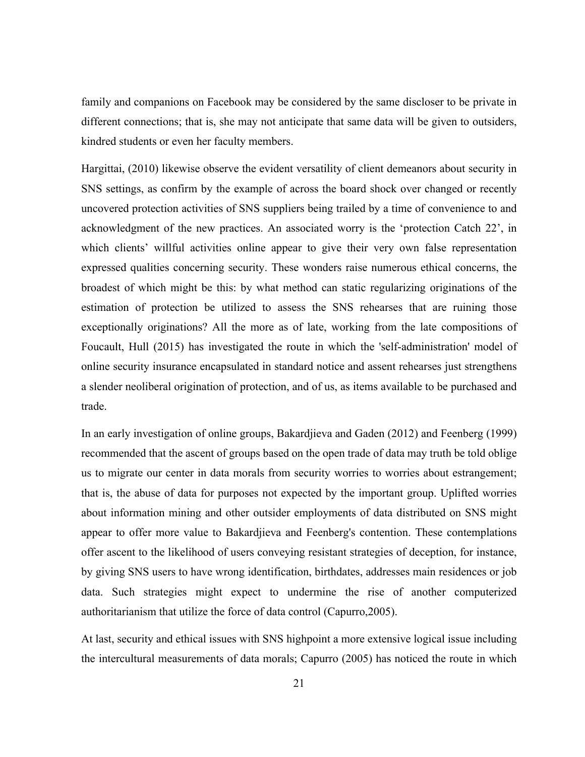family and companions on Facebook may be considered by the same discloser to be private in different connections; that is, she may not anticipate that same data will be given to outsiders, kindred students or even her faculty members.

Hargittai, (2010) likewise observe the evident versatility of client demeanors about security in SNS settings, as confirm by the example of across the board shock over changed or recently uncovered protection activities of SNS suppliers being trailed by a time of convenience to and acknowledgment of the new practices. An associated worry is the 'protection Catch 22', in which clients' willful activities online appear to give their very own false representation expressed qualities concerning security. These wonders raise numerous ethical concerns, the broadest of which might be this: by what method can static regularizing originations of the estimation of protection be utilized to assess the SNS rehearses that are ruining those exceptionally originations? All the more as of late, working from the late compositions of Foucault, Hull (2015) has investigated the route in which the 'self-administration' model of online security insurance encapsulated in standard notice and assent rehearses just strengthens a slender neoliberal origination of protection, and of us, as items available to be purchased and trade.

In an early investigation of online groups, Bakardjieva and Gaden (2012) and Feenberg (1999) recommended that the ascent of groups based on the open trade of data may truth be told oblige us to migrate our center in data morals from security worries to worries about estrangement; that is, the abuse of data for purposes not expected by the important group. Uplifted worries about information mining and other outsider employments of data distributed on SNS might appear to offer more value to Bakardjieva and Feenberg's contention. These contemplations offer ascent to the likelihood of users conveying resistant strategies of deception, for instance, by giving SNS users to have wrong identification, birthdates, addresses main residences or job data. Such strategies might expect to undermine the rise of another computerized authoritarianism that utilize the force of data control (Capurro,2005).

At last, security and ethical issues with SNS highpoint a more extensive logical issue including the intercultural measurements of data morals; Capurro (2005) has noticed the route in which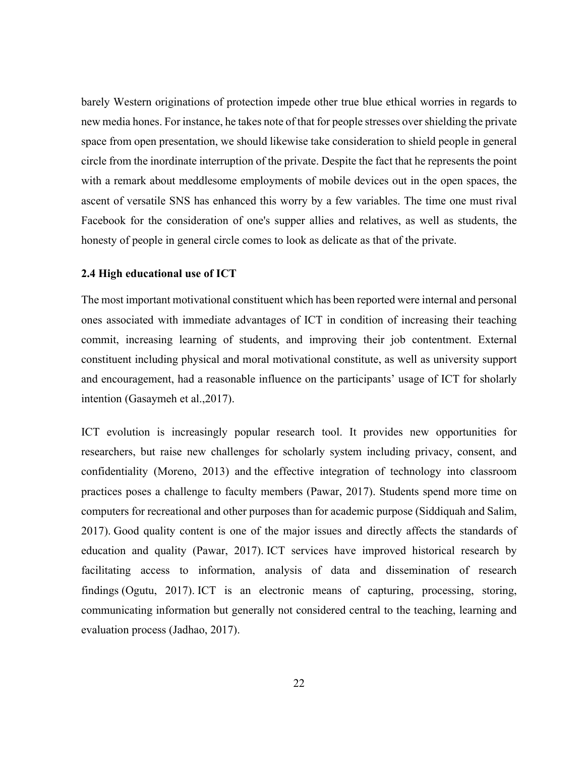barely Western originations of protection impede other true blue ethical worries in regards to new media hones. For instance, he takes note of that for people stresses over shielding the private space from open presentation, we should likewise take consideration to shield people in general circle from the inordinate interruption of the private. Despite the fact that he represents the point with a remark about meddlesome employments of mobile devices out in the open spaces, the ascent of versatile SNS has enhanced this worry by a few variables. The time one must rival Facebook for the consideration of one's supper allies and relatives, as well as students, the honesty of people in general circle comes to look as delicate as that of the private.

#### <span id="page-35-0"></span>**2.4 High educational use of ICT**

The most important motivational constituent which has been reported were internal and personal ones associated with immediate advantages of ICT in condition of increasing their teaching commit, increasing learning of students, and improving their job contentment. External constituent including physical and moral motivational constitute, as well as university support and encouragement, had a reasonable influence on the participants' usage of ICT for sholarly intention (Gasaymeh et al.,2017).

ICT evolution is increasingly popular research tool. It provides new opportunities for researchers, but raise new challenges for scholarly system including privacy, consent, and confidentiality (Moreno, 2013) and the effective integration of technology into classroom practices poses a challenge to faculty members (Pawar, 2017). Students spend more time on computers for recreational and other purposes than for academic purpose (Siddiquah and Salim, 2017). Good quality content is one of the major issues and directly affects the standards of education and quality (Pawar, 2017). ICT services have improved historical research by facilitating access to information, analysis of data and dissemination of research findings (Ogutu, 2017). ICT is an electronic means of capturing, processing, storing, communicating information but generally not considered central to the teaching, learning and evaluation process (Jadhao, 2017).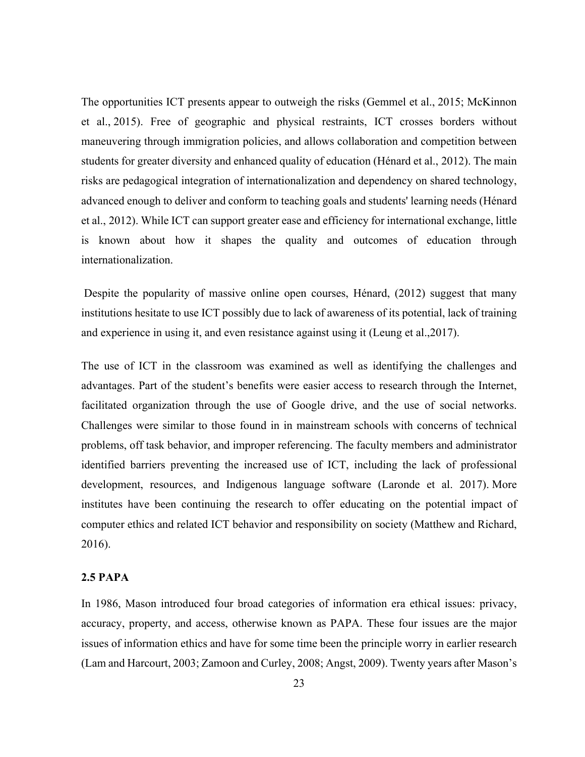The opportunities ICT presents appear to outweigh the risks (Gemmel et al., [2015](http://onlinelibrary.wiley.com/doi/10.1111/nhs.12369/full#nhs12369-bib-0012); McKinnon et al., [2015\)](http://onlinelibrary.wiley.com/doi/10.1111/nhs.12369/full#nhs12369-bib-0021). Free of geographic and physical restraints, ICT crosses borders without maneuvering through immigration policies, and allows collaboration and competition between students for greater diversity and enhanced quality of education (Hénard et al., [2012](http://onlinelibrary.wiley.com/doi/10.1111/nhs.12369/full#nhs12369-bib-0013)). The main risks are pedagogical integration of internationalization and dependency on shared technology, advanced enough to deliver and conform to teaching goals and students' learning needs (Hénard et al., [2012\)](http://onlinelibrary.wiley.com/doi/10.1111/nhs.12369/full#nhs12369-bib-0013). While ICT can support greater ease and efficiency for international exchange, little is known about how it shapes the quality and outcomes of education through internationalization.

 Despite the popularity of massive online open courses, Hénard, (2012) suggest that many institutions hesitate to use ICT possibly due to lack of awareness of its potential, lack of training and experience in using it, and even resistance against using it (Leung et al.,2017).

The use of ICT in the classroom was examined as well as identifying the challenges and advantages. Part of the student's benefits were easier access to research through the Internet, facilitated organization through the use of Google drive, and the use of social networks. Challenges were similar to those found in in mainstream schools with concerns of technical problems, off task behavior, and improper referencing. The faculty members and administrator identified barriers preventing the increased use of ICT, including the lack of professional development, resources, and Indigenous language software (Laronde et al. 2017). More institutes have been continuing the research to offer educating on the potential impact of computer ethics and related ICT behavior and responsibility on society (Matthew and Richard, 2016).

## **2.5 PAPA**

In 1986, Mason introduced four broad categories of information era ethical issues: privacy, accuracy, property, and access, otherwise known as PAPA. These four issues are the major issues of information ethics and have for some time been the principle worry in earlier research (Lam and Harcourt, 2003; Zamoon and Curley, 2008; Angst, 2009). Twenty years after Mason's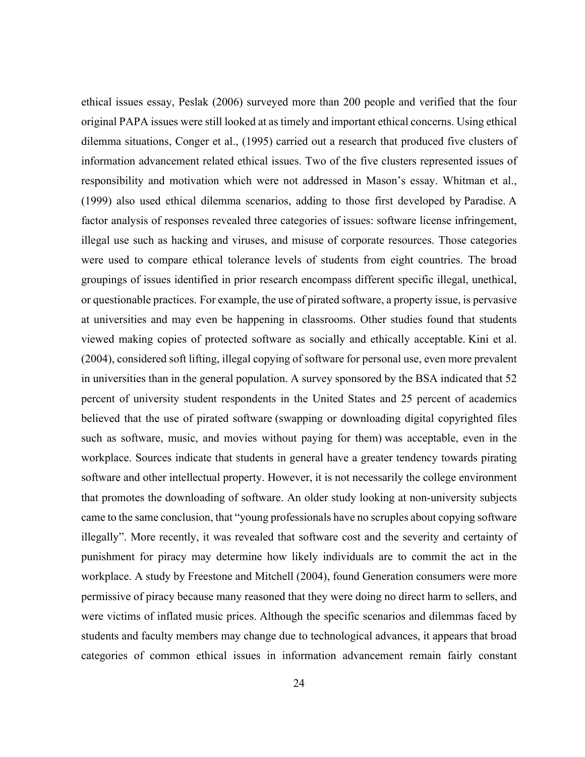ethical issues essay, Peslak (2006) surveyed more than 200 people and verified that the four original PAPA issues were still looked at as timely and important ethical concerns. Using ethical dilemma situations, Conger et al., (1995) carried out a research that produced five clusters of information advancement related ethical issues. Two of the five clusters represented issues of responsibility and motivation which were not addressed in Mason's essay. Whitman et al., (1999) also used ethical dilemma scenarios, adding to those first developed by Paradise. A factor analysis of responses revealed three categories of issues: software license infringement, illegal use such as hacking and viruses, and misuse of corporate resources. Those categories were used to compare ethical tolerance levels of students from eight countries. The broad groupings of issues identified in prior research encompass different specific illegal, unethical, or questionable practices. For example, the use of pirated software, a property issue, is pervasive at universities and may even be happening in classrooms. Other studies found that students viewed making copies of protected software as socially and ethically acceptable. Kini et al. (2004), considered soft lifting, illegal copying of software for personal use, even more prevalent in universities than in the general population. A survey sponsored by the BSA indicated that 52 percent of university student respondents in the United States and 25 percent of academics believed that the use of pirated software (swapping or downloading digital copyrighted files such as software, music, and movies without paying for them) was acceptable, even in the workplace. Sources indicate that students in general have a greater tendency towards pirating software and other intellectual property. However, it is not necessarily the college environment that promotes the downloading of software. An older study looking at non-university subjects came to the same conclusion, that "young professionals have no scruples about copying software illegally". More recently, it was revealed that software cost and the severity and certainty of punishment for piracy may determine how likely individuals are to commit the act in the workplace. A study by Freestone and Mitchell (2004), found Generation consumers were more permissive of piracy because many reasoned that they were doing no direct harm to sellers, and were victims of inflated music prices. Although the specific scenarios and dilemmas faced by students and faculty members may change due to technological advances, it appears that broad categories of common ethical issues in information advancement remain fairly constant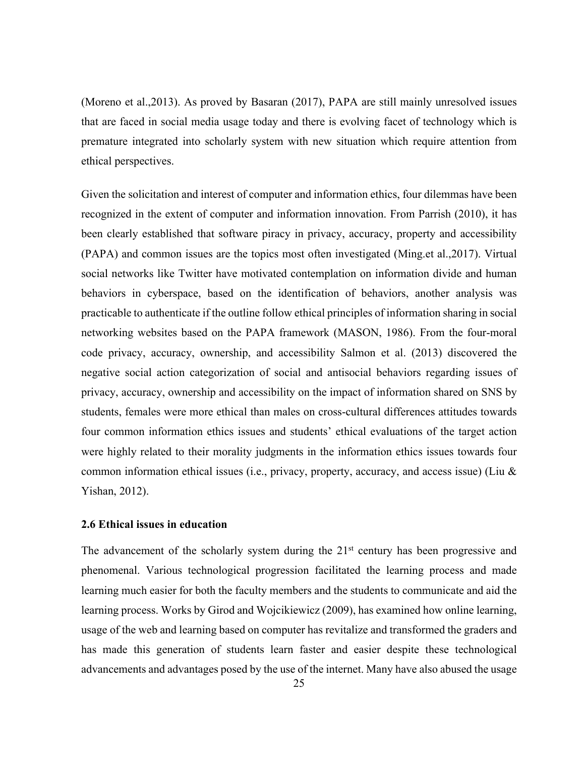(Moreno et al.,2013). As proved by Basaran (2017), PAPA are still mainly unresolved issues that are faced in social media usage today and there is evolving facet of technology which is premature integrated into scholarly system with new situation which require attention from ethical perspectives.

Given the solicitation and interest of computer and information ethics, four dilemmas have been recognized in the extent of computer and information innovation. From Parrish (2010), it has been clearly established that software piracy in privacy, accuracy, property and accessibility (PAPA) and common issues are the topics most often investigated (Ming.et al.,2017). Virtual social networks like Twitter have motivated contemplation on information divide and human behaviors in cyberspace, based on the identification of behaviors, another analysis was practicable to authenticate if the outline follow ethical principles of information sharing in social networking websites based on the PAPA framework (MASON, 1986). From the four-moral code privacy, accuracy, ownership, and accessibility Salmon et al. (2013) discovered the negative social action categorization of social and antisocial behaviors regarding issues of privacy, accuracy, ownership and accessibility on the impact of information shared on SNS by students, females were more ethical than males on cross-cultural differences attitudes towards four common information ethics issues and students' ethical evaluations of the target action were highly related to their morality judgments in the information ethics issues towards four common information ethical issues (i.e., privacy, property, accuracy, and access issue) (Liu & Yishan, 2012).

## **2.6 Ethical issues in education**

The advancement of the scholarly system during the 21<sup>st</sup> century has been progressive and phenomenal. Various technological progression facilitated the learning process and made learning much easier for both the faculty members and the students to communicate and aid the learning process. Works by Girod and Wojcikiewicz (2009), has examined how online learning, usage of the web and learning based on computer has revitalize and transformed the graders and has made this generation of students learn faster and easier despite these technological advancements and advantages posed by the use of the internet. Many have also abused the usage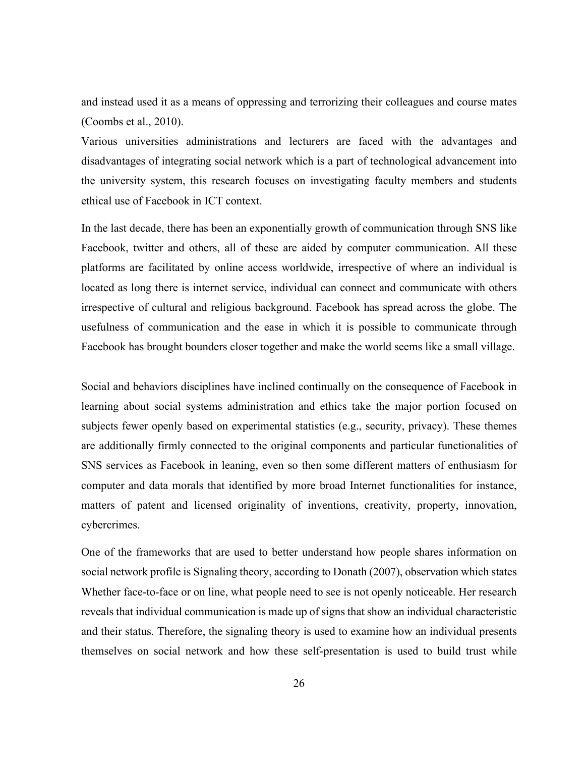and instead used it as a means of oppressing and terrorizing their colleagues and course mates (Coombs et al., 2010).

Various universities administrations and lecturers are faced with the advantages and disadvantages of integrating social network which is a part of technological advancement into the university system, this research focuses on investigating faculty members and students ethical use of Facebook in ICT context.

In the last decade, there has been an exponentially growth of communication through SNS like Facebook, twitter and others, all of these are aided by computer communication. All these platforms are facilitated by online access worldwide, irrespective of where an individual is located as long there is internet service, individual can connect and communicate with others irrespective of cultural and religious background. Facebook has spread across the globe. The usefulness of communication and the ease in which it is possible to communicate through Facebook has brought bounders closer together and make the world seems like a small village.

Social and behaviors disciplines have inclined continually on the consequence of Facebook in learning about social systems administration and ethics take the major portion focused on subjects fewer openly based on experimental statistics (e.g., security, privacy). These themes are additionally firmly connected to the original components and particular functionalities of SNS services as Facebook in leaning, even so then some different matters of enthusiasm for computer and data morals that identified by more broad Internet functionalities for instance, matters of patent and licensed originality of inventions, creativity, property, innovation, cybercrimes.

One of the frameworks that are used to better understand how people shares information on social network profile is Signaling theory, according to Donath (2007), observation which states Whether face-to-face or on line, what people need to see is not openly noticeable. Her research reveals that individual communication is made up of signs that show an individual characteristic and their status. Therefore, the signaling theory is used to examine how an individual presents themselves on social network and how these self-presentation is used to build trust while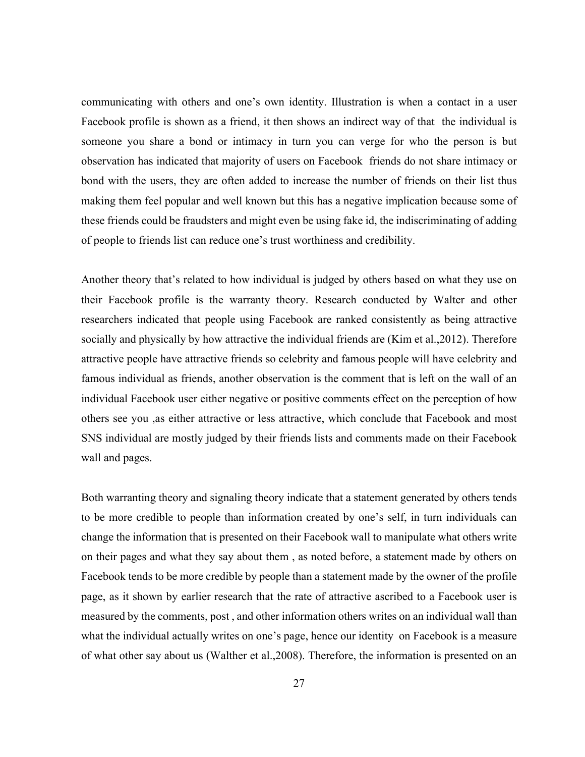communicating with others and one's own identity. Illustration is when a contact in a user Facebook profile is shown as a friend, it then shows an indirect way of that the individual is someone you share a bond or intimacy in turn you can verge for who the person is but observation has indicated that majority of users on Facebook friends do not share intimacy or bond with the users, they are often added to increase the number of friends on their list thus making them feel popular and well known but this has a negative implication because some of these friends could be fraudsters and might even be using fake id, the indiscriminating of adding of people to friends list can reduce one's trust worthiness and credibility.

Another theory that's related to how individual is judged by others based on what they use on their Facebook profile is the warranty theory. Research conducted by Walter and other researchers indicated that people using Facebook are ranked consistently as being attractive socially and physically by how attractive the individual friends are (Kim et al.,2012). Therefore attractive people have attractive friends so celebrity and famous people will have celebrity and famous individual as friends, another observation is the comment that is left on the wall of an individual Facebook user either negative or positive comments effect on the perception of how others see you ,as either attractive or less attractive, which conclude that Facebook and most SNS individual are mostly judged by their friends lists and comments made on their Facebook wall and pages.

Both warranting theory and signaling theory indicate that a statement generated by others tends to be more credible to people than information created by one's self, in turn individuals can change the information that is presented on their Facebook wall to manipulate what others write on their pages and what they say about them , as noted before, a statement made by others on Facebook tends to be more credible by people than a statement made by the owner of the profile page, as it shown by earlier research that the rate of attractive ascribed to a Facebook user is measured by the comments, post , and other information others writes on an individual wall than what the individual actually writes on one's page, hence our identity on Facebook is a measure of what other say about us (Walther et al.,2008). Therefore, the information is presented on an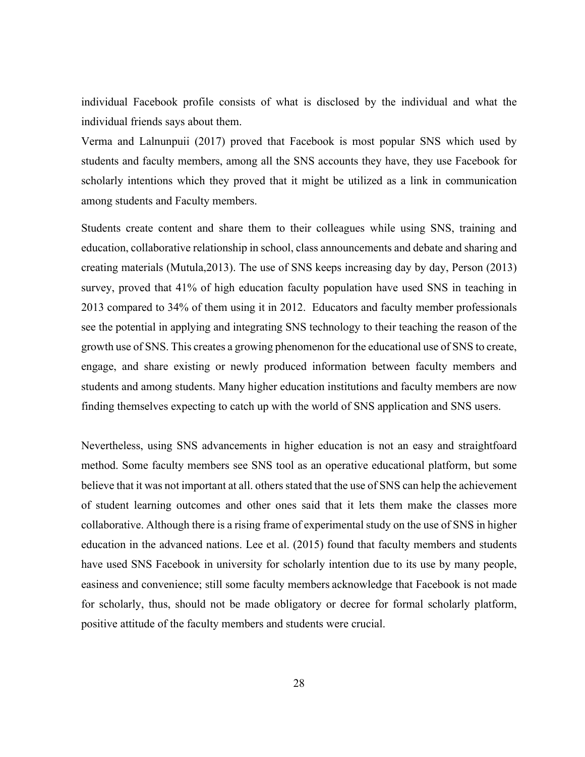individual Facebook profile consists of what is disclosed by the individual and what the individual friends says about them.

Verma and Lalnunpuii (2017) proved that Facebook is most popular SNS which used by students and faculty members, among all the SNS accounts they have, they use Facebook for scholarly intentions which they proved that it might be utilized as a link in communication among students and Faculty members.

Students create content and share them to their colleagues while using SNS, training and education, collaborative relationship in school, class announcements and debate and sharing and creating materials (Mutula,2013). The use of SNS keeps increasing day by day, Person (2013) survey, proved that 41% of high education faculty population have used SNS in teaching in 2013 compared to 34% of them using it in 2012. Educators and faculty member professionals see the potential in applying and integrating SNS technology to their teaching the reason of the growth use of SNS. This creates a growing phenomenon for the educational use of SNS to create, engage, and share existing or newly produced information between faculty members and students and among students. Many higher education institutions and faculty members are now finding themselves expecting to catch up with the world of SNS application and SNS users.

Nevertheless, using SNS advancements in higher education is not an easy and straightfoard method. Some faculty members see SNS tool as an operative educational platform, but some believe that it was not important at all. others stated that the use of SNS can help the achievement of student learning outcomes and other ones said that it lets them make the classes more collaborative. Although there is a rising frame of experimental study on the use of SNS in higher education in the advanced nations. Lee et al. (2015) found that faculty members and students have used SNS Facebook in university for scholarly intention due to its use by many people, easiness and convenience; still some faculty members acknowledge that Facebook is not made for scholarly, thus, should not be made obligatory or decree for formal scholarly platform, positive attitude of the faculty members and students were crucial.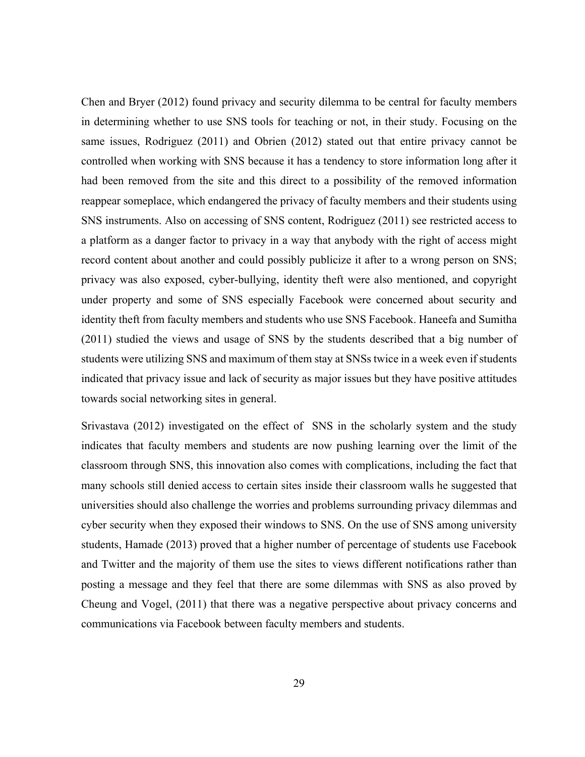Chen and Bryer (2012) found privacy and security dilemma to be central for faculty members in determining whether to use SNS tools for teaching or not, in their study. Focusing on the same issues, Rodriguez (2011) and Obrien (2012) stated out that entire privacy cannot be controlled when working with SNS because it has a tendency to store information long after it had been removed from the site and this direct to a possibility of the removed information reappear someplace, which endangered the privacy of faculty members and their students using SNS instruments. Also on accessing of SNS content, Rodriguez (2011) see restricted access to a platform as a danger factor to privacy in a way that anybody with the right of access might record content about another and could possibly publicize it after to a wrong person on SNS; privacy was also exposed, cyber-bullying, identity theft were also mentioned, and copyright under property and some of SNS especially Facebook were concerned about security and identity theft from faculty members and students who use SNS Facebook. Haneefa and Sumitha (2011) studied the views and usage of SNS by the students described that a big number of students were utilizing SNS and maximum of them stay at SNSs twice in a week even if students indicated that privacy issue and lack of security as major issues but they have positive attitudes towards social networking sites in general.

Srivastava (2012) investigated on the effect of SNS in the scholarly system and the study indicates that faculty members and students are now pushing learning over the limit of the classroom through SNS, this innovation also comes with complications, including the fact that many schools still denied access to certain sites inside their classroom walls he suggested that universities should also challenge the worries and problems surrounding privacy dilemmas and cyber security when they exposed their windows to SNS. On the use of SNS among university students, Hamade (2013) proved that a higher number of percentage of students use Facebook and Twitter and the majority of them use the sites to views different notifications rather than posting a message and they feel that there are some dilemmas with SNS as also proved by Cheung and Vogel, (2011) that there was a negative perspective about privacy concerns and communications via Facebook between faculty members and students.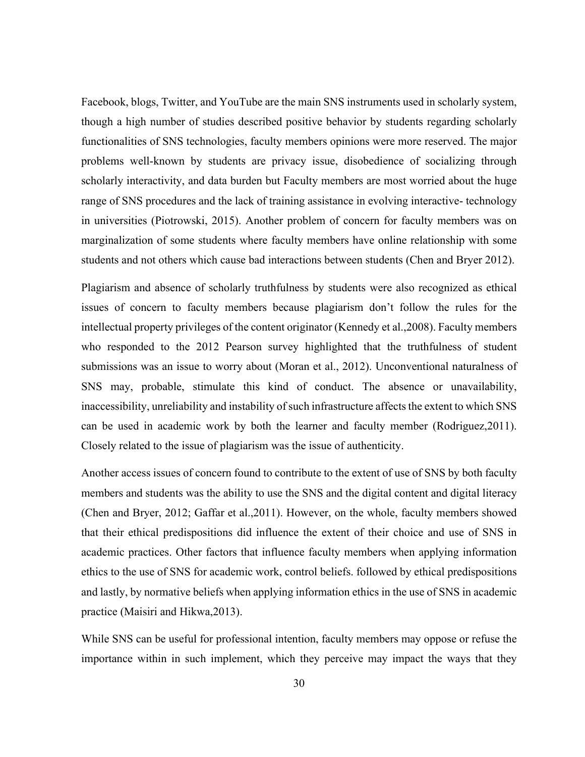Facebook, blogs, Twitter, and YouTube are the main SNS instruments used in scholarly system, though a high number of studies described positive behavior by students regarding scholarly functionalities of SNS technologies, faculty members opinions were more reserved. The major problems well-known by students are privacy issue, disobedience of socializing through scholarly interactivity, and data burden but Faculty members are most worried about the huge range of SNS procedures and the lack of training assistance in evolving interactive- technology in universities (Piotrowski, 2015). Another problem of concern for faculty members was on marginalization of some students where faculty members have online relationship with some students and not others which cause bad interactions between students (Chen and Bryer 2012).

Plagiarism and absence of scholarly truthfulness by students were also recognized as ethical issues of concern to faculty members because plagiarism don't follow the rules for the intellectual property privileges of the content originator (Kennedy et al.,2008). Faculty members who responded to the 2012 Pearson survey highlighted that the truthfulness of student submissions was an issue to worry about (Moran et al., 2012). Unconventional naturalness of SNS may, probable, stimulate this kind of conduct. The absence or unavailability, inaccessibility, unreliability and instability of such infrastructure affects the extent to which SNS can be used in academic work by both the learner and faculty member (Rodriguez,2011). Closely related to the issue of plagiarism was the issue of authenticity.

Another access issues of concern found to contribute to the extent of use of SNS by both faculty members and students was the ability to use the SNS and the digital content and digital literacy (Chen and Bryer, 2012; Gaffar et al.,2011). However, on the whole, faculty members showed that their ethical predispositions did influence the extent of their choice and use of SNS in academic practices. Other factors that influence faculty members when applying information ethics to the use of SNS for academic work, control beliefs. followed by ethical predispositions and lastly, by normative beliefs when applying information ethics in the use of SNS in academic practice (Maisiri and Hikwa,2013).

While SNS can be useful for professional intention, faculty members may oppose or refuse the importance within in such implement, which they perceive may impact the ways that they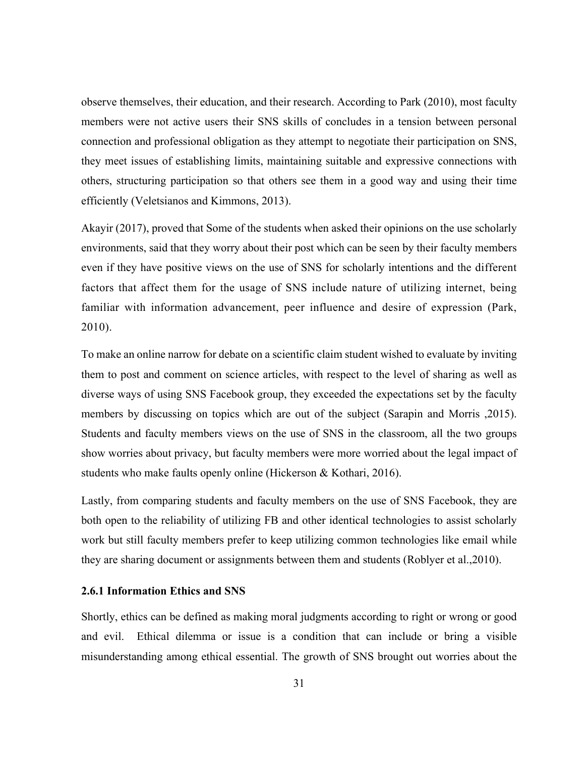observe themselves, their education, and their research. According to Park (2010), most faculty members were not active users their SNS skills of concludes in a tension between personal connection and professional obligation as they attempt to negotiate their participation on SNS, they meet issues of establishing limits, maintaining suitable and expressive connections with others, structuring participation so that others see them in a good way and using their time efficiently (Veletsianos and Kimmons, 2013).

Akayir (2017), proved that Some of the students when asked their opinions on the use scholarly environments, said that they worry about their post which can be seen by their faculty members even if they have positive views on the use of SNS for scholarly intentions and the different factors that affect them for the usage of SNS include nature of utilizing internet, being familiar with information advancement, peer influence and desire of expression (Park, 2010).

To make an online narrow for debate on a scientific claim student wished to evaluate by inviting them to post and comment on science articles, with respect to the level of sharing as well as diverse ways of using SNS Facebook group, they exceeded the expectations set by the faculty members by discussing on topics which are out of the subject (Sarapin and Morris ,2015). Students and faculty members views on the use of SNS in the classroom, all the two groups show worries about privacy, but faculty members were more worried about the legal impact of students who make faults openly online (Hickerson & Kothari, 2016).

Lastly, from comparing students and faculty members on the use of SNS Facebook, they are both open to the reliability of utilizing FB and other identical technologies to assist scholarly work but still faculty members prefer to keep utilizing common technologies like email while they are sharing document or assignments between them and students (Roblyer et al.,2010).

### **2.6.1 Information Ethics and SNS**

Shortly, ethics can be defined as making moral judgments according to right or wrong or good and evil. Ethical dilemma or issue is a condition that can include or bring a visible misunderstanding among ethical essential. The growth of SNS brought out worries about the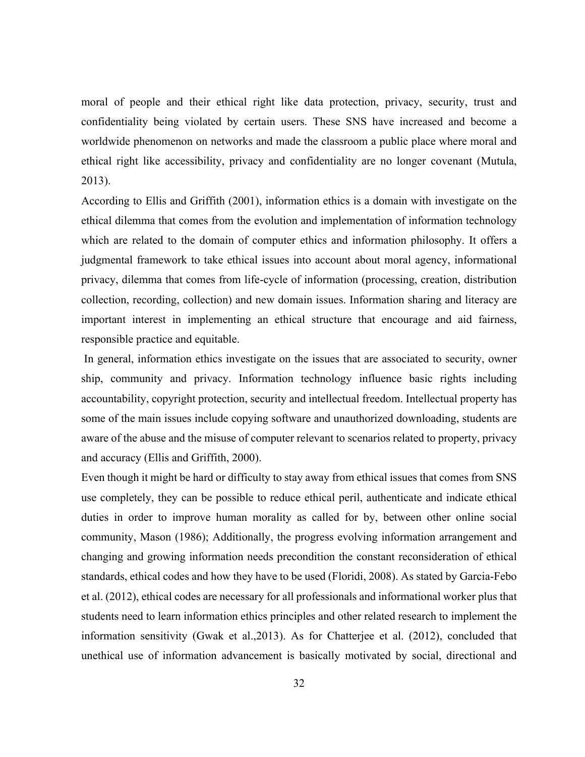moral of people and their ethical right like data protection, privacy, security, trust and confidentiality being violated by certain users. These SNS have increased and become a worldwide phenomenon on networks and made the classroom a public place where moral and ethical right like accessibility, privacy and confidentiality are no longer covenant (Mutula, 2013).

According to Ellis and Griffith (2001), information ethics is a domain with investigate on the ethical dilemma that comes from the evolution and implementation of information technology which are related to the domain of computer ethics and information philosophy. It offers a judgmental framework to take ethical issues into account about moral agency, informational privacy, dilemma that comes from life-cycle of information (processing, creation, distribution collection, recording, collection) and new domain issues. Information sharing and literacy are important interest in implementing an ethical structure that encourage and aid fairness, responsible practice and equitable.

 In general, information ethics investigate on the issues that are associated to security, owner ship, community and privacy. Information technology influence basic rights including accountability, copyright protection, security and intellectual freedom. Intellectual property has some of the main issues include copying software and unauthorized downloading, students are aware of the abuse and the misuse of computer relevant to scenarios related to property, privacy and accuracy (Ellis and Griffith, 2000).

Even though it might be hard or difficulty to stay away from ethical issues that comes from SNS use completely, they can be possible to reduce ethical peril, authenticate and indicate ethical duties in order to improve human morality as called for by, between other online social community, Mason (1986); Additionally, the progress evolving information arrangement and changing and growing information needs precondition the constant reconsideration of ethical standards, ethical codes and how they have to be used (Floridi, 2008). As stated by Garcia-Febo et al. (2012), ethical codes are necessary for all professionals and informational worker plus that students need to learn information ethics principles and other related research to implement the information sensitivity (Gwak et al.,2013). As for Chatterjee et al. (2012), concluded that unethical use of information advancement is basically motivated by social, directional and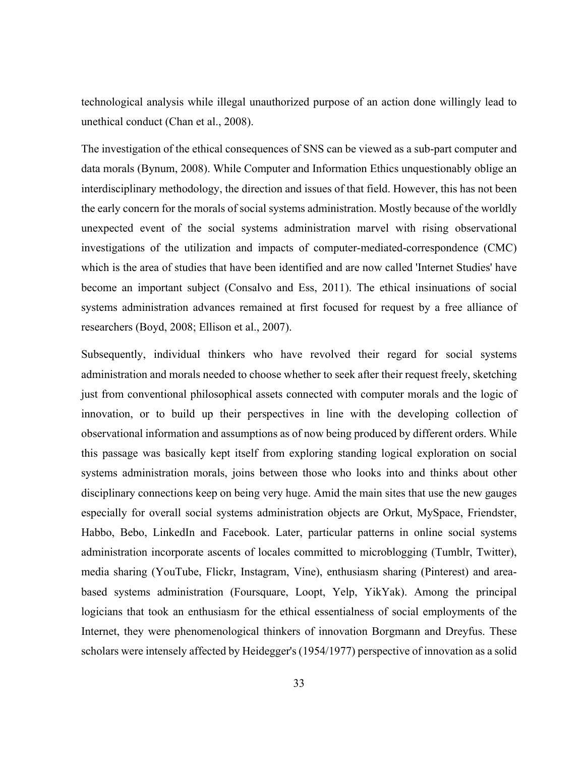technological analysis while illegal unauthorized purpose of an action done willingly lead to unethical conduct (Chan et al., 2008).

The investigation of the ethical consequences of SNS can be viewed as a sub-part computer and data morals (Bynum, 2008). While Computer and Information Ethics unquestionably oblige an interdisciplinary methodology, the direction and issues of that field. However, this has not been the early concern for the morals of social systems administration. Mostly because of the worldly unexpected event of the social systems administration marvel with rising observational investigations of the utilization and impacts of computer-mediated-correspondence (CMC) which is the area of studies that have been identified and are now called 'Internet Studies' have become an important subject (Consalvo and Ess, 2011). The ethical insinuations of social systems administration advances remained at first focused for request by a free alliance of researchers (Boyd, 2008; Ellison et al., 2007).

Subsequently, individual thinkers who have revolved their regard for social systems administration and morals needed to choose whether to seek after their request freely, sketching just from conventional philosophical assets connected with computer morals and the logic of innovation, or to build up their perspectives in line with the developing collection of observational information and assumptions as of now being produced by different orders. While this passage was basically kept itself from exploring standing logical exploration on social systems administration morals, joins between those who looks into and thinks about other disciplinary connections keep on being very huge. Amid the main sites that use the new gauges especially for overall social systems administration objects are Orkut, MySpace, Friendster, Habbo, Bebo, LinkedIn and Facebook. Later, particular patterns in online social systems administration incorporate ascents of locales committed to microblogging (Tumblr, Twitter), media sharing (YouTube, Flickr, Instagram, Vine), enthusiasm sharing (Pinterest) and areabased systems administration (Foursquare, Loopt, Yelp, YikYak). Among the principal logicians that took an enthusiasm for the ethical essentialness of social employments of the Internet, they were phenomenological thinkers of innovation Borgmann and Dreyfus. These scholars were intensely affected by Heidegger's (1954/1977) perspective of innovation as a solid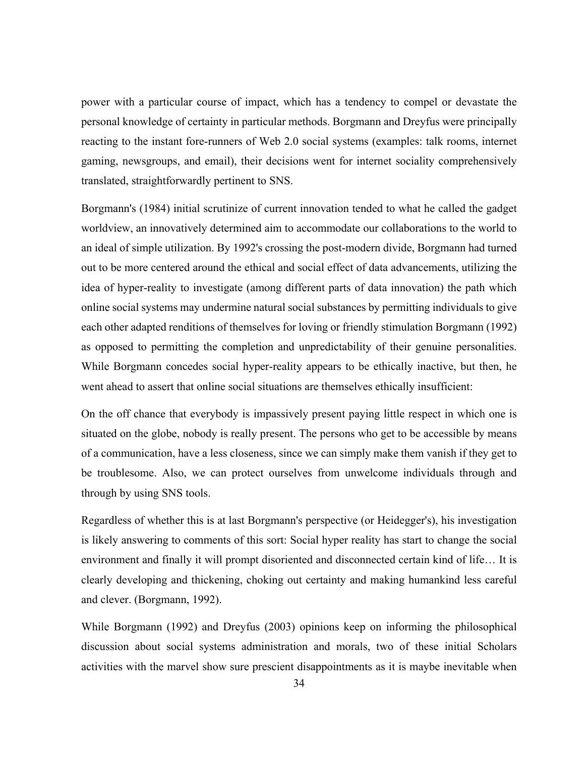power with a particular course of impact, which has a tendency to compel or devastate the personal knowledge of certainty in particular methods. Borgmann and Dreyfus were principally reacting to the instant fore-runners of Web 2.0 social systems (examples: talk rooms, internet gaming, newsgroups, and email), their decisions went for internet sociality comprehensively translated, straightforwardly pertinent to SNS.

Borgmann's (1984) initial scrutinize of current innovation tended to what he called the gadget worldview, an innovatively determined aim to accommodate our collaborations to the world to an ideal of simple utilization. By 1992's crossing the post-modern divide, Borgmann had turned out to be more centered around the ethical and social effect of data advancements, utilizing the idea of hyper-reality to investigate (among different parts of data innovation) the path which online social systems may undermine natural social substances by permitting individuals to give each other adapted renditions of themselves for loving or friendly stimulation Borgmann (1992) as opposed to permitting the completion and unpredictability of their genuine personalities. While Borgmann concedes social hyper-reality appears to be ethically inactive, but then, he went ahead to assert that online social situations are themselves ethically insufficient:

On the off chance that everybody is impassively present paying little respect in which one is situated on the globe, nobody is really present. The persons who get to be accessible by means of a communication, have a less closeness, since we can simply make them vanish if they get to be troublesome. Also, we can protect ourselves from unwelcome individuals through and through by using SNS tools.

Regardless of whether this is at last Borgmann's perspective (or Heidegger's), his investigation is likely answering to comments of this sort: Social hyper reality has start to change the social environment and finally it will prompt disoriented and disconnected certain kind of life… It is clearly developing and thickening, choking out certainty and making humankind less careful and clever. (Borgmann, 1992).

While Borgmann (1992) and Dreyfus (2003) opinions keep on informing the philosophical discussion about social systems administration and morals, two of these initial Scholars activities with the marvel show sure prescient disappointments as it is maybe inevitable when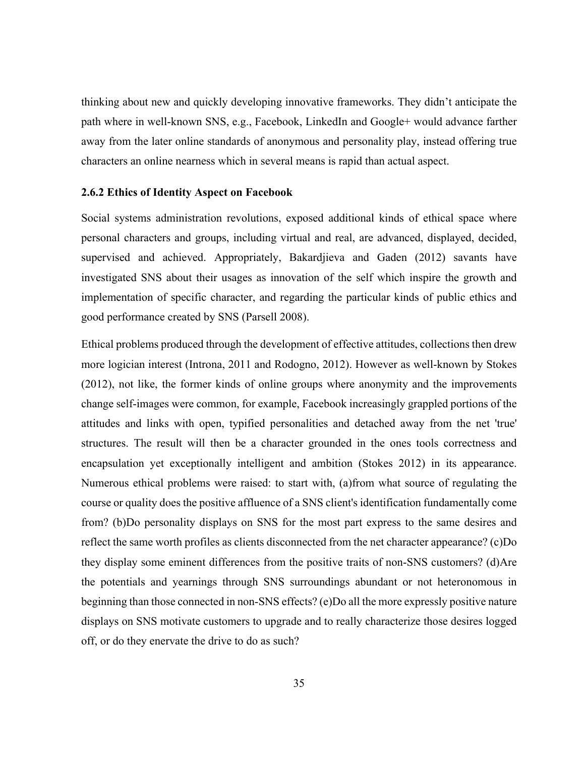thinking about new and quickly developing innovative frameworks. They didn't anticipate the path where in well-known SNS, e.g., Facebook, LinkedIn and Google+ would advance farther away from the later online standards of anonymous and personality play, instead offering true characters an online nearness which in several means is rapid than actual aspect.

#### **2.6.2 Ethics of Identity Aspect on Facebook**

Social systems administration revolutions, exposed additional kinds of ethical space where personal characters and groups, including virtual and real, are advanced, displayed, decided, supervised and achieved. Appropriately, Bakardjieva and Gaden (2012) savants have investigated SNS about their usages as innovation of the self which inspire the growth and implementation of specific character, and regarding the particular kinds of public ethics and good performance created by SNS (Parsell 2008).

Ethical problems produced through the development of effective attitudes, collections then drew more logician interest (Introna, 2011 and Rodogno, 2012). However as well-known by Stokes (2012), not like, the former kinds of online groups where anonymity and the improvements change self-images were common, for example, Facebook increasingly grappled portions of the attitudes and links with open, typified personalities and detached away from the net 'true' structures. The result will then be a character grounded in the ones tools correctness and encapsulation yet exceptionally intelligent and ambition (Stokes 2012) in its appearance. Numerous ethical problems were raised: to start with, (a)from what source of regulating the course or quality does the positive affluence of a SNS client's identification fundamentally come from? (b)Do personality displays on SNS for the most part express to the same desires and reflect the same worth profiles as clients disconnected from the net character appearance? (c)Do they display some eminent differences from the positive traits of non-SNS customers? (d)Are the potentials and yearnings through SNS surroundings abundant or not heteronomous in beginning than those connected in non-SNS effects? (e)Do all the more expressly positive nature displays on SNS motivate customers to upgrade and to really characterize those desires logged off, or do they enervate the drive to do as such?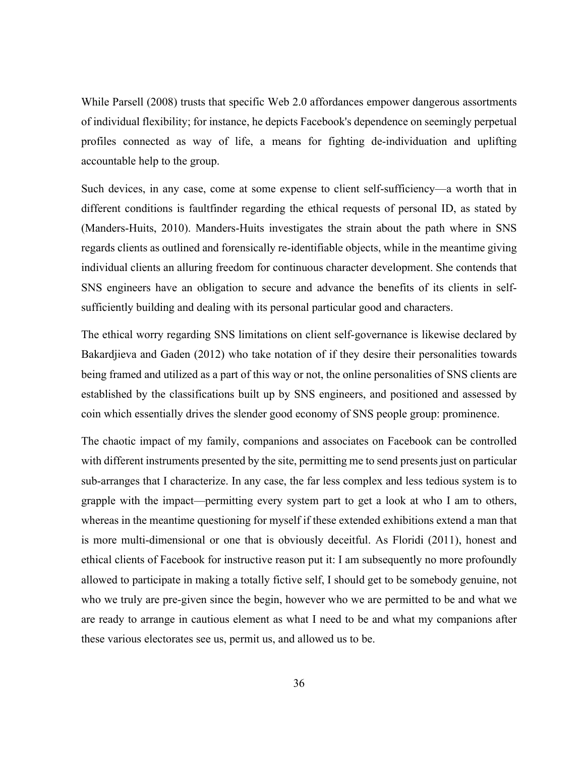While Parsell (2008) trusts that specific Web 2.0 affordances empower dangerous assortments of individual flexibility; for instance, he depicts Facebook's dependence on seemingly perpetual profiles connected as way of life, a means for fighting de-individuation and uplifting accountable help to the group.

Such devices, in any case, come at some expense to client self-sufficiency—a worth that in different conditions is faultfinder regarding the ethical requests of personal ID, as stated by (Manders-Huits, 2010). Manders-Huits investigates the strain about the path where in SNS regards clients as outlined and forensically re-identifiable objects, while in the meantime giving individual clients an alluring freedom for continuous character development. She contends that SNS engineers have an obligation to secure and advance the benefits of its clients in selfsufficiently building and dealing with its personal particular good and characters.

The ethical worry regarding SNS limitations on client self-governance is likewise declared by Bakardjieva and Gaden (2012) who take notation of if they desire their personalities towards being framed and utilized as a part of this way or not, the online personalities of SNS clients are established by the classifications built up by SNS engineers, and positioned and assessed by coin which essentially drives the slender good economy of SNS people group: prominence.

The chaotic impact of my family, companions and associates on Facebook can be controlled with different instruments presented by the site, permitting me to send presents just on particular sub-arranges that I characterize. In any case, the far less complex and less tedious system is to grapple with the impact—permitting every system part to get a look at who I am to others, whereas in the meantime questioning for myself if these extended exhibitions extend a man that is more multi-dimensional or one that is obviously deceitful. As Floridi (2011), honest and ethical clients of Facebook for instructive reason put it: I am subsequently no more profoundly allowed to participate in making a totally fictive self, I should get to be somebody genuine, not who we truly are pre-given since the begin, however who we are permitted to be and what we are ready to arrange in cautious element as what I need to be and what my companions after these various electorates see us, permit us, and allowed us to be.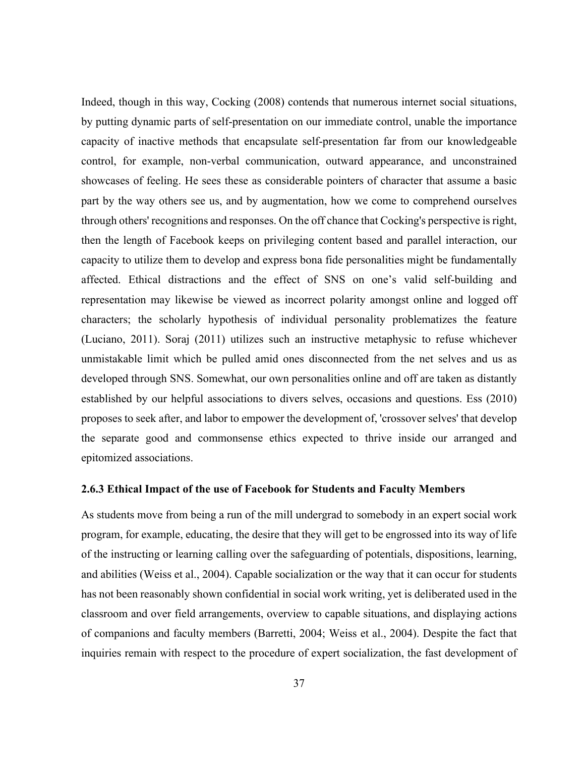Indeed, though in this way, Cocking (2008) contends that numerous internet social situations, by putting dynamic parts of self-presentation on our immediate control, unable the importance capacity of inactive methods that encapsulate self-presentation far from our knowledgeable control, for example, non-verbal communication, outward appearance, and unconstrained showcases of feeling. He sees these as considerable pointers of character that assume a basic part by the way others see us, and by augmentation, how we come to comprehend ourselves through others' recognitions and responses. On the off chance that Cocking's perspective is right, then the length of Facebook keeps on privileging content based and parallel interaction, our capacity to utilize them to develop and express bona fide personalities might be fundamentally affected. Ethical distractions and the effect of SNS on one's valid self-building and representation may likewise be viewed as incorrect polarity amongst online and logged off characters; the scholarly hypothesis of individual personality problematizes the feature (Luciano, 2011). Soraj (2011) utilizes such an instructive metaphysic to refuse whichever unmistakable limit which be pulled amid ones disconnected from the net selves and us as developed through SNS. Somewhat, our own personalities online and off are taken as distantly established by our helpful associations to divers selves, occasions and questions. Ess (2010) proposes to seek after, and labor to empower the development of, 'crossover selves' that develop the separate good and commonsense ethics expected to thrive inside our arranged and epitomized associations.

#### **2.6.3 Ethical Impact of the use of Facebook for Students and Faculty Members**

As students move from being a run of the mill undergrad to somebody in an expert social work program, for example, educating, the desire that they will get to be engrossed into its way of life of the instructing or learning calling over the safeguarding of potentials, dispositions, learning, and abilities (Weiss et al., 2004). Capable socialization or the way that it can occur for students has not been reasonably shown confidential in social work writing, yet is deliberated used in the classroom and over field arrangements, overview to capable situations, and displaying actions of companions and faculty members (Barretti, 2004; Weiss et al., 2004). Despite the fact that inquiries remain with respect to the procedure of expert socialization, the fast development of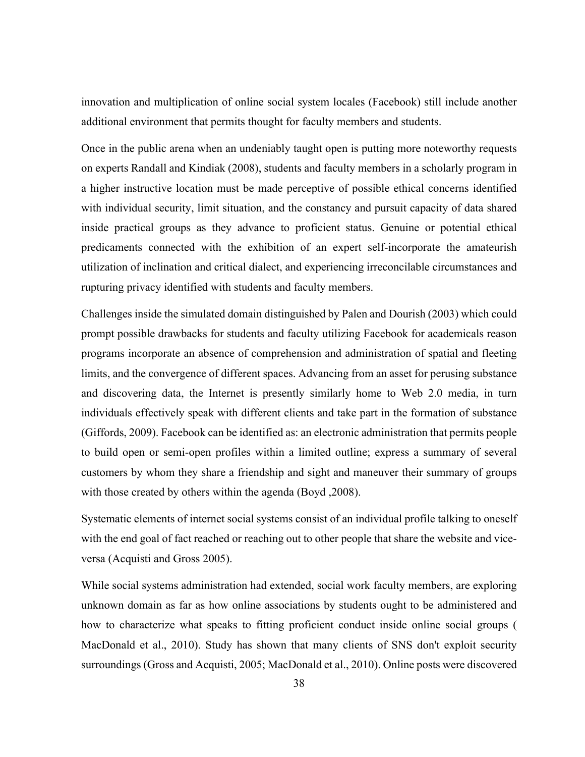innovation and multiplication of online social system locales (Facebook) still include another additional environment that permits thought for faculty members and students.

Once in the public arena when an undeniably taught open is putting more noteworthy requests on experts Randall and Kindiak (2008), students and faculty members in a scholarly program in a higher instructive location must be made perceptive of possible ethical concerns identified with individual security, limit situation, and the constancy and pursuit capacity of data shared inside practical groups as they advance to proficient status. Genuine or potential ethical predicaments connected with the exhibition of an expert self-incorporate the amateurish utilization of inclination and critical dialect, and experiencing irreconcilable circumstances and rupturing privacy identified with students and faculty members.

Challenges inside the simulated domain distinguished by Palen and Dourish (2003) which could prompt possible drawbacks for students and faculty utilizing Facebook for academicals reason programs incorporate an absence of comprehension and administration of spatial and fleeting limits, and the convergence of different spaces. Advancing from an asset for perusing substance and discovering data, the Internet is presently similarly home to Web 2.0 media, in turn individuals effectively speak with different clients and take part in the formation of substance (Giffords, 2009). Facebook can be identified as: an electronic administration that permits people to build open or semi-open profiles within a limited outline; express a summary of several customers by whom they share a friendship and sight and maneuver their summary of groups with those created by others within the agenda (Boyd ,2008).

Systematic elements of internet social systems consist of an individual profile talking to oneself with the end goal of fact reached or reaching out to other people that share the website and viceversa (Acquisti and Gross 2005).

While social systems administration had extended, social work faculty members, are exploring unknown domain as far as how online associations by students ought to be administered and how to characterize what speaks to fitting proficient conduct inside online social groups ( MacDonald et al., 2010). Study has shown that many clients of SNS don't exploit security surroundings (Gross and Acquisti, 2005; MacDonald et al., 2010). Online posts were discovered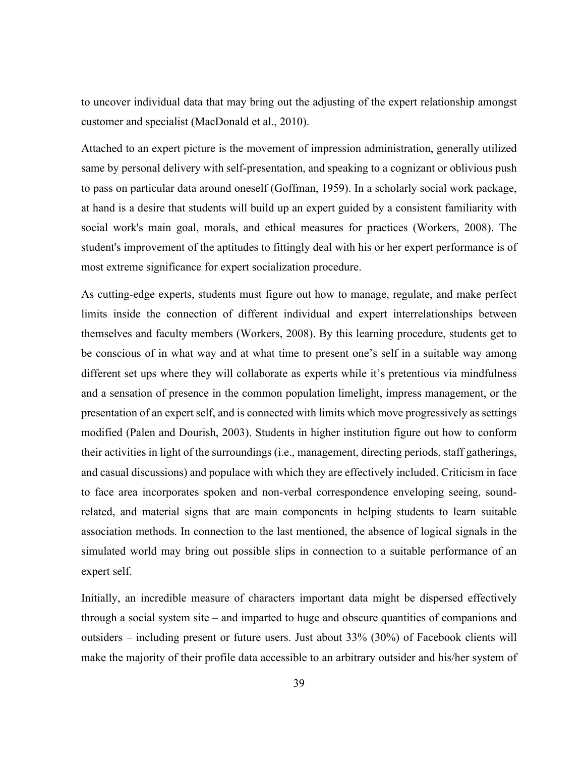to uncover individual data that may bring out the adjusting of the expert relationship amongst customer and specialist (MacDonald et al., 2010).

Attached to an expert picture is the movement of impression administration, generally utilized same by personal delivery with self-presentation, and speaking to a cognizant or oblivious push to pass on particular data around oneself (Goffman, 1959). In a scholarly social work package, at hand is a desire that students will build up an expert guided by a consistent familiarity with social work's main goal, morals, and ethical measures for practices (Workers, 2008). The student's improvement of the aptitudes to fittingly deal with his or her expert performance is of most extreme significance for expert socialization procedure.

As cutting-edge experts, students must figure out how to manage, regulate, and make perfect limits inside the connection of different individual and expert interrelationships between themselves and faculty members (Workers, 2008). By this learning procedure, students get to be conscious of in what way and at what time to present one's self in a suitable way among different set ups where they will collaborate as experts while it's pretentious via mindfulness and a sensation of presence in the common population limelight, impress management, or the presentation of an expert self, and is connected with limits which move progressively as settings modified (Palen and Dourish, 2003). Students in higher institution figure out how to conform their activities in light of the surroundings (i.e., management, directing periods, staff gatherings, and casual discussions) and populace with which they are effectively included. Criticism in face to face area incorporates spoken and non-verbal correspondence enveloping seeing, soundrelated, and material signs that are main components in helping students to learn suitable association methods. In connection to the last mentioned, the absence of logical signals in the simulated world may bring out possible slips in connection to a suitable performance of an expert self.

Initially, an incredible measure of characters important data might be dispersed effectively through a social system site – and imparted to huge and obscure quantities of companions and outsiders – including present or future users. Just about 33% (30%) of Facebook clients will make the majority of their profile data accessible to an arbitrary outsider and his/her system of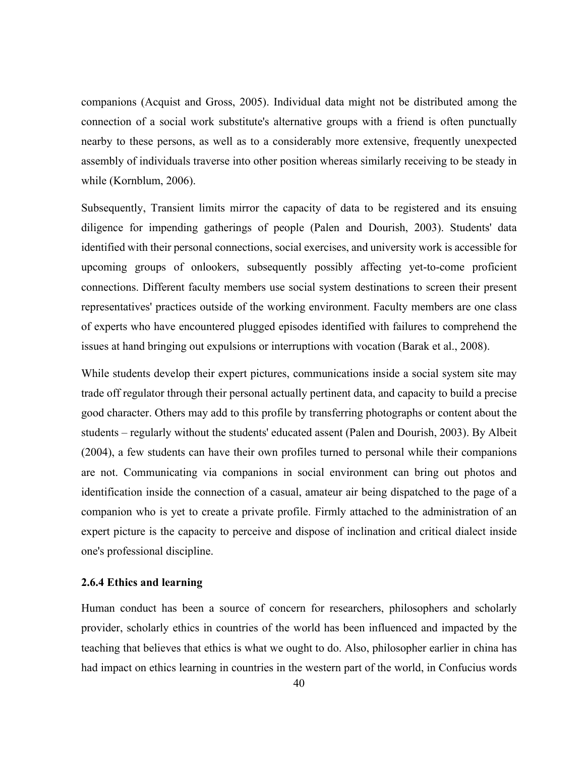companions (Acquist and Gross, 2005). Individual data might not be distributed among the connection of a social work substitute's alternative groups with a friend is often punctually nearby to these persons, as well as to a considerably more extensive, frequently unexpected assembly of individuals traverse into other position whereas similarly receiving to be steady in while (Kornblum, 2006).

Subsequently, Transient limits mirror the capacity of data to be registered and its ensuing diligence for impending gatherings of people (Palen and Dourish, 2003). Students' data identified with their personal connections, social exercises, and university work is accessible for upcoming groups of onlookers, subsequently possibly affecting yet-to-come proficient connections. Different faculty members use social system destinations to screen their present representatives' practices outside of the working environment. Faculty members are one class of experts who have encountered plugged episodes identified with failures to comprehend the issues at hand bringing out expulsions or interruptions with vocation (Barak et al., 2008).

While students develop their expert pictures, communications inside a social system site may trade off regulator through their personal actually pertinent data, and capacity to build a precise good character. Others may add to this profile by transferring photographs or content about the students – regularly without the students' educated assent (Palen and Dourish, 2003). By Albeit (2004), a few students can have their own profiles turned to personal while their companions are not. Communicating via companions in social environment can bring out photos and identification inside the connection of a casual, amateur air being dispatched to the page of a companion who is yet to create a private profile. Firmly attached to the administration of an expert picture is the capacity to perceive and dispose of inclination and critical dialect inside one's professional discipline.

## **2.6.4 Ethics and learning**

Human conduct has been a source of concern for researchers, philosophers and scholarly provider, scholarly ethics in countries of the world has been influenced and impacted by the teaching that believes that ethics is what we ought to do. Also, philosopher earlier in china has had impact on ethics learning in countries in the western part of the world, in Confucius words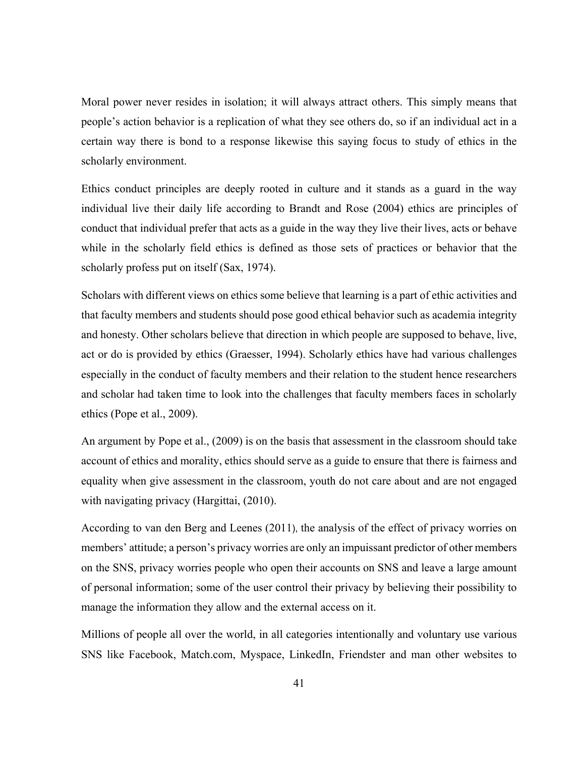Moral power never resides in isolation; it will always attract others. This simply means that people's action behavior is a replication of what they see others do, so if an individual act in a certain way there is bond to a response likewise this saying focus to study of ethics in the scholarly environment.

Ethics conduct principles are deeply rooted in culture and it stands as a guard in the way individual live their daily life according to Brandt and Rose (2004) ethics are principles of conduct that individual prefer that acts as a guide in the way they live their lives, acts or behave while in the scholarly field ethics is defined as those sets of practices or behavior that the scholarly profess put on itself (Sax, 1974).

Scholars with different views on ethics some believe that learning is a part of ethic activities and that faculty members and students should pose good ethical behavior such as academia integrity and honesty. Other scholars believe that direction in which people are supposed to behave, live, act or do is provided by ethics (Graesser, 1994). Scholarly ethics have had various challenges especially in the conduct of faculty members and their relation to the student hence researchers and scholar had taken time to look into the challenges that faculty members faces in scholarly ethics (Pope et al., 2009).

An argument by Pope et al., (2009) is on the basis that assessment in the classroom should take account of ethics and morality, ethics should serve as a guide to ensure that there is fairness and equality when give assessment in the classroom, youth do not care about and are not engaged with navigating privacy (Hargittai,  $(2010)$ .

According to van den Berg and Leenes (2011), the analysis of the effect of privacy worries on members' attitude; a person's privacy worries are only an impuissant predictor of other members on the SNS, privacy worries people who open their accounts on SNS and leave a large amount of personal information; some of the user control their privacy by believing their possibility to manage the information they allow and the external access on it.

Millions of people all over the world, in all categories intentionally and voluntary use various SNS like Facebook, Match.com, Myspace, LinkedIn, Friendster and man other websites to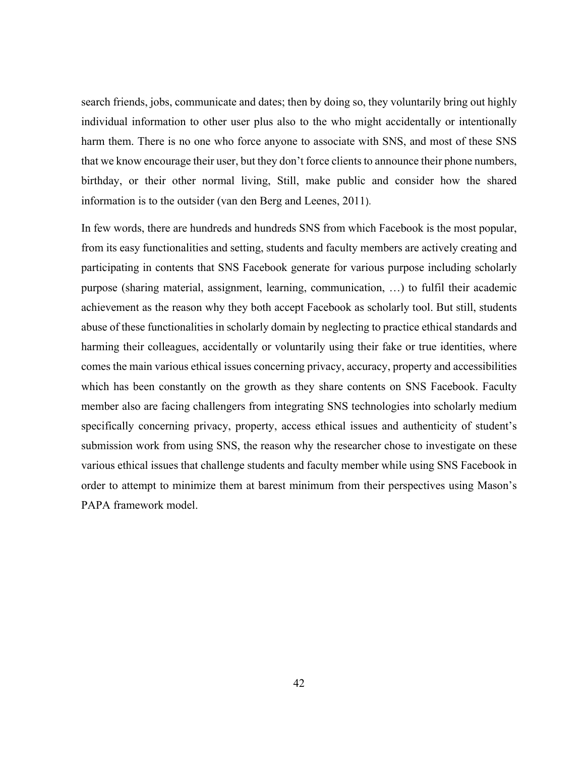search friends, jobs, communicate and dates; then by doing so, they voluntarily bring out highly individual information to other user plus also to the who might accidentally or intentionally harm them. There is no one who force anyone to associate with SNS, and most of these SNS that we know encourage their user, but they don't force clients to announce their phone numbers, birthday, or their other normal living, Still, make public and consider how the shared information is to the outsider (van den Berg and Leenes, 2011).

In few words, there are hundreds and hundreds SNS from which Facebook is the most popular, from its easy functionalities and setting, students and faculty members are actively creating and participating in contents that SNS Facebook generate for various purpose including scholarly purpose (sharing material, assignment, learning, communication, …) to fulfil their academic achievement as the reason why they both accept Facebook as scholarly tool. But still, students abuse of these functionalities in scholarly domain by neglecting to practice ethical standards and harming their colleagues, accidentally or voluntarily using their fake or true identities, where comes the main various ethical issues concerning privacy, accuracy, property and accessibilities which has been constantly on the growth as they share contents on SNS Facebook. Faculty member also are facing challengers from integrating SNS technologies into scholarly medium specifically concerning privacy, property, access ethical issues and authenticity of student's submission work from using SNS, the reason why the researcher chose to investigate on these various ethical issues that challenge students and faculty member while using SNS Facebook in order to attempt to minimize them at barest minimum from their perspectives using Mason's PAPA framework model.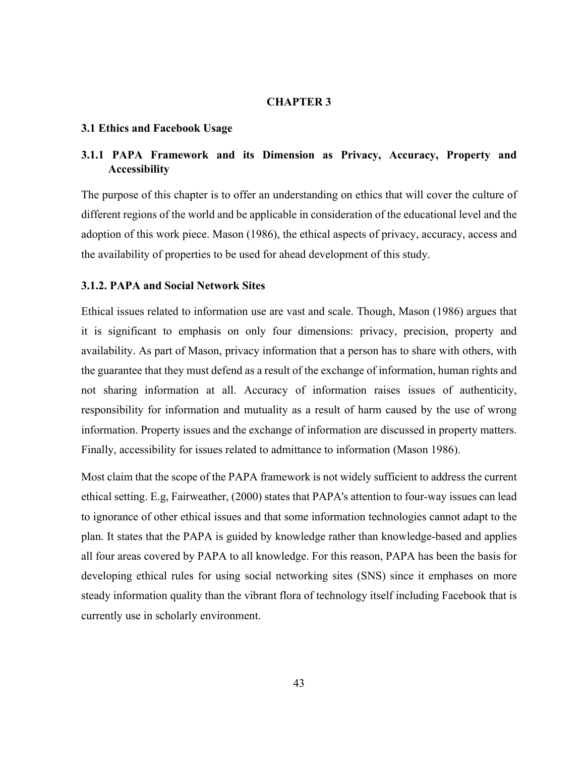## **CHAPTER 3**

### **3.1 Ethics and Facebook Usage**

## **3.1.1 PAPA Framework and its Dimension as Privacy, Accuracy, Property and Accessibility**

The purpose of this chapter is to offer an understanding on ethics that will cover the culture of different regions of the world and be applicable in consideration of the educational level and the adoption of this work piece. Mason (1986), the ethical aspects of privacy, accuracy, access and the availability of properties to be used for ahead development of this study.

## **3.1.2. PAPA and Social Network Sites**

Ethical issues related to information use are vast and scale. Though, Mason (1986) argues that it is significant to emphasis on only four dimensions: privacy, precision, property and availability. As part of Mason, privacy information that a person has to share with others, with the guarantee that they must defend as a result of the exchange of information, human rights and not sharing information at all. Accuracy of information raises issues of authenticity, responsibility for information and mutuality as a result of harm caused by the use of wrong information. Property issues and the exchange of information are discussed in property matters. Finally, accessibility for issues related to admittance to information (Mason 1986).

Most claim that the scope of the PAPA framework is not widely sufficient to address the current ethical setting. E.g, Fairweather, (2000) states that PAPA's attention to four-way issues can lead to ignorance of other ethical issues and that some information technologies cannot adapt to the plan. It states that the PAPA is guided by knowledge rather than knowledge-based and applies all four areas covered by PAPA to all knowledge. For this reason, PAPA has been the basis for developing ethical rules for using social networking sites (SNS) since it emphases on more steady information quality than the vibrant flora of technology itself including Facebook that is currently use in scholarly environment.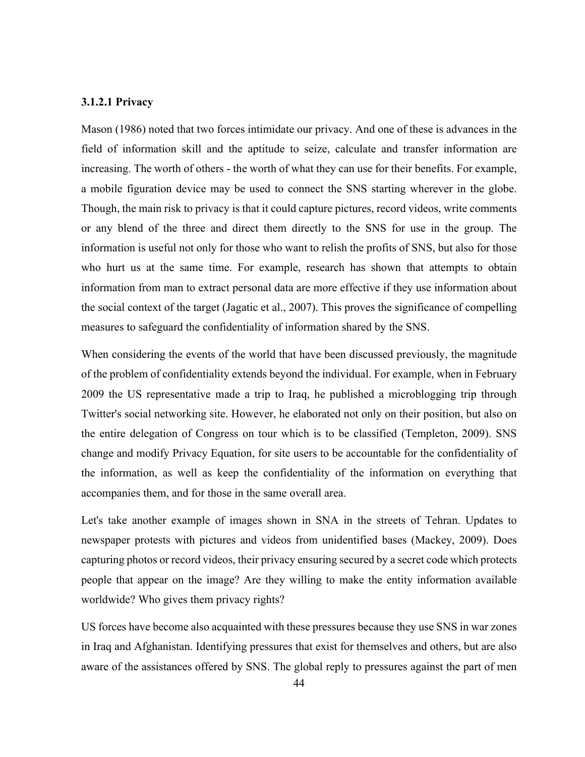## **3.1.2.1 Privacy**

Mason (1986) noted that two forces intimidate our privacy. And one of these is advances in the field of information skill and the aptitude to seize, calculate and transfer information are increasing. The worth of others - the worth of what they can use for their benefits. For example, a mobile figuration device may be used to connect the SNS starting wherever in the globe. Though, the main risk to privacy is that it could capture pictures, record videos, write comments or any blend of the three and direct them directly to the SNS for use in the group. The information is useful not only for those who want to relish the profits of SNS, but also for those who hurt us at the same time. For example, research has shown that attempts to obtain information from man to extract personal data are more effective if they use information about the social context of the target (Jagatic et al., 2007). This proves the significance of compelling measures to safeguard the confidentiality of information shared by the SNS.

When considering the events of the world that have been discussed previously, the magnitude of the problem of confidentiality extends beyond the individual. For example, when in February 2009 the US representative made a trip to Iraq, he published a microblogging trip through Twitter's social networking site. However, he elaborated not only on their position, but also on the entire delegation of Congress on tour which is to be classified (Templeton, 2009). SNS change and modify Privacy Equation, for site users to be accountable for the confidentiality of the information, as well as keep the confidentiality of the information on everything that accompanies them, and for those in the same overall area.

Let's take another example of images shown in SNA in the streets of Tehran. Updates to newspaper protests with pictures and videos from unidentified bases (Mackey, 2009). Does capturing photos or record videos, their privacy ensuring secured by a secret code which protects people that appear on the image? Are they willing to make the entity information available worldwide? Who gives them privacy rights?

US forces have become also acquainted with these pressures because they use SNS in war zones in Iraq and Afghanistan. Identifying pressures that exist for themselves and others, but are also aware of the assistances offered by SNS. The global reply to pressures against the part of men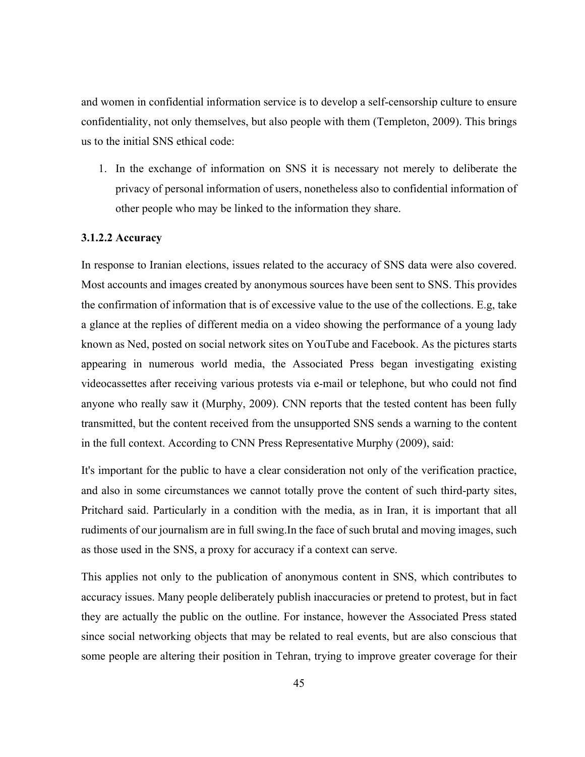and women in confidential information service is to develop a self-censorship culture to ensure confidentiality, not only themselves, but also people with them (Templeton, 2009). This brings us to the initial SNS ethical code:

1. In the exchange of information on SNS it is necessary not merely to deliberate the privacy of personal information of users, nonetheless also to confidential information of other people who may be linked to the information they share.

### **3.1.2.2 Accuracy**

In response to Iranian elections, issues related to the accuracy of SNS data were also covered. Most accounts and images created by anonymous sources have been sent to SNS. This provides the confirmation of information that is of excessive value to the use of the collections. E.g, take a glance at the replies of different media on a video showing the performance of a young lady known as Ned, posted on social network sites on YouTube and Facebook. As the pictures starts appearing in numerous world media, the Associated Press began investigating existing videocassettes after receiving various protests via e-mail or telephone, but who could not find anyone who really saw it (Murphy, 2009). CNN reports that the tested content has been fully transmitted, but the content received from the unsupported SNS sends a warning to the content in the full context. According to CNN Press Representative Murphy (2009), said:

It's important for the public to have a clear consideration not only of the verification practice, and also in some circumstances we cannot totally prove the content of such third-party sites, Pritchard said. Particularly in a condition with the media, as in Iran, it is important that all rudiments of our journalism are in full swing.In the face of such brutal and moving images, such as those used in the SNS, a proxy for accuracy if a context can serve.

This applies not only to the publication of anonymous content in SNS, which contributes to accuracy issues. Many people deliberately publish inaccuracies or pretend to protest, but in fact they are actually the public on the outline. For instance, however the Associated Press stated since social networking objects that may be related to real events, but are also conscious that some people are altering their position in Tehran, trying to improve greater coverage for their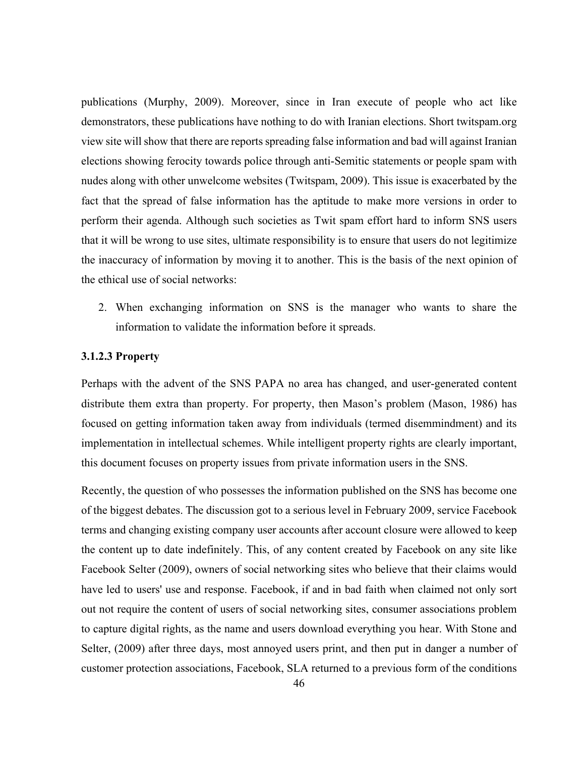publications (Murphy, 2009). Moreover, since in Iran execute of people who act like demonstrators, these publications have nothing to do with Iranian elections. Short twitspam.org view site will show that there are reports spreading false information and bad will against Iranian elections showing ferocity towards police through anti-Semitic statements or people spam with nudes along with other unwelcome websites (Twitspam, 2009). This issue is exacerbated by the fact that the spread of false information has the aptitude to make more versions in order to perform their agenda. Although such societies as Twit spam effort hard to inform SNS users that it will be wrong to use sites, ultimate responsibility is to ensure that users do not legitimize the inaccuracy of information by moving it to another. This is the basis of the next opinion of the ethical use of social networks:

2. When exchanging information on SNS is the manager who wants to share the information to validate the information before it spreads.

#### **3.1.2.3 Property**

Perhaps with the advent of the SNS PAPA no area has changed, and user-generated content distribute them extra than property. For property, then Mason's problem (Mason, 1986) has focused on getting information taken away from individuals (termed disemmindment) and its implementation in intellectual schemes. While intelligent property rights are clearly important, this document focuses on property issues from private information users in the SNS.

Recently, the question of who possesses the information published on the SNS has become one of the biggest debates. The discussion got to a serious level in February 2009, service Facebook terms and changing existing company user accounts after account closure were allowed to keep the content up to date indefinitely. This, of any content created by Facebook on any site like Facebook Selter (2009), owners of social networking sites who believe that their claims would have led to users' use and response. Facebook, if and in bad faith when claimed not only sort out not require the content of users of social networking sites, consumer associations problem to capture digital rights, as the name and users download everything you hear. With Stone and Selter, (2009) after three days, most annoyed users print, and then put in danger a number of customer protection associations, Facebook, SLA returned to a previous form of the conditions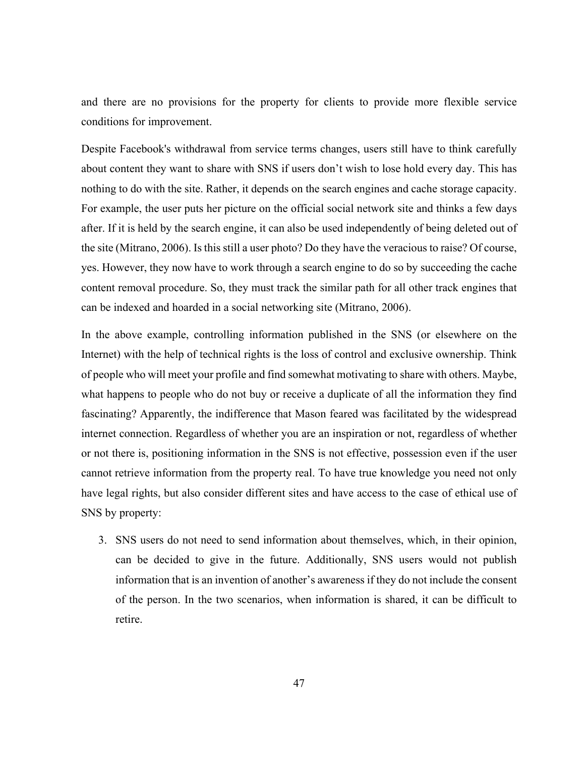and there are no provisions for the property for clients to provide more flexible service conditions for improvement.

Despite Facebook's withdrawal from service terms changes, users still have to think carefully about content they want to share with SNS if users don't wish to lose hold every day. This has nothing to do with the site. Rather, it depends on the search engines and cache storage capacity. For example, the user puts her picture on the official social network site and thinks a few days after. If it is held by the search engine, it can also be used independently of being deleted out of the site (Mitrano, 2006). Is this still a user photo? Do they have the veracious to raise? Of course, yes. However, they now have to work through a search engine to do so by succeeding the cache content removal procedure. So, they must track the similar path for all other track engines that can be indexed and hoarded in a social networking site (Mitrano, 2006).

In the above example, controlling information published in the SNS (or elsewhere on the Internet) with the help of technical rights is the loss of control and exclusive ownership. Think of people who will meet your profile and find somewhat motivating to share with others. Maybe, what happens to people who do not buy or receive a duplicate of all the information they find fascinating? Apparently, the indifference that Mason feared was facilitated by the widespread internet connection. Regardless of whether you are an inspiration or not, regardless of whether or not there is, positioning information in the SNS is not effective, possession even if the user cannot retrieve information from the property real. To have true knowledge you need not only have legal rights, but also consider different sites and have access to the case of ethical use of SNS by property:

3. SNS users do not need to send information about themselves, which, in their opinion, can be decided to give in the future. Additionally, SNS users would not publish information that is an invention of another's awareness if they do not include the consent of the person. In the two scenarios, when information is shared, it can be difficult to retire.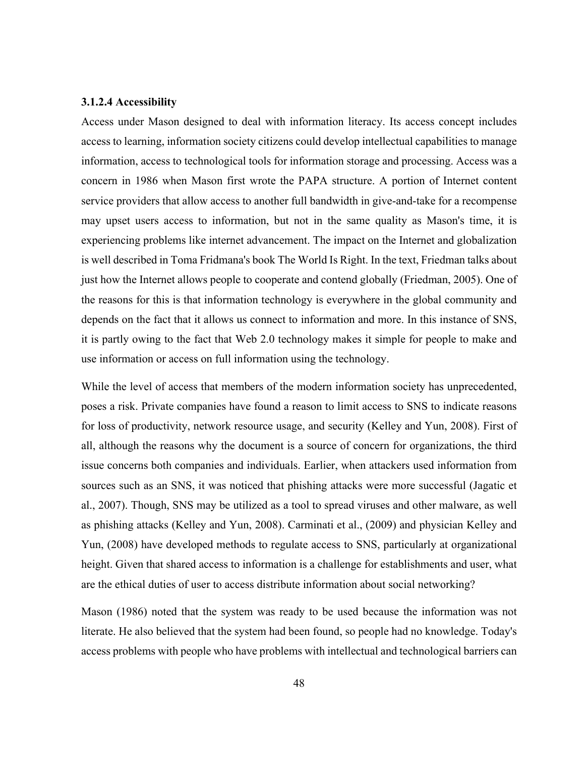#### **3.1.2.4 Accessibility**

Access under Mason designed to deal with information literacy. Its access concept includes access to learning, information society citizens could develop intellectual capabilities to manage information, access to technological tools for information storage and processing. Access was a concern in 1986 when Mason first wrote the PAPA structure. A portion of Internet content service providers that allow access to another full bandwidth in give-and-take for a recompense may upset users access to information, but not in the same quality as Mason's time, it is experiencing problems like internet advancement. The impact on the Internet and globalization is well described in Toma Fridmana's book The World Is Right. In the text, Friedman talks about just how the Internet allows people to cooperate and contend globally (Friedman, 2005). One of the reasons for this is that information technology is everywhere in the global community and depends on the fact that it allows us connect to information and more. In this instance of SNS, it is partly owing to the fact that Web 2.0 technology makes it simple for people to make and use information or access on full information using the technology.

While the level of access that members of the modern information society has unprecedented, poses a risk. Private companies have found a reason to limit access to SNS to indicate reasons for loss of productivity, network resource usage, and security (Kelley and Yun, 2008). First of all, although the reasons why the document is a source of concern for organizations, the third issue concerns both companies and individuals. Earlier, when attackers used information from sources such as an SNS, it was noticed that phishing attacks were more successful (Jagatic et al., 2007). Though, SNS may be utilized as a tool to spread viruses and other malware, as well as phishing attacks (Kelley and Yun, 2008). Carminati et al., (2009) and physician Kelley and Yun, (2008) have developed methods to regulate access to SNS, particularly at organizational height. Given that shared access to information is a challenge for establishments and user, what are the ethical duties of user to access distribute information about social networking?

Mason (1986) noted that the system was ready to be used because the information was not literate. He also believed that the system had been found, so people had no knowledge. Today's access problems with people who have problems with intellectual and technological barriers can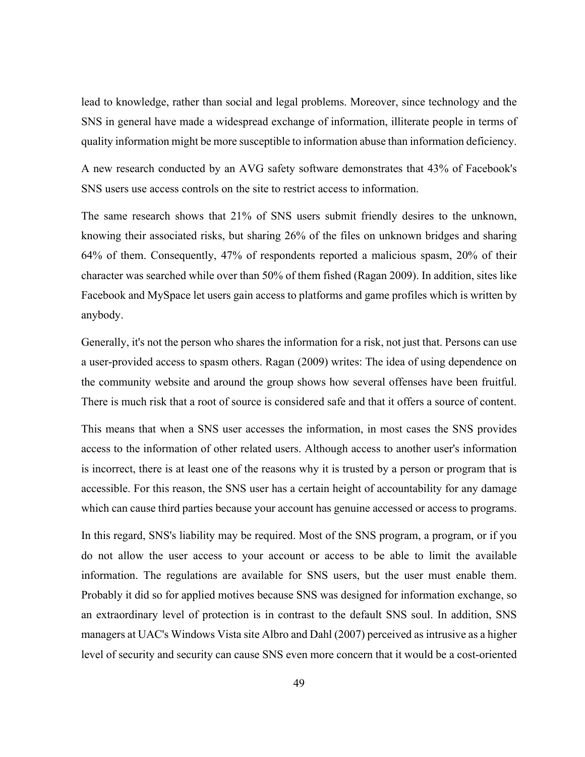lead to knowledge, rather than social and legal problems. Moreover, since technology and the SNS in general have made a widespread exchange of information, illiterate people in terms of quality information might be more susceptible to information abuse than information deficiency.

A new research conducted by an AVG safety software demonstrates that 43% of Facebook's SNS users use access controls on the site to restrict access to information.

The same research shows that 21% of SNS users submit friendly desires to the unknown, knowing their associated risks, but sharing 26% of the files on unknown bridges and sharing 64% of them. Consequently, 47% of respondents reported a malicious spasm, 20% of their character was searched while over than 50% of them fished (Ragan 2009). In addition, sites like Facebook and MySpace let users gain access to platforms and game profiles which is written by anybody.

Generally, it's not the person who shares the information for a risk, not just that. Persons can use a user-provided access to spasm others. Ragan (2009) writes: The idea of using dependence on the community website and around the group shows how several offenses have been fruitful. There is much risk that a root of source is considered safe and that it offers a source of content.

This means that when a SNS user accesses the information, in most cases the SNS provides access to the information of other related users. Although access to another user's information is incorrect, there is at least one of the reasons why it is trusted by a person or program that is accessible. For this reason, the SNS user has a certain height of accountability for any damage which can cause third parties because your account has genuine accessed or access to programs.

In this regard, SNS's liability may be required. Most of the SNS program, a program, or if you do not allow the user access to your account or access to be able to limit the available information. The regulations are available for SNS users, but the user must enable them. Probably it did so for applied motives because SNS was designed for information exchange, so an extraordinary level of protection is in contrast to the default SNS soul. In addition, SNS managers at UAC's Windows Vista site Albro and Dahl (2007) perceived as intrusive as a higher level of security and security can cause SNS even more concern that it would be a cost-oriented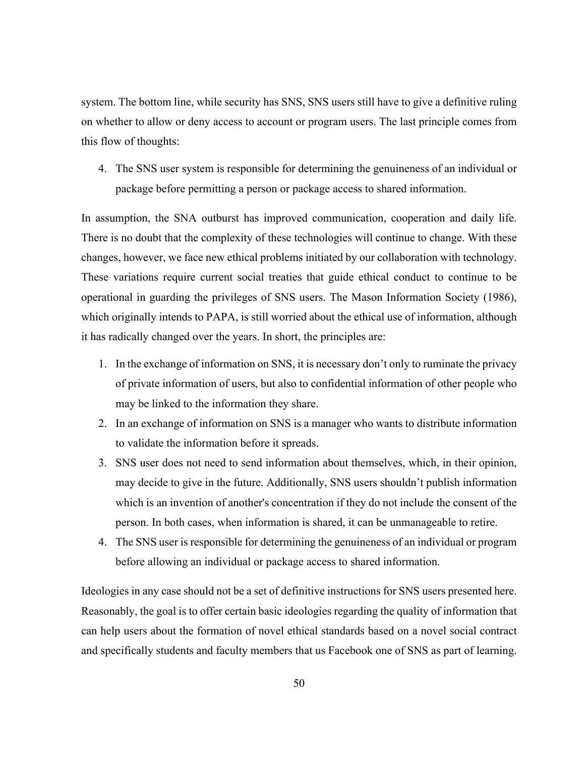system. The bottom line, while security has SNS, SNS users still have to give a definitive ruling on whether to allow or deny access to account or program users. The last principle comes from this flow of thoughts:

4. The SNS user system is responsible for determining the genuineness of an individual or package before permitting a person or package access to shared information.

In assumption, the SNA outburst has improved communication, cooperation and daily life. There is no doubt that the complexity of these technologies will continue to change. With these changes, however, we face new ethical problems initiated by our collaboration with technology. These variations require current social treaties that guide ethical conduct to continue to be operational in guarding the privileges of SNS users. The Mason Information Society (1986), which originally intends to PAPA, is still worried about the ethical use of information, although it has radically changed over the years. In short, the principles are:

- 1. In the exchange of information on SNS, it is necessary don't only to ruminate the privacy of private information of users, but also to confidential information of other people who may be linked to the information they share.
- 2. In an exchange of information on SNS is a manager who wants to distribute information to validate the information before it spreads.
- 3. SNS user does not need to send information about themselves, which, in their opinion, may decide to give in the future. Additionally, SNS users shouldn't publish information which is an invention of another's concentration if they do not include the consent of the person. In both cases, when information is shared, it can be unmanageable to retire.
- 4. The SNS user is responsible for determining the genuineness of an individual or program before allowing an individual or package access to shared information.

Ideologies in any case should not be a set of definitive instructions for SNS users presented here. Reasonably, the goal is to offer certain basic ideologies regarding the quality of information that can help users about the formation of novel ethical standards based on a novel social contract and specifically students and faculty members that us Facebook one of SNS as part of learning.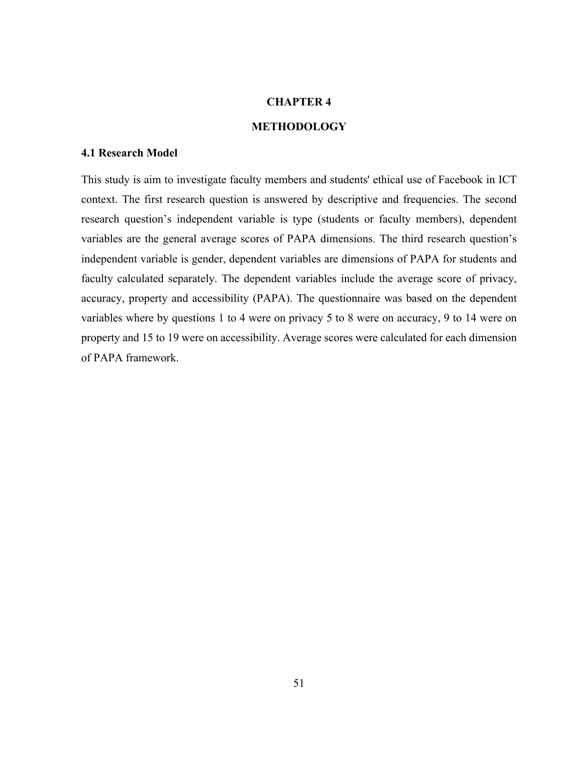## **CHAPTER 4**

#### **METHODOLOGY**

## **4.1 Research Model**

This study is aim to investigate faculty members and students' ethical use of Facebook in ICT context. The first research question is answered by descriptive and frequencies. The second research question's independent variable is type (students or faculty members), dependent variables are the general average scores of PAPA dimensions. The third research question's independent variable is gender, dependent variables are dimensions of PAPA for students and faculty calculated separately. The dependent variables include the average score of privacy, accuracy, property and accessibility (PAPA). The questionnaire was based on the dependent variables where by questions 1 to 4 were on privacy 5 to 8 were on accuracy, 9 to 14 were on property and 15 to 19 were on accessibility. Average scores were calculated for each dimension of PAPA framework.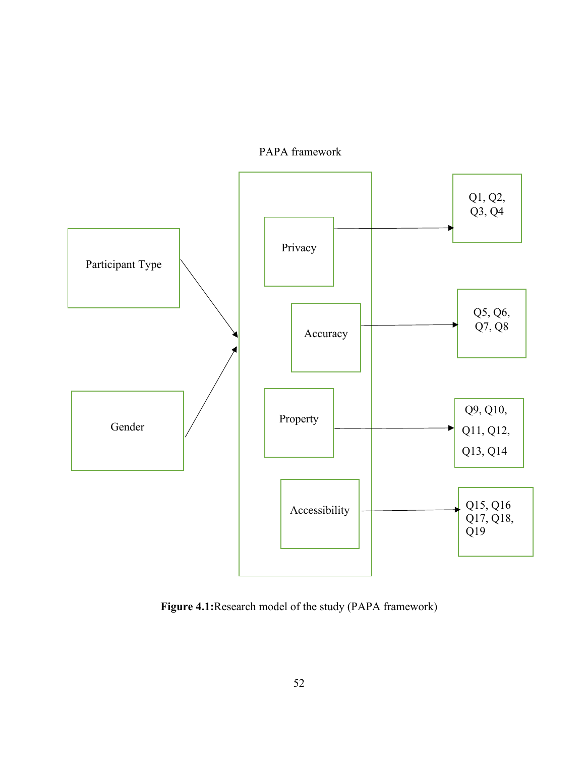

PAPA framework

**Figure 4.1:**Research model of the study (PAPA framework)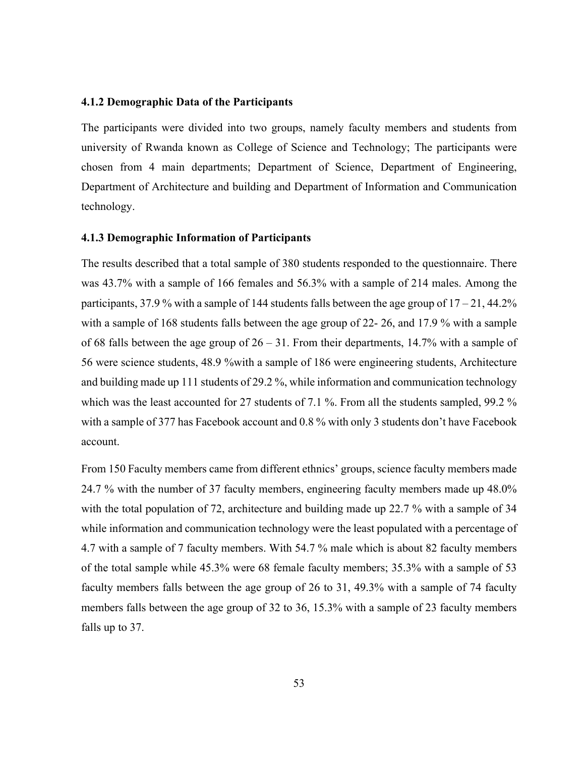### **4.1.2 Demographic Data of the Participants**

The participants were divided into two groups, namely faculty members and students from university of Rwanda known as College of Science and Technology; The participants were chosen from 4 main departments; Department of Science, Department of Engineering, Department of Architecture and building and Department of Information and Communication technology.

#### **4.1.3 Demographic Information of Participants**

The results described that a total sample of 380 students responded to the questionnaire. There was 43.7% with a sample of 166 females and 56.3% with a sample of 214 males. Among the participants, 37.9 % with a sample of 144 students falls between the age group of  $17 - 21$ , 44.2% with a sample of 168 students falls between the age group of 22- 26, and 17.9 % with a sample of 68 falls between the age group of 26 – 31. From their departments, 14.7% with a sample of 56 were science students, 48.9 %with a sample of 186 were engineering students, Architecture and building made up 111 students of 29.2 %, while information and communication technology which was the least accounted for 27 students of 7.1 %. From all the students sampled, 99.2 % with a sample of 377 has Facebook account and 0.8 % with only 3 students don't have Facebook account.

From 150 Faculty members came from different ethnics' groups, science faculty members made 24.7 % with the number of 37 faculty members, engineering faculty members made up 48.0% with the total population of 72, architecture and building made up 22.7 % with a sample of 34 while information and communication technology were the least populated with a percentage of 4.7 with a sample of 7 faculty members. With 54.7 % male which is about 82 faculty members of the total sample while 45.3% were 68 female faculty members; 35.3% with a sample of 53 faculty members falls between the age group of 26 to 31, 49.3% with a sample of 74 faculty members falls between the age group of 32 to 36, 15.3% with a sample of 23 faculty members falls up to 37.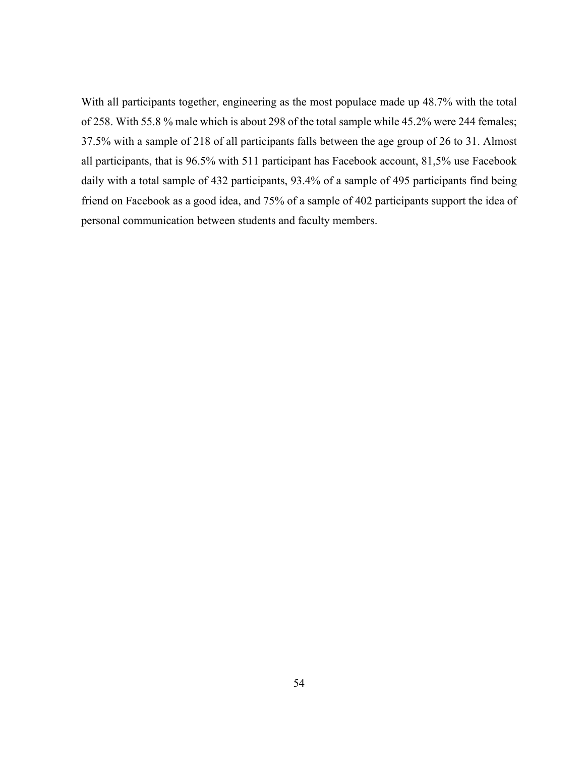With all participants together, engineering as the most populace made up 48.7% with the total of 258. With 55.8 % male which is about 298 of the total sample while 45.2% were 244 females; 37.5% with a sample of 218 of all participants falls between the age group of 26 to 31. Almost all participants, that is 96.5% with 511 participant has Facebook account, 81,5% use Facebook daily with a total sample of 432 participants, 93.4% of a sample of 495 participants find being friend on Facebook as a good idea, and 75% of a sample of 402 participants support the idea of personal communication between students and faculty members.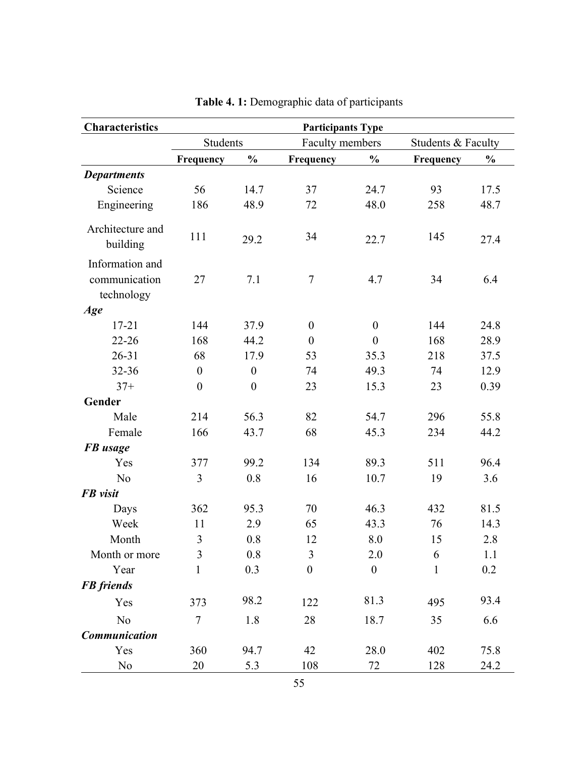| <b>Characteristics</b>                         | <b>Participants Type</b> |                  |                  |                  |                    |               |
|------------------------------------------------|--------------------------|------------------|------------------|------------------|--------------------|---------------|
|                                                | <b>Students</b>          |                  | Faculty members  |                  | Students & Faculty |               |
|                                                | Frequency                | $\frac{0}{0}$    | Frequency        | $\frac{0}{0}$    | Frequency          | $\frac{0}{0}$ |
| <b>Departments</b>                             |                          |                  |                  |                  |                    |               |
| Science                                        | 56                       | 14.7             | 37               | 24.7             | 93                 | 17.5          |
| Engineering                                    | 186                      | 48.9             | 72               | 48.0             | 258                | 48.7          |
| Architecture and<br>building                   | 111                      | 29.2             | 34               | 22.7             | 145                | 27.4          |
| Information and<br>communication<br>technology | 27                       | 7.1              | $\overline{7}$   | 4.7              | 34                 | 6.4           |
| Age                                            |                          |                  |                  |                  |                    |               |
| $17 - 21$                                      | 144                      | 37.9             | $\boldsymbol{0}$ | $\boldsymbol{0}$ | 144                | 24.8          |
| $22 - 26$                                      | 168                      | 44.2             | $\theta$         | $\theta$         | 168                | 28.9          |
| $26 - 31$                                      | 68                       | 17.9             | 53               | 35.3             | 218                | 37.5          |
| 32-36                                          | $\boldsymbol{0}$         | $\boldsymbol{0}$ | 74               | 49.3             | 74                 | 12.9          |
| $37+$                                          | $\boldsymbol{0}$         | $\boldsymbol{0}$ | 23               | 15.3             | 23                 | 0.39          |
| Gender                                         |                          |                  |                  |                  |                    |               |
| Male                                           | 214                      | 56.3             | 82               | 54.7             | 296                | 55.8          |
| Female                                         | 166                      | 43.7             | 68               | 45.3             | 234                | 44.2          |
| <b>FB</b> usage                                |                          |                  |                  |                  |                    |               |
| Yes                                            | 377                      | 99.2             | 134              | 89.3             | 511                | 96.4          |
| N <sub>o</sub>                                 | 3                        | 0.8              | 16               | 10.7             | 19                 | 3.6           |
| FB visit                                       |                          |                  |                  |                  |                    |               |
| Days                                           | 362                      | 95.3             | 70               | 46.3             | 432                | 81.5          |
| Week                                           | 11                       | 2.9              | 65               | 43.3             | 76                 | 14.3          |
| Month                                          | 3                        | 0.8              | 12               | 8.0              | 15                 | 2.8           |
| Month or more                                  | 3                        | 0.8              | 3                | 2.0              | 6                  | 1.1           |
| Year                                           | 1                        | 0.3              | $\boldsymbol{0}$ | $\boldsymbol{0}$ | 1                  | 0.2           |
| <b>FB</b> friends                              |                          |                  |                  |                  |                    |               |
| Yes                                            | 373                      | 98.2             | 122              | 81.3             | 495                | 93.4          |
| N <sub>o</sub>                                 | $\overline{7}$           | 1.8              | 28               | 18.7             | 35                 | 6.6           |
| Communication                                  |                          |                  |                  |                  |                    |               |
| Yes                                            | 360                      | 94.7             | 42               | 28.0             | 402                | 75.8          |
| N <sub>0</sub>                                 | 20                       | 5.3              | 108              | 72               | 128                | 24.2          |

**Table 4. 1:** Demographic data of participants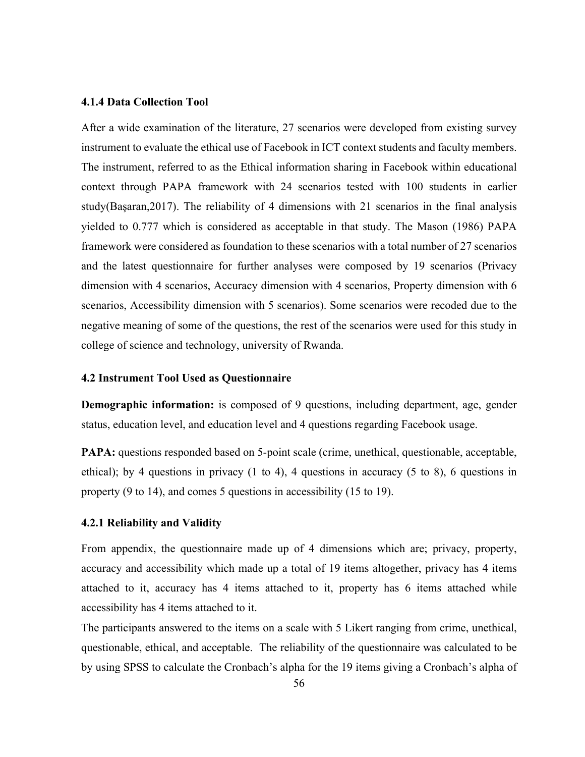#### **4.1.4 Data Collection Tool**

After a wide examination of the literature, 27 scenarios were developed from existing survey instrument to evaluate the ethical use of Facebook in ICT context students and faculty members. The instrument, referred to as the Ethical information sharing in Facebook within educational context through PAPA framework with 24 scenarios tested with 100 students in earlier study(Başaran,2017). The reliability of 4 dimensions with 21 scenarios in the final analysis yielded to 0.777 which is considered as acceptable in that study. The Mason (1986) PAPA framework were considered as foundation to these scenarios with a total number of 27 scenarios and the latest questionnaire for further analyses were composed by 19 scenarios (Privacy dimension with 4 scenarios, Accuracy dimension with 4 scenarios, Property dimension with 6 scenarios, Accessibility dimension with 5 scenarios). Some scenarios were recoded due to the negative meaning of some of the questions, the rest of the scenarios were used for this study in college of science and technology, university of Rwanda.

#### **4.2 Instrument Tool Used as Questionnaire**

**Demographic information:** is composed of 9 questions, including department, age, gender status, education level, and education level and 4 questions regarding Facebook usage.

**PAPA:** questions responded based on 5-point scale (crime, unethical, questionable, acceptable, ethical); by 4 questions in privacy (1 to 4), 4 questions in accuracy (5 to 8), 6 questions in property (9 to 14), and comes 5 questions in accessibility (15 to 19).

### **4.2.1 Reliability and Validity**

From appendix, the questionnaire made up of 4 dimensions which are; privacy, property, accuracy and accessibility which made up a total of 19 items altogether, privacy has 4 items attached to it, accuracy has 4 items attached to it, property has 6 items attached while accessibility has 4 items attached to it.

The participants answered to the items on a scale with 5 Likert ranging from crime, unethical, questionable, ethical, and acceptable. The reliability of the questionnaire was calculated to be by using SPSS to calculate the Cronbach's alpha for the 19 items giving a Cronbach's alpha of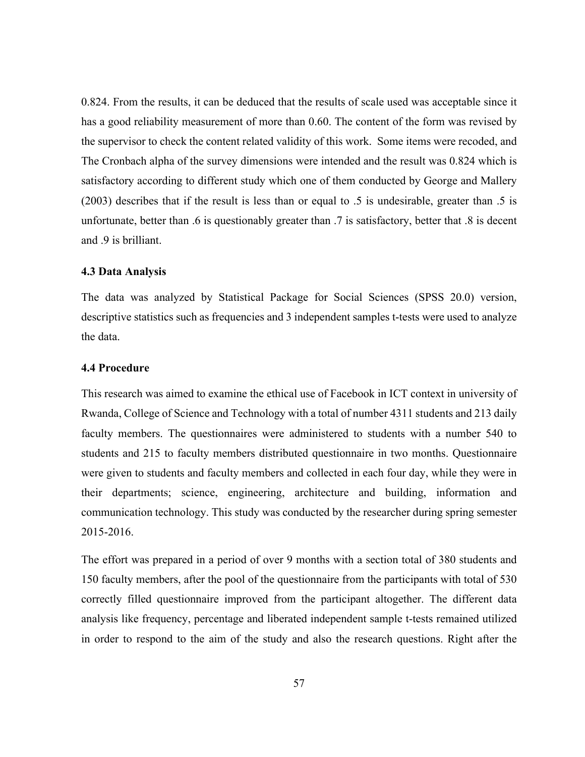0.824. From the results, it can be deduced that the results of scale used was acceptable since it has a good reliability measurement of more than 0.60. The content of the form was revised by the supervisor to check the content related validity of this work. Some items were recoded, and The Cronbach alpha of the survey dimensions were intended and the result was 0.824 which is satisfactory according to different study which one of them conducted by George and Mallery (2003) describes that if the result is less than or equal to .5 is undesirable, greater than .5 is unfortunate, better than .6 is questionably greater than .7 is satisfactory, better that .8 is decent and 9 is brilliant.

#### **4.3 Data Analysis**

The data was analyzed by Statistical Package for Social Sciences (SPSS 20.0) version, descriptive statistics such as frequencies and 3 independent samples t-tests were used to analyze the data.

## **4.4 Procedure**

This research was aimed to examine the ethical use of Facebook in ICT context in university of Rwanda, College of Science and Technology with a total of number 4311 students and 213 daily faculty members. The questionnaires were administered to students with a number 540 to students and 215 to faculty members distributed questionnaire in two months. Questionnaire were given to students and faculty members and collected in each four day, while they were in their departments; science, engineering, architecture and building, information and communication technology. This study was conducted by the researcher during spring semester 2015-2016.

The effort was prepared in a period of over 9 months with a section total of 380 students and 150 faculty members, after the pool of the questionnaire from the participants with total of 530 correctly filled questionnaire improved from the participant altogether. The different data analysis like frequency, percentage and liberated independent sample t-tests remained utilized in order to respond to the aim of the study and also the research questions. Right after the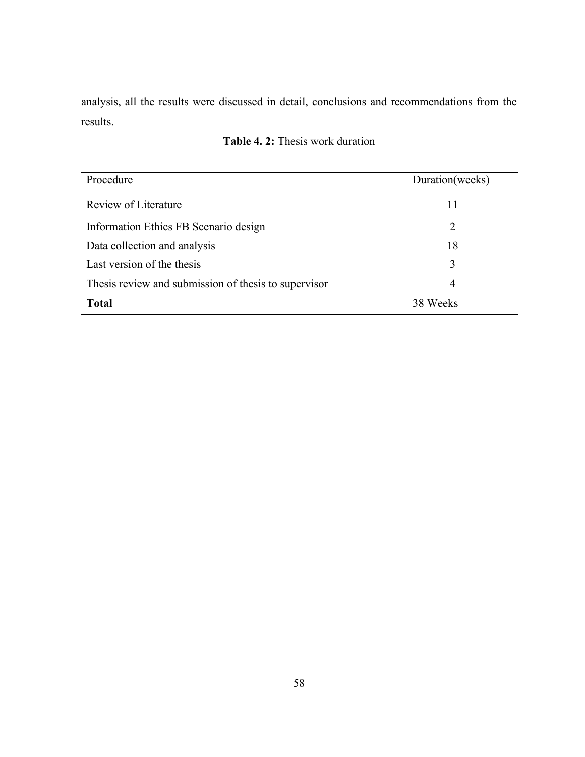analysis, all the results were discussed in detail, conclusions and recommendations from the results.

| Procedure                                            | Duration(weeks) |
|------------------------------------------------------|-----------------|
| Review of Literature                                 | 11              |
| Information Ethics FB Scenario design                | 2               |
| Data collection and analysis                         | 18              |
| Last version of the thesis                           | 3               |
| Thesis review and submission of thesis to supervisor | 4               |
| <b>Total</b>                                         | 38 Weeks        |

# **Table 4. 2:** Thesis work duration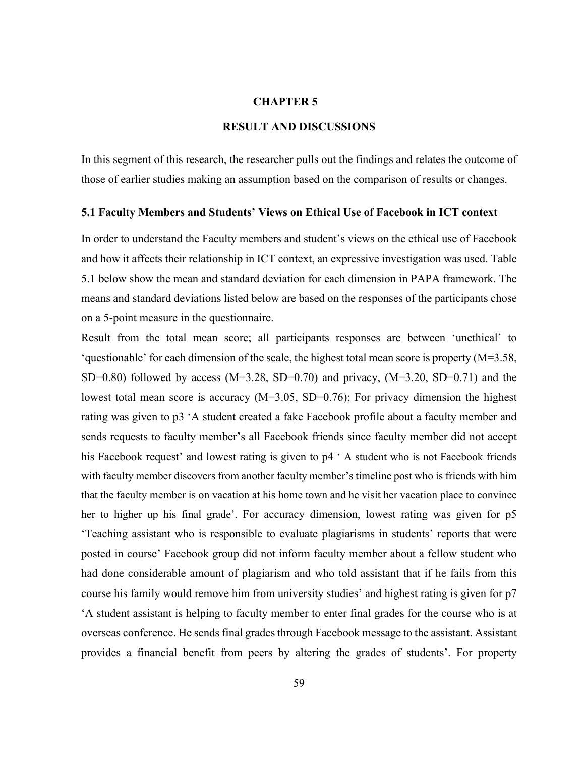## **CHAPTER 5**

# **RESULT AND DISCUSSIONS**

In this segment of this research, the researcher pulls out the findings and relates the outcome of those of earlier studies making an assumption based on the comparison of results or changes.

#### **5.1 Faculty Members and Students' Views on Ethical Use of Facebook in ICT context**

In order to understand the Faculty members and student's views on the ethical use of Facebook and how it affects their relationship in ICT context, an expressive investigation was used. Table 5.1 below show the mean and standard deviation for each dimension in PAPA framework. The means and standard deviations listed below are based on the responses of the participants chose on a 5-point measure in the questionnaire.

Result from the total mean score; all participants responses are between 'unethical' to 'questionable' for each dimension of the scale, the highest total mean score is property  $(M=3.58)$ , SD=0.80) followed by access (M=3.28, SD=0.70) and privacy, (M=3.20, SD=0.71) and the lowest total mean score is accuracy (M=3.05, SD=0.76); For privacy dimension the highest rating was given to p3 'A student created a fake Facebook profile about a faculty member and sends requests to faculty member's all Facebook friends since faculty member did not accept his Facebook request' and lowest rating is given to  $p4$  ' A student who is not Facebook friends with faculty member discovers from another faculty member's timeline post who is friends with him that the faculty member is on vacation at his home town and he visit her vacation place to convince her to higher up his final grade'. For accuracy dimension, lowest rating was given for p5 'Teaching assistant who is responsible to evaluate plagiarisms in students' reports that were posted in course' Facebook group did not inform faculty member about a fellow student who had done considerable amount of plagiarism and who told assistant that if he fails from this course his family would remove him from university studies' and highest rating is given for p7 'A student assistant is helping to faculty member to enter final grades for the course who is at overseas conference. He sends final grades through Facebook message to the assistant. Assistant provides a financial benefit from peers by altering the grades of students'. For property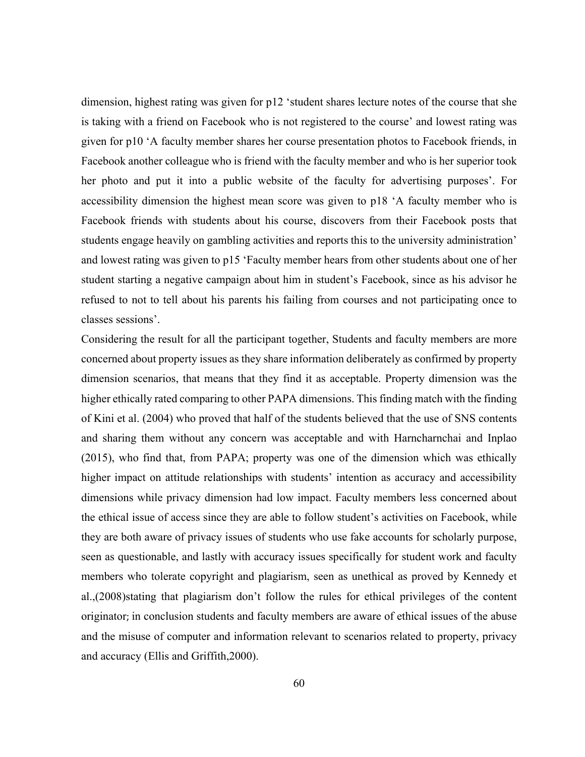dimension, highest rating was given for p12 'student shares lecture notes of the course that she is taking with a friend on Facebook who is not registered to the course' and lowest rating was given for p10 'A faculty member shares her course presentation photos to Facebook friends, in Facebook another colleague who is friend with the faculty member and who is her superior took her photo and put it into a public website of the faculty for advertising purposes'. For accessibility dimension the highest mean score was given to p18 'A faculty member who is Facebook friends with students about his course, discovers from their Facebook posts that students engage heavily on gambling activities and reports this to the university administration' and lowest rating was given to p15 'Faculty member hears from other students about one of her student starting a negative campaign about him in student's Facebook, since as his advisor he refused to not to tell about his parents his failing from courses and not participating once to classes sessions'.

Considering the result for all the participant together, Students and faculty members are more concerned about property issues as they share information deliberately as confirmed by property dimension scenarios, that means that they find it as acceptable. Property dimension was the higher ethically rated comparing to other PAPA dimensions. This finding match with the finding of Kini et al. (2004) who proved that half of the students believed that the use of SNS contents and sharing them without any concern was acceptable and with Harncharnchai and Inplao (2015), who find that, from PAPA; property was one of the dimension which was ethically higher impact on attitude relationships with students' intention as accuracy and accessibility dimensions while privacy dimension had low impact. Faculty members less concerned about the ethical issue of access since they are able to follow student's activities on Facebook, while they are both aware of privacy issues of students who use fake accounts for scholarly purpose, seen as questionable, and lastly with accuracy issues specifically for student work and faculty members who tolerate copyright and plagiarism, seen as unethical as proved by Kennedy et al.,(2008)stating that plagiarism don't follow the rules for ethical privileges of the content originator; in conclusion students and faculty members are aware of ethical issues of the abuse and the misuse of computer and information relevant to scenarios related to property, privacy and accuracy (Ellis and Griffith,2000).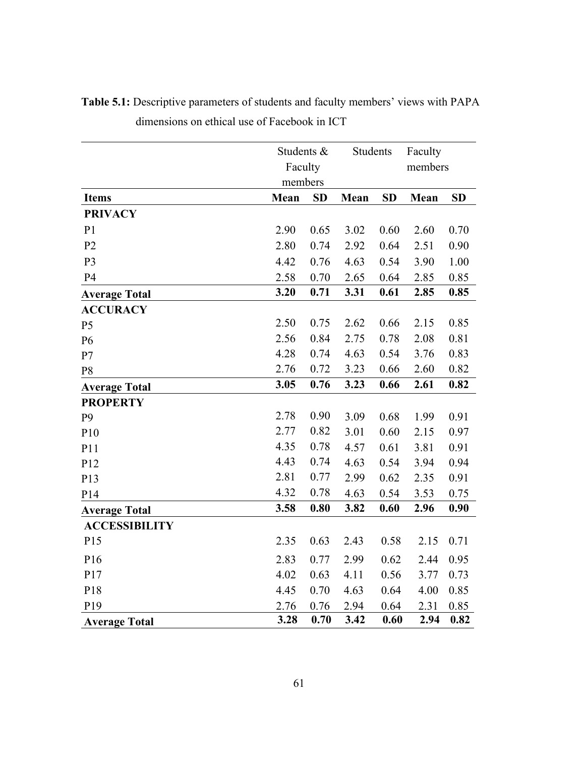|                      |      | Students &<br>Faculty |      | Students  |      | Faculty<br>members |  |
|----------------------|------|-----------------------|------|-----------|------|--------------------|--|
|                      |      | members               |      |           |      |                    |  |
| <b>Items</b>         | Mean | <b>SD</b>             |      | <b>SD</b> | Mean | <b>SD</b>          |  |
| <b>PRIVACY</b>       |      |                       |      |           |      |                    |  |
| P <sub>1</sub>       | 2.90 | 0.65                  | 3.02 | 0.60      | 2.60 | 0.70               |  |
| P <sub>2</sub>       | 2.80 | 0.74                  | 2.92 | 0.64      | 2.51 | 0.90               |  |
| P <sub>3</sub>       | 4.42 | 0.76                  | 4.63 | 0.54      | 3.90 | 1.00               |  |
| P4                   | 2.58 | 0.70                  | 2.65 | 0.64      | 2.85 | 0.85               |  |
| <b>Average Total</b> | 3.20 | 0.71                  | 3.31 | 0.61      | 2.85 | 0.85               |  |
| <b>ACCURACY</b>      |      |                       |      |           |      |                    |  |
| P <sub>5</sub>       | 2.50 | 0.75                  | 2.62 | 0.66      | 2.15 | 0.85               |  |
| P <sub>6</sub>       | 2.56 | 0.84                  | 2.75 | 0.78      | 2.08 | 0.81               |  |
| P7                   | 4.28 | 0.74                  | 4.63 | 0.54      | 3.76 | 0.83               |  |
| P <sub>8</sub>       | 2.76 | 0.72                  | 3.23 | 0.66      | 2.60 | 0.82               |  |
| <b>Average Total</b> | 3.05 | 0.76                  | 3.23 | 0.66      | 2.61 | 0.82               |  |
| <b>PROPERTY</b>      |      |                       |      |           |      |                    |  |
| P <sub>9</sub>       | 2.78 | 0.90                  | 3.09 | 0.68      | 1.99 | 0.91               |  |
| P10                  | 2.77 | 0.82                  | 3.01 | 0.60      | 2.15 | 0.97               |  |
| P11                  | 4.35 | 0.78                  | 4.57 | 0.61      | 3.81 | 0.91               |  |
| P12                  | 4.43 | 0.74                  | 4.63 | 0.54      | 3.94 | 0.94               |  |
| P13                  | 2.81 | 0.77                  | 2.99 | 0.62      | 2.35 | 0.91               |  |
| P14                  | 4.32 | 0.78                  | 4.63 | 0.54      | 3.53 | 0.75               |  |
| <b>Average Total</b> | 3.58 | 0.80                  | 3.82 | 0.60      | 2.96 | 0.90               |  |
| <b>ACCESSIBILITY</b> |      |                       |      |           |      |                    |  |
| P15                  | 2.35 | 0.63                  | 2.43 | 0.58      | 2.15 | 0.71               |  |
| P16                  | 2.83 | 0.77                  | 2.99 | 0.62      | 2.44 | 0.95               |  |
| P17                  | 4.02 | 0.63                  | 4.11 | 0.56      | 3.77 | 0.73               |  |
| P18                  | 4.45 | 0.70                  | 4.63 | 0.64      | 4.00 | 0.85               |  |
| P <sub>19</sub>      | 2.76 | 0.76                  | 2.94 | 0.64      | 2.31 | 0.85               |  |
| <b>Average Total</b> | 3.28 | 0.70                  | 3.42 | 0.60      | 2.94 | 0.82               |  |

**Table 5.1:** Descriptive parameters of students and faculty members' views with PAPA dimensions on ethical use of Facebook in ICT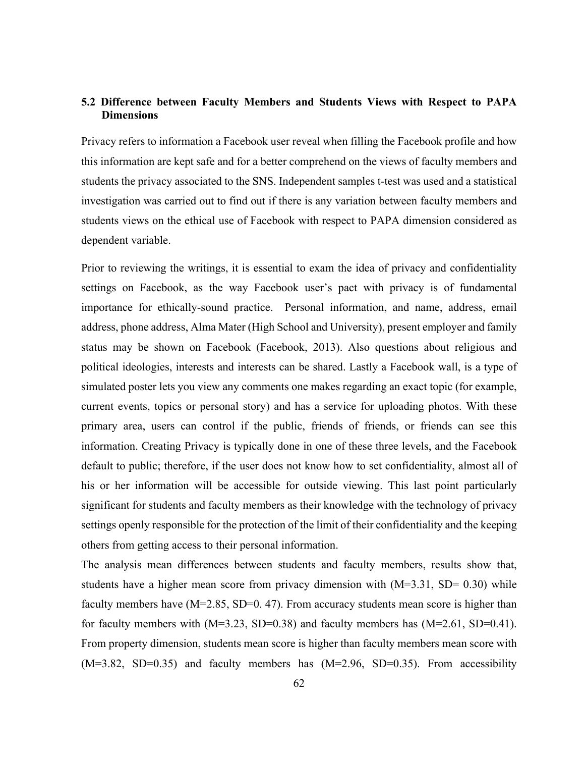# **5.2 Difference between Faculty Members and Students Views with Respect to PAPA Dimensions**

Privacy refers to information a Facebook user reveal when filling the Facebook profile and how this information are kept safe and for a better comprehend on the views of faculty members and students the privacy associated to the SNS. Independent samples t-test was used and a statistical investigation was carried out to find out if there is any variation between faculty members and students views on the ethical use of Facebook with respect to PAPA dimension considered as dependent variable.

Prior to reviewing the writings, it is essential to exam the idea of privacy and confidentiality settings on Facebook, as the way Facebook user's pact with privacy is of fundamental importance for ethically-sound practice. Personal information, and name, address, email address, phone address, Alma Mater (High School and University), present employer and family status may be shown on Facebook (Facebook, 2013). Also questions about religious and political ideologies, interests and interests can be shared. Lastly a Facebook wall, is a type of simulated poster lets you view any comments one makes regarding an exact topic (for example, current events, topics or personal story) and has a service for uploading photos. With these primary area, users can control if the public, friends of friends, or friends can see this information. Creating Privacy is typically done in one of these three levels, and the Facebook default to public; therefore, if the user does not know how to set confidentiality, almost all of his or her information will be accessible for outside viewing. This last point particularly significant for students and faculty members as their knowledge with the technology of privacy settings openly responsible for the protection of the limit of their confidentiality and the keeping others from getting access to their personal information.

The analysis mean differences between students and faculty members, results show that, students have a higher mean score from privacy dimension with  $(M=3.31, SD= 0.30)$  while faculty members have (M=2.85, SD=0.47). From accuracy students mean score is higher than for faculty members with  $(M=3.23, SD=0.38)$  and faculty members has  $(M=2.61, SD=0.41)$ . From property dimension, students mean score is higher than faculty members mean score with  $(M=3.82, SD=0.35)$  and faculty members has  $(M=2.96, SD=0.35)$ . From accessibility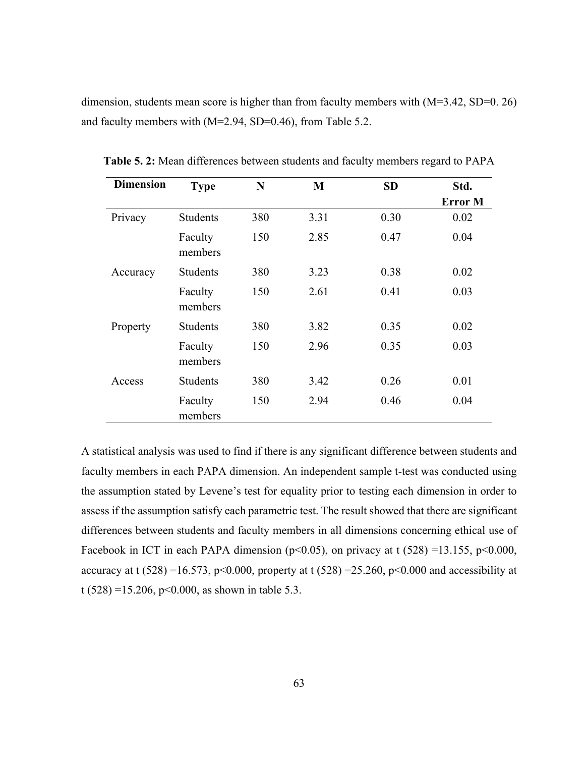dimension, students mean score is higher than from faculty members with  $(M=3.42, SD=0.26)$ and faculty members with (M=2.94, SD=0.46), from Table 5.2.

| <b>Dimension</b> | <b>Type</b>        | N   | M    | <b>SD</b> | Std.           |
|------------------|--------------------|-----|------|-----------|----------------|
|                  |                    |     |      |           | <b>Error</b> M |
| Privacy          | <b>Students</b>    | 380 | 3.31 | 0.30      | 0.02           |
|                  | Faculty<br>members | 150 | 2.85 | 0.47      | 0.04           |
| Accuracy         | <b>Students</b>    | 380 | 3.23 | 0.38      | 0.02           |
|                  | Faculty<br>members | 150 | 2.61 | 0.41      | 0.03           |
| Property         | <b>Students</b>    | 380 | 3.82 | 0.35      | 0.02           |
|                  | Faculty<br>members | 150 | 2.96 | 0.35      | 0.03           |
| Access           | <b>Students</b>    | 380 | 3.42 | 0.26      | 0.01           |
|                  | Faculty<br>members | 150 | 2.94 | 0.46      | 0.04           |

**Table 5. 2:** Mean differences between students and faculty members regard to PAPA

A statistical analysis was used to find if there is any significant difference between students and faculty members in each PAPA dimension. An independent sample t-test was conducted using the assumption stated by Levene's test for equality prior to testing each dimension in order to assess if the assumption satisfy each parametric test. The result showed that there are significant differences between students and faculty members in all dimensions concerning ethical use of Facebook in ICT in each PAPA dimension ( $p<0.05$ ), on privacy at t (528) =13.155,  $p<0.000$ , accuracy at t (528) =16.573, p<0.000, property at t (528) =25.260, p<0.000 and accessibility at t (528) = 15.206, p< 0.000, as shown in table 5.3.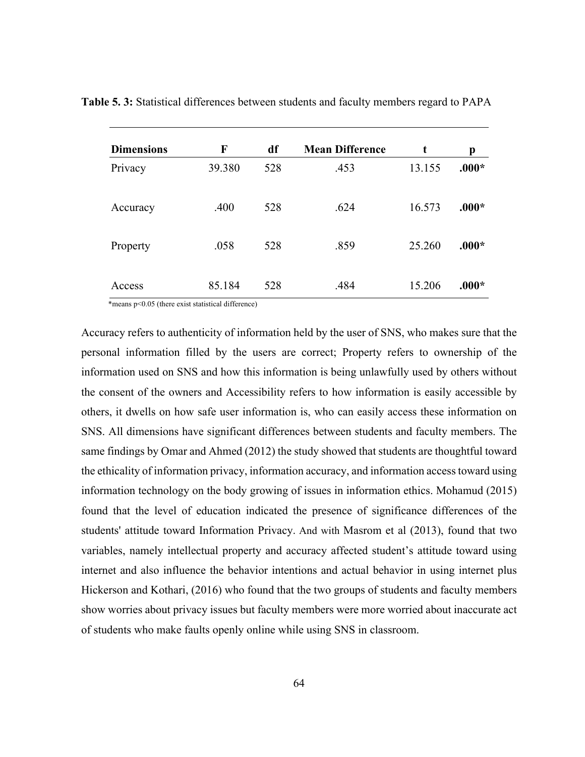| <b>Dimensions</b> | F      | df  | <b>Mean Difference</b> | t      | p       |
|-------------------|--------|-----|------------------------|--------|---------|
| Privacy           | 39.380 | 528 | .453                   | 13.155 | $.000*$ |
| Accuracy          | .400   | 528 | .624                   | 16.573 | $.000*$ |
| Property          | .058   | 528 | .859                   | 25.260 | $.000*$ |
| Access            | 85.184 | 528 | .484                   | 15.206 | $.000*$ |

**Table 5. 3:** Statistical differences between students and faculty members regard to PAPA

\*means p<0.05 (there exist statistical difference)

Accuracy refers to authenticity of information held by the user of SNS, who makes sure that the personal information filled by the users are correct; Property refers to ownership of the information used on SNS and how this information is being unlawfully used by others without the consent of the owners and Accessibility refers to how information is easily accessible by others, it dwells on how safe user information is, who can easily access these information on SNS. All dimensions have significant differences between students and faculty members. The same findings by Omar and Ahmed (2012) the study showed that students are thoughtful toward the ethicality of information privacy, information accuracy, and information access toward using information technology on the body growing of issues in information ethics. Mohamud (2015) found that the level of education indicated the presence of significance differences of the students' attitude toward Information Privacy. And with Masrom et al (2013), found that two variables, namely intellectual property and accuracy affected student's attitude toward using internet and also influence the behavior intentions and actual behavior in using internet plus Hickerson and Kothari, (2016) who found that the two groups of students and faculty members show worries about privacy issues but faculty members were more worried about inaccurate act of students who make faults openly online while using SNS in classroom.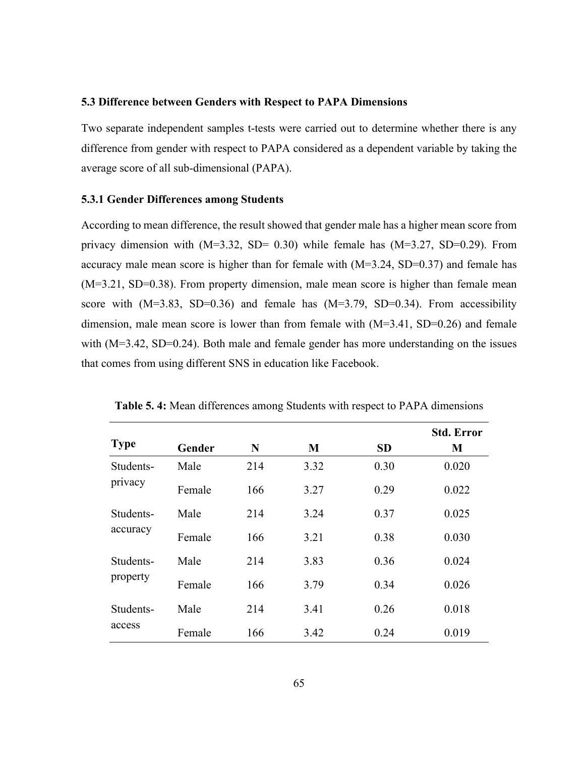#### **5.3 Difference between Genders with Respect to PAPA Dimensions**

Two separate independent samples t-tests were carried out to determine whether there is any difference from gender with respect to PAPA considered as a dependent variable by taking the average score of all sub-dimensional (PAPA).

#### **5.3.1 Gender Differences among Students**

According to mean difference, the result showed that gender male has a higher mean score from privacy dimension with  $(M=3.32, SD= 0.30)$  while female has  $(M=3.27, SD=0.29)$ . From accuracy male mean score is higher than for female with (M=3.24, SD=0.37) and female has (M=3.21, SD=0.38). From property dimension, male mean score is higher than female mean score with  $(M=3.83, SD=0.36)$  and female has  $(M=3.79, SD=0.34)$ . From accessibility dimension, male mean score is lower than from female with (M=3.41, SD=0.26) and female with (M=3.42, SD=0.24). Both male and female gender has more understanding on the issues that comes from using different SNS in education like Facebook.

|                       |        |     |      |           | <b>Std. Error</b> |
|-----------------------|--------|-----|------|-----------|-------------------|
| <b>Type</b>           | Gender | N   | M    | <b>SD</b> | M                 |
| Students-<br>privacy  | Male   | 214 | 3.32 | 0.30      | 0.020             |
|                       | Female | 166 | 3.27 | 0.29      | 0.022             |
| Students-<br>accuracy | Male   | 214 | 3.24 | 0.37      | 0.025             |
|                       | Female | 166 | 3.21 | 0.38      | 0.030             |
| Students-<br>property | Male   | 214 | 3.83 | 0.36      | 0.024             |
|                       | Female | 166 | 3.79 | 0.34      | 0.026             |
| Students-<br>access   | Male   | 214 | 3.41 | 0.26      | 0.018             |
|                       | Female | 166 | 3.42 | 0.24      | 0.019             |

**Table 5. 4:** Mean differences among Students with respect to PAPA dimensions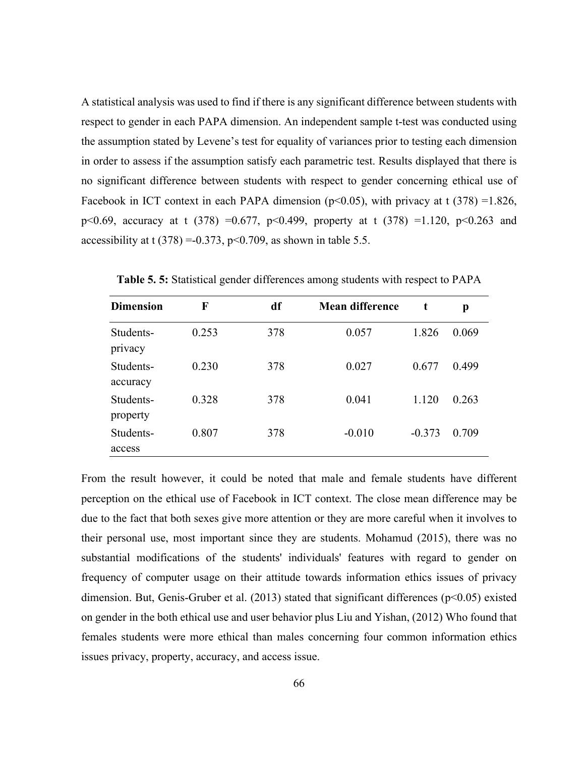A statistical analysis was used to find if there is any significant difference between students with respect to gender in each PAPA dimension. An independent sample t-test was conducted using the assumption stated by Levene's test for equality of variances prior to testing each dimension in order to assess if the assumption satisfy each parametric test. Results displayed that there is no significant difference between students with respect to gender concerning ethical use of Facebook in ICT context in each PAPA dimension ( $p<0.05$ ), with privacy at t (378) =1.826, p<0.69, accuracy at t (378) =0.677, p<0.499, property at t (378) =1.120, p<0.263 and accessibility at t  $(378) = -0.373$ ,  $p < 0.709$ , as shown in table 5.5.

| <b>Dimension</b>      | F     | df  | <b>Mean difference</b> | t        | p     |
|-----------------------|-------|-----|------------------------|----------|-------|
| Students-<br>privacy  | 0.253 | 378 | 0.057                  | 1.826    | 0.069 |
| Students-<br>accuracy | 0.230 | 378 | 0.027                  | 0.677    | 0.499 |
| Students-<br>property | 0.328 | 378 | 0.041                  | 1.120    | 0.263 |
| Students-<br>access   | 0.807 | 378 | $-0.010$               | $-0.373$ | 0.709 |

**Table 5. 5:** Statistical gender differences among students with respect to PAPA

From the result however, it could be noted that male and female students have different perception on the ethical use of Facebook in ICT context. The close mean difference may be due to the fact that both sexes give more attention or they are more careful when it involves to their personal use, most important since they are students. Mohamud (2015), there was no substantial modifications of the students' individuals' features with regard to gender on frequency of computer usage on their attitude towards information ethics issues of privacy dimension. But, Genis-Gruber et al. (2013) stated that significant differences (p<0.05) existed on gender in the both ethical use and user behavior plus Liu and Yishan, (2012) Who found that females students were more ethical than males concerning four common information ethics issues privacy, property, accuracy, and access issue.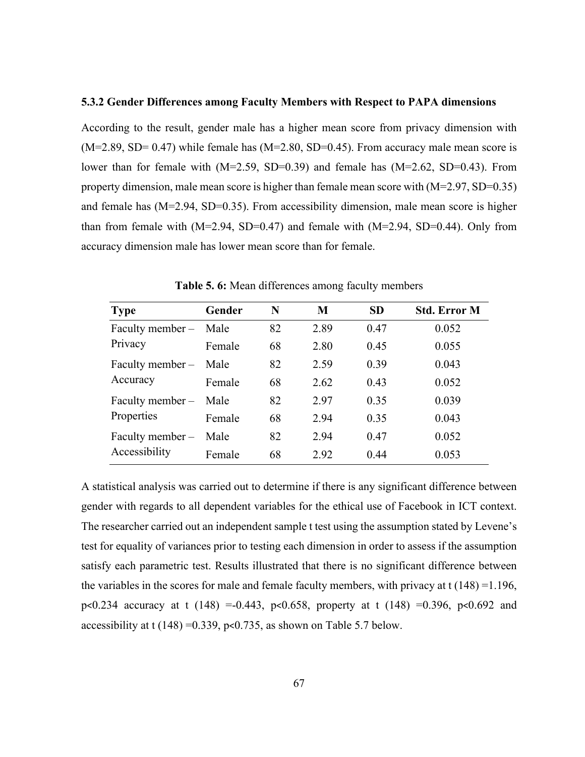#### **5.3.2 Gender Differences among Faculty Members with Respect to PAPA dimensions**

According to the result, gender male has a higher mean score from privacy dimension with  $(M=2.89, SD= 0.47)$  while female has  $(M=2.80, SD=0.45)$ . From accuracy male mean score is lower than for female with (M=2.59, SD=0.39) and female has (M=2.62, SD=0.43). From property dimension, male mean score is higher than female mean score with (M=2.97, SD=0.35) and female has (M=2.94, SD=0.35). From accessibility dimension, male mean score is higher than from female with  $(M=2.94, SD=0.47)$  and female with  $(M=2.94, SD=0.44)$ . Only from accuracy dimension male has lower mean score than for female.

| <b>Type</b>                       | Gender | N  | M    | <b>SD</b> | <b>Std. Error M</b> |
|-----------------------------------|--------|----|------|-----------|---------------------|
| Faculty member -                  | Male   | 82 | 2.89 | 0.47      | 0.052               |
| Privacy                           | Female | 68 | 2.80 | 0.45      | 0.055               |
| Faculty member $-$<br>Accuracy    | Male   | 82 | 2.59 | 0.39      | 0.043               |
|                                   | Female | 68 | 2.62 | 0.43      | 0.052               |
| Faculty member -                  | Male   | 82 | 2.97 | 0.35      | 0.039               |
| Properties                        | Female | 68 | 2.94 | 0.35      | 0.043               |
| Faculty member -<br>Accessibility | Male   | 82 | 2.94 | 0.47      | 0.052               |
|                                   | Female | 68 | 2.92 | 0.44      | 0.053               |

**Table 5. 6:** Mean differences among faculty members

A statistical analysis was carried out to determine if there is any significant difference between gender with regards to all dependent variables for the ethical use of Facebook in ICT context. The researcher carried out an independent sample t test using the assumption stated by Levene's test for equality of variances prior to testing each dimension in order to assess if the assumption satisfy each parametric test. Results illustrated that there is no significant difference between the variables in the scores for male and female faculty members, with privacy at  $t$  (148) =1.196, p<0.234 accuracy at t (148) =-0.443, p<0.658, property at t (148) =0.396, p<0.692 and accessibility at t  $(148) = 0.339$ , p<0.735, as shown on Table 5.7 below.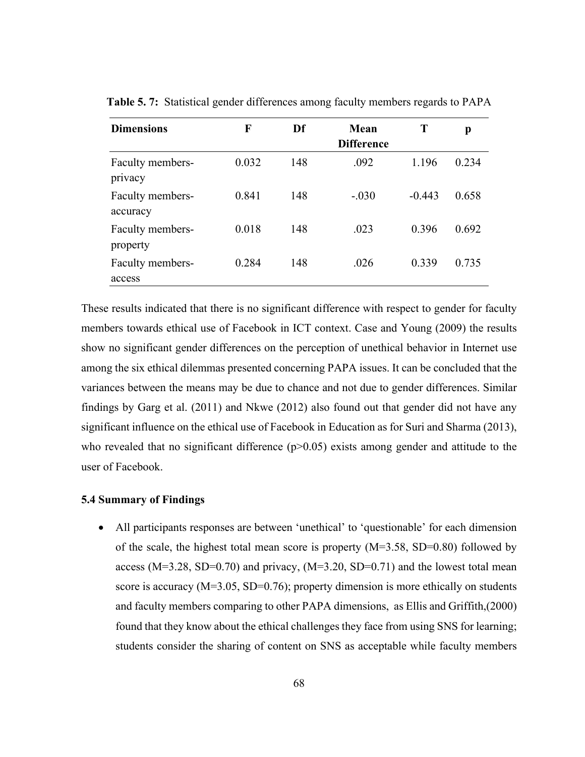| <b>Dimensions</b>            | F     | Df  | Mean              | T        | p     |
|------------------------------|-------|-----|-------------------|----------|-------|
|                              |       |     | <b>Difference</b> |          |       |
| Faculty members-<br>privacy  | 0.032 | 148 | .092              | 1.196    | 0.234 |
| Faculty members-<br>accuracy | 0.841 | 148 | $-.030$           | $-0.443$ | 0.658 |
| Faculty members-<br>property | 0.018 | 148 | .023              | 0.396    | 0.692 |
| Faculty members-<br>access   | 0.284 | 148 | .026              | 0.339    | 0.735 |

**Table 5. 7:** Statistical gender differences among faculty members regards to PAPA

These results indicated that there is no significant difference with respect to gender for faculty members towards ethical use of Facebook in ICT context. Case and Young (2009) the results show no significant gender differences on the perception of unethical behavior in Internet use among the six ethical dilemmas presented concerning PAPA issues. It can be concluded that the variances between the means may be due to chance and not due to gender differences. Similar findings by Garg et al. (2011) and Nkwe (2012) also found out that gender did not have any significant influence on the ethical use of Facebook in Education as for Suri and Sharma (2013), who revealed that no significant difference  $(p>0.05)$  exists among gender and attitude to the user of Facebook.

#### **5.4 Summary of Findings**

 All participants responses are between 'unethical' to 'questionable' for each dimension of the scale, the highest total mean score is property (M=3.58, SD=0.80) followed by access ( $M=3.28$ , SD=0.70) and privacy, ( $M=3.20$ , SD=0.71) and the lowest total mean score is accuracy (M=3.05, SD=0.76); property dimension is more ethically on students and faculty members comparing to other PAPA dimensions, as Ellis and Griffith,(2000) found that they know about the ethical challenges they face from using SNS for learning; students consider the sharing of content on SNS as acceptable while faculty members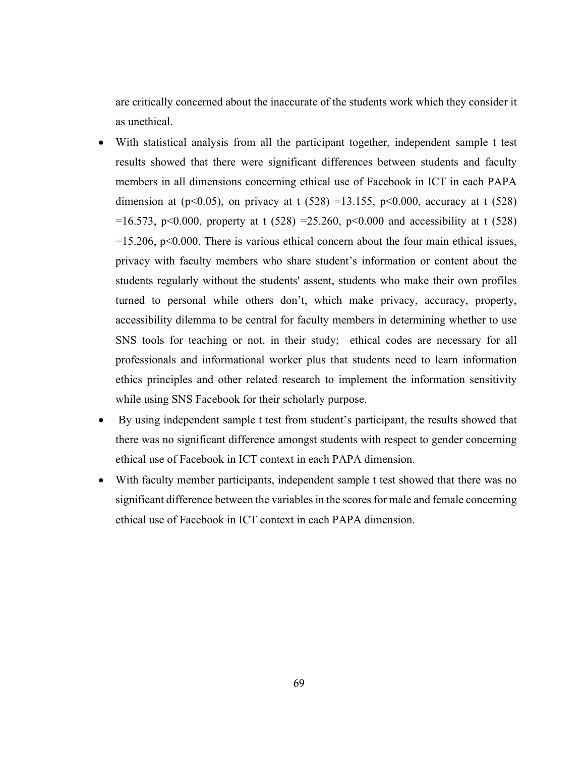are critically concerned about the inaccurate of the students work which they consider it as unethical.

- With statistical analysis from all the participant together, independent sample t test results showed that there were significant differences between students and faculty members in all dimensions concerning ethical use of Facebook in ICT in each PAPA dimension at (p<0.05), on privacy at t (528) =13.155, p<0.000, accuracy at t (528) =16.573, p<0.000, property at t (528) =25.260, p<0.000 and accessibility at t (528)  $=15.206$ , p $< 0.000$ . There is various ethical concern about the four main ethical issues, privacy with faculty members who share student's information or content about the students regularly without the students' assent, students who make their own profiles turned to personal while others don't, which make privacy, accuracy, property, accessibility dilemma to be central for faculty members in determining whether to use SNS tools for teaching or not, in their study; ethical codes are necessary for all professionals and informational worker plus that students need to learn information ethics principles and other related research to implement the information sensitivity while using SNS Facebook for their scholarly purpose.
- By using independent sample t test from student's participant, the results showed that there was no significant difference amongst students with respect to gender concerning ethical use of Facebook in ICT context in each PAPA dimension.
- With faculty member participants, independent sample t test showed that there was no significant difference between the variables in the scores for male and female concerning ethical use of Facebook in ICT context in each PAPA dimension.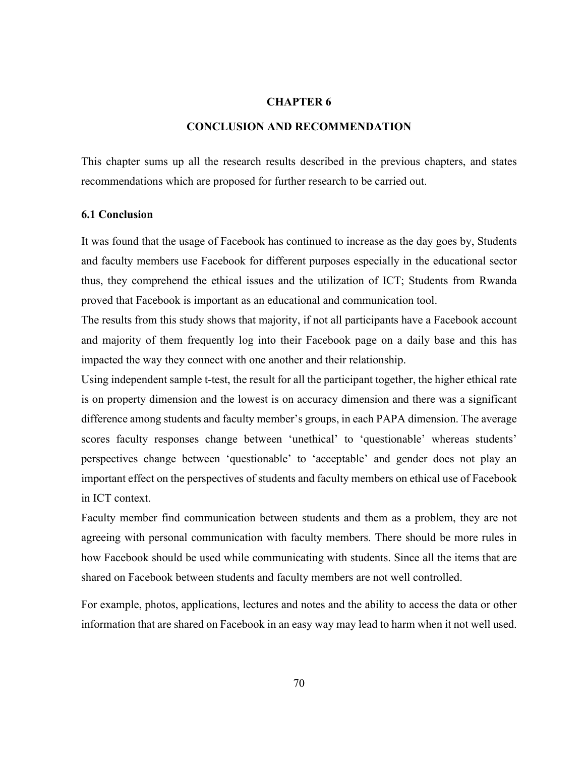## **CHAPTER 6**

## **CONCLUSION AND RECOMMENDATION**

This chapter sums up all the research results described in the previous chapters, and states recommendations which are proposed for further research to be carried out.

#### **6.1 Conclusion**

It was found that the usage of Facebook has continued to increase as the day goes by, Students and faculty members use Facebook for different purposes especially in the educational sector thus, they comprehend the ethical issues and the utilization of ICT; Students from Rwanda proved that Facebook is important as an educational and communication tool.

The results from this study shows that majority, if not all participants have a Facebook account and majority of them frequently log into their Facebook page on a daily base and this has impacted the way they connect with one another and their relationship.

Using independent sample t-test, the result for all the participant together, the higher ethical rate is on property dimension and the lowest is on accuracy dimension and there was a significant difference among students and faculty member's groups, in each PAPA dimension. The average scores faculty responses change between 'unethical' to 'questionable' whereas students' perspectives change between 'questionable' to 'acceptable' and gender does not play an important effect on the perspectives of students and faculty members on ethical use of Facebook in ICT context.

Faculty member find communication between students and them as a problem, they are not agreeing with personal communication with faculty members. There should be more rules in how Facebook should be used while communicating with students. Since all the items that are shared on Facebook between students and faculty members are not well controlled.

For example, photos, applications, lectures and notes and the ability to access the data or other information that are shared on Facebook in an easy way may lead to harm when it not well used.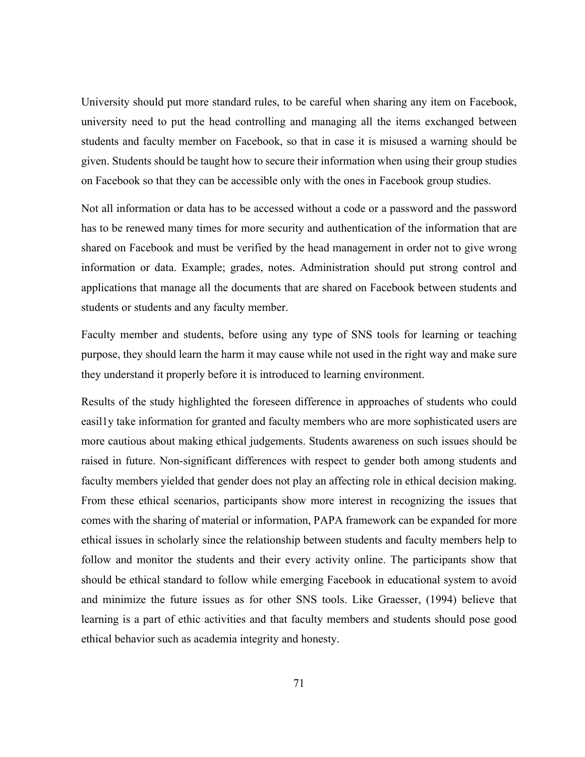University should put more standard rules, to be careful when sharing any item on Facebook, university need to put the head controlling and managing all the items exchanged between students and faculty member on Facebook, so that in case it is misused a warning should be given. Students should be taught how to secure their information when using their group studies on Facebook so that they can be accessible only with the ones in Facebook group studies.

Not all information or data has to be accessed without a code or a password and the password has to be renewed many times for more security and authentication of the information that are shared on Facebook and must be verified by the head management in order not to give wrong information or data. Example; grades, notes. Administration should put strong control and applications that manage all the documents that are shared on Facebook between students and students or students and any faculty member.

Faculty member and students, before using any type of SNS tools for learning or teaching purpose, they should learn the harm it may cause while not used in the right way and make sure they understand it properly before it is introduced to learning environment.

Results of the study highlighted the foreseen difference in approaches of students who could easil1y take information for granted and faculty members who are more sophisticated users are more cautious about making ethical judgements. Students awareness on such issues should be raised in future. Non-significant differences with respect to gender both among students and faculty members yielded that gender does not play an affecting role in ethical decision making. From these ethical scenarios, participants show more interest in recognizing the issues that comes with the sharing of material or information, PAPA framework can be expanded for more ethical issues in scholarly since the relationship between students and faculty members help to follow and monitor the students and their every activity online. The participants show that should be ethical standard to follow while emerging Facebook in educational system to avoid and minimize the future issues as for other SNS tools. Like Graesser, (1994) believe that learning is a part of ethic activities and that faculty members and students should pose good ethical behavior such as academia integrity and honesty.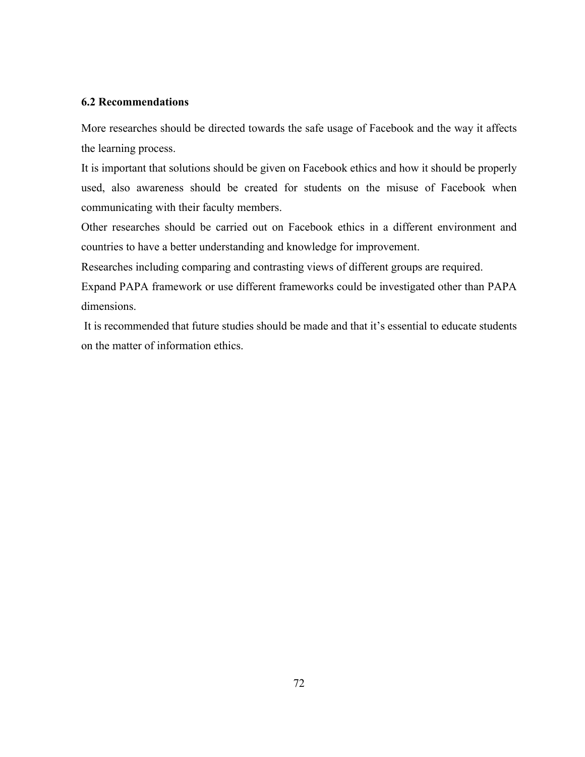# **6.2 Recommendations**

More researches should be directed towards the safe usage of Facebook and the way it affects the learning process.

It is important that solutions should be given on Facebook ethics and how it should be properly used, also awareness should be created for students on the misuse of Facebook when communicating with their faculty members.

Other researches should be carried out on Facebook ethics in a different environment and countries to have a better understanding and knowledge for improvement.

Researches including comparing and contrasting views of different groups are required.

Expand PAPA framework or use different frameworks could be investigated other than PAPA dimensions.

 It is recommended that future studies should be made and that it's essential to educate students on the matter of information ethics.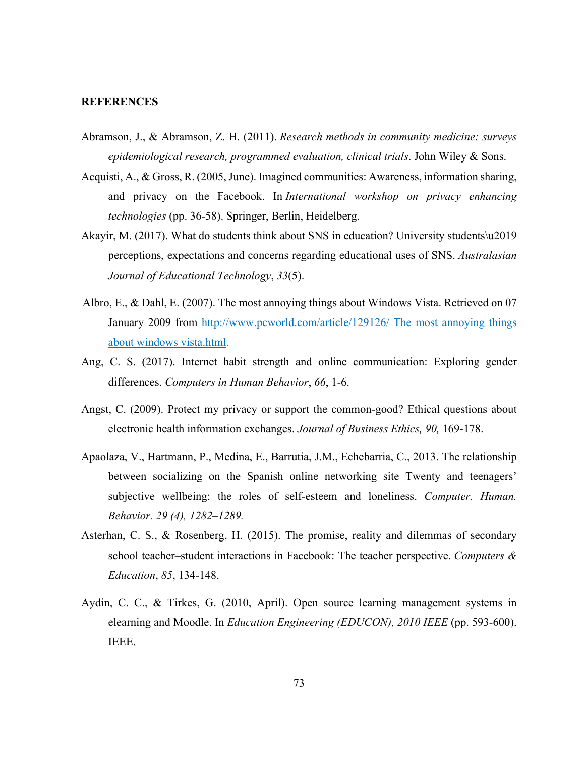## **REFERENCES**

- Abramson, J., & Abramson, Z. H. (2011). *Research methods in community medicine: surveys epidemiological research, programmed evaluation, clinical trials*. John Wiley & Sons.
- Acquisti, A., & Gross, R. (2005, June). Imagined communities: Awareness, information sharing, and privacy on the Facebook. In *International workshop on privacy enhancing technologies* (pp. 36-58). Springer, Berlin, Heidelberg.
- Akayir, M. (2017). What do students think about SNS in education? University students\u2019 perceptions, expectations and concerns regarding educational uses of SNS. *Australasian Journal of Educational Technology*, *33*(5).
- Albro, E., & Dahl, E. (2007). The most annoying things about Windows Vista. Retrieved on 07 January 2009 from http://www.pcworld.com/article/129126/ The most annoying things about windows vista.html.
- Ang, C. S. (2017). Internet habit strength and online communication: Exploring gender differences. *Computers in Human Behavior*, *66*, 1-6.
- Angst, C. (2009). Protect my privacy or support the common-good? Ethical questions about electronic health information exchanges. *Journal of Business Ethics, 90,* 169-178.
- Apaolaza, V., Hartmann, P., Medina, E., Barrutia, J.M., Echebarria, C., 2013. The relationship between socializing on the Spanish online networking site Twenty and teenagers' subjective wellbeing: the roles of self-esteem and loneliness. *Computer. Human. Behavior. 29 (4), 1282–1289.*
- Asterhan, C. S., & Rosenberg, H. (2015). The promise, reality and dilemmas of secondary school teacher–student interactions in Facebook: The teacher perspective. *Computers & Education*, *85*, 134-148.
- Aydin, C. C., & Tirkes, G. (2010, April). Open source learning management systems in elearning and Moodle. In *Education Engineering (EDUCON), 2010 IEEE* (pp. 593-600). IEEE.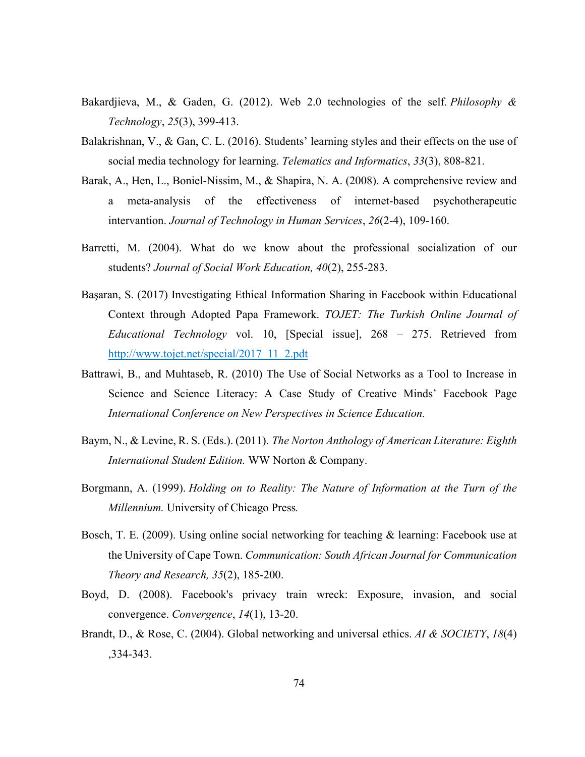- Bakardjieva, M., & Gaden, G. (2012). Web 2.0 technologies of the self. *Philosophy & Technology*, *25*(3), 399-413.
- Balakrishnan, V., & Gan, C. L. (2016). Students' learning styles and their effects on the use of social media technology for learning. *Telematics and Informatics*, *33*(3), 808-821.
- Barak, A., Hen, L., Boniel-Nissim, M., & Shapira, N. A. (2008). A comprehensive review and a meta-analysis of the effectiveness of internet-based psychotherapeutic intervantion. *Journal of Technology in Human Services*, *26*(2-4), 109-160.
- Barretti, M. (2004). What do we know about the professional socialization of our students? *Journal of Social Work Education, 40*(2), 255-283.
- Başaran, S. (2017) Investigating Ethical Information Sharing in Facebook within Educational Context through Adopted Papa Framework. *TOJET: The Turkish Online Journal of Educational Technology* vol. 10, [Special issue], 268 – 275. Retrieved from http://www.tojet.net/special/2017\_11\_2.pdt
- Battrawi, B., and Muhtaseb, R. (2010) The Use of Social Networks as a Tool to Increase in Science and Science Literacy: A Case Study of Creative Minds' Facebook Page *International Conference on New Perspectives in Science Education.*
- Baym, N., & Levine, R. S. (Eds.). (2011). *The Norton Anthology of American Literature: Eighth International Student Edition.* WW Norton & Company.
- Borgmann, A. (1999). *Holding on to Reality: The Nature of Information at the Turn of the Millennium.* University of Chicago Press*.*
- Bosch, T. E. (2009). Using online social networking for teaching & learning: Facebook use at the University of Cape Town. *Communication: South African Journal for Communication Theory and Research, 35*(2), 185-200.
- Boyd, D. (2008). Facebook's privacy train wreck: Exposure, invasion, and social convergence. *Convergence*, *14*(1), 13-20.
- Brandt, D., & Rose, C. (2004). Global networking and universal ethics. *AI & SOCIETY*, *18*(4) ,334-343.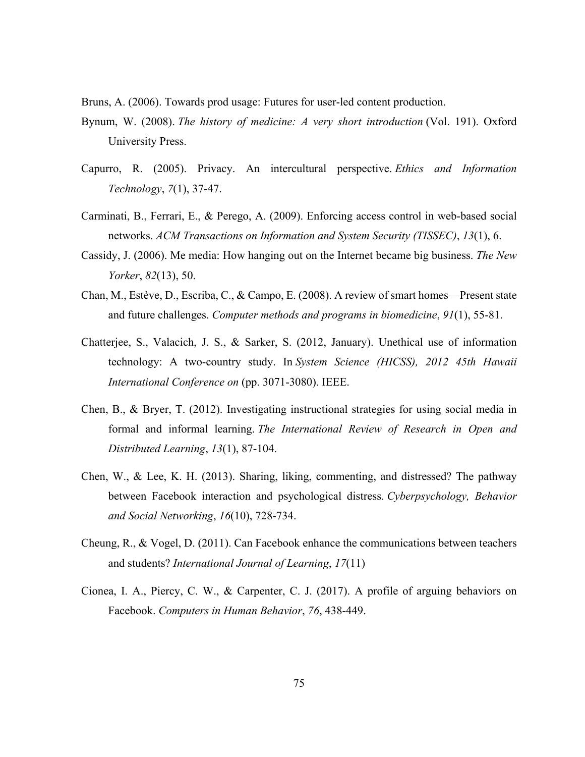Bruns, A. (2006). Towards prod usage: Futures for user-led content production.

- Bynum, W. (2008). *The history of medicine: A very short introduction* (Vol. 191). Oxford University Press.
- Capurro, R. (2005). Privacy. An intercultural perspective. *Ethics and Information Technology*, *7*(1), 37-47.
- Carminati, B., Ferrari, E., & Perego, A. (2009). Enforcing access control in web-based social networks. *ACM Transactions on Information and System Security (TISSEC)*, *13*(1), 6.
- Cassidy, J. (2006). Me media: How hanging out on the Internet became big business. *The New Yorker*, *82*(13), 50.
- Chan, M., Estève, D., Escriba, C., & Campo, E. (2008). A review of smart homes—Present state and future challenges. *Computer methods and programs in biomedicine*, *91*(1), 55-81.
- Chatterjee, S., Valacich, J. S., & Sarker, S. (2012, January). Unethical use of information technology: A two-country study. In *System Science (HICSS), 2012 45th Hawaii International Conference on* (pp. 3071-3080). IEEE.
- Chen, B., & Bryer, T. (2012). Investigating instructional strategies for using social media in formal and informal learning. *The International Review of Research in Open and Distributed Learning*, *13*(1), 87-104.
- Chen, W., & Lee, K. H. (2013). Sharing, liking, commenting, and distressed? The pathway between Facebook interaction and psychological distress. *Cyberpsychology, Behavior and Social Networking*, *16*(10), 728-734.
- Cheung, R., & Vogel, D. (2011). Can Facebook enhance the communications between teachers and students? *International Journal of Learning*, *17*(11)
- Cionea, I. A., Piercy, C. W., & Carpenter, C. J. (2017). A profile of arguing behaviors on Facebook. *Computers in Human Behavior*, *76*, 438-449.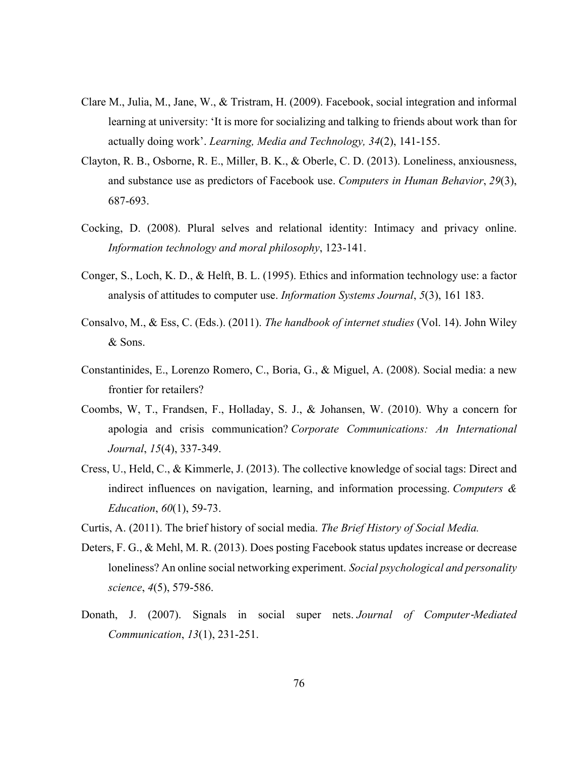- Clare M., Julia, M., Jane, W., & Tristram, H. (2009). Facebook, social integration and informal learning at university: 'It is more for socializing and talking to friends about work than for actually doing work'. *Learning, Media and Technology, 34*(2), 141-155.
- Clayton, R. B., Osborne, R. E., Miller, B. K., & Oberle, C. D. (2013). Loneliness, anxiousness, and substance use as predictors of Facebook use. *Computers in Human Behavior*, *29*(3), 687-693.
- Cocking, D. (2008). Plural selves and relational identity: Intimacy and privacy online. *Information technology and moral philosophy*, 123-141.
- Conger, S., Loch, K. D., & Helft, B. L. (1995). Ethics and information technology use: a factor analysis of attitudes to computer use. *Information Systems Journal*, *5*(3), 161 183.
- Consalvo, M., & Ess, C. (Eds.). (2011). *The handbook of internet studies* (Vol. 14). John Wiley & Sons.
- Constantinides, E., Lorenzo Romero, C., Boria, G., & Miguel, A. (2008). Social media: a new frontier for retailers?
- Coombs, W, T., Frandsen, F., Holladay, S. J., & Johansen, W. (2010). Why a concern for apologia and crisis communication? *Corporate Communications: An International Journal*, *15*(4), 337-349.
- Cress, U., Held, C., & Kimmerle, J. (2013). The collective knowledge of social tags: Direct and indirect influences on navigation, learning, and information processing. *Computers & Education*, *60*(1), 59-73.
- Curtis, A. (2011). The brief history of social media. *The Brief History of Social Media.*
- Deters, F. G., & Mehl, M. R. (2013). Does posting Facebook status updates increase or decrease loneliness? An online social networking experiment. *Social psychological and personality science*, *4*(5), 579-586.
- Donath, J. (2007). Signals in social super nets. *Journal of Computer‐Mediated Communication*, *13*(1), 231-251.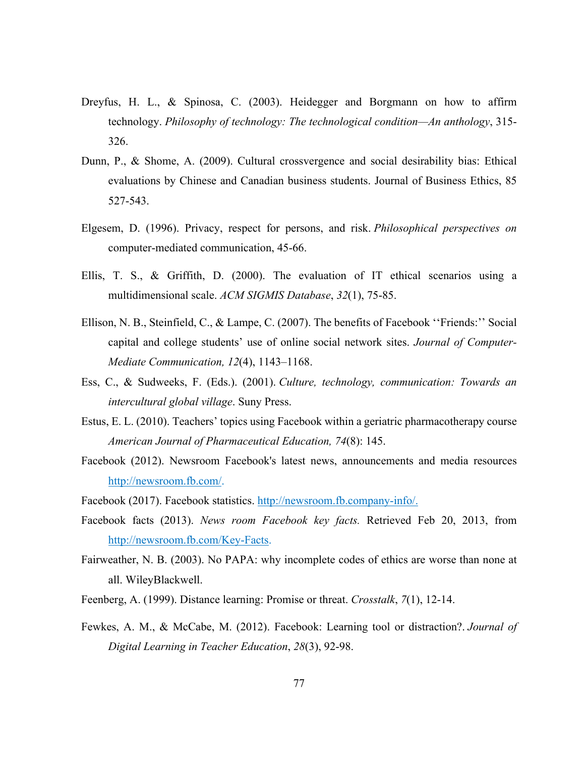- Dreyfus, H. L., & Spinosa, C. (2003). Heidegger and Borgmann on how to affirm technology. *Philosophy of technology: The technological condition—An anthology*, 315- 326.
- Dunn, P., & Shome, A. (2009). Cultural crossvergence and social desirability bias: Ethical evaluations by Chinese and Canadian business students. Journal of Business Ethics, 85 527-543.
- Elgesem, D. (1996). Privacy, respect for persons, and risk. *Philosophical perspectives on* computer-mediated communication, 45-66.
- Ellis, T. S., & Griffith, D. (2000). The evaluation of IT ethical scenarios using a multidimensional scale. *ACM SIGMIS Database*, *32*(1), 75-85.
- Ellison, N. B., Steinfield, C., & Lampe, C. (2007). The benefits of Facebook ''Friends:'' Social capital and college students' use of online social network sites. *Journal of Computer-Mediate Communication, 12*(4), 1143–1168.
- Ess, C., & Sudweeks, F. (Eds.). (2001). *Culture, technology, communication: Towards an intercultural global village*. Suny Press.
- Estus, E. L. (2010). Teachers' topics using Facebook within a geriatric pharmacotherapy course *American Journal of Pharmaceutical Education, 74*(8): 145.
- Facebook (2012). Newsroom Facebook's latest news, announcements and media resources <http://newsroom.fb.com/>.
- Facebook (2017). Facebook statistics. http://newsroom.fb.company-info/.
- Facebook facts (2013). *News room Facebook key facts.* Retrieved Feb 20, 2013, from http://newsroom.fb.com/Key-Facts.
- Fairweather, N. B. (2003). No PAPA: why incomplete codes of ethics are worse than none at all. WileyBlackwell.
- Feenberg, A. (1999). Distance learning: Promise or threat. *Crosstalk*, *7*(1), 12-14.
- Fewkes, A. M., & McCabe, M. (2012). Facebook: Learning tool or distraction?. *Journal of Digital Learning in Teacher Education*, *28*(3), 92-98.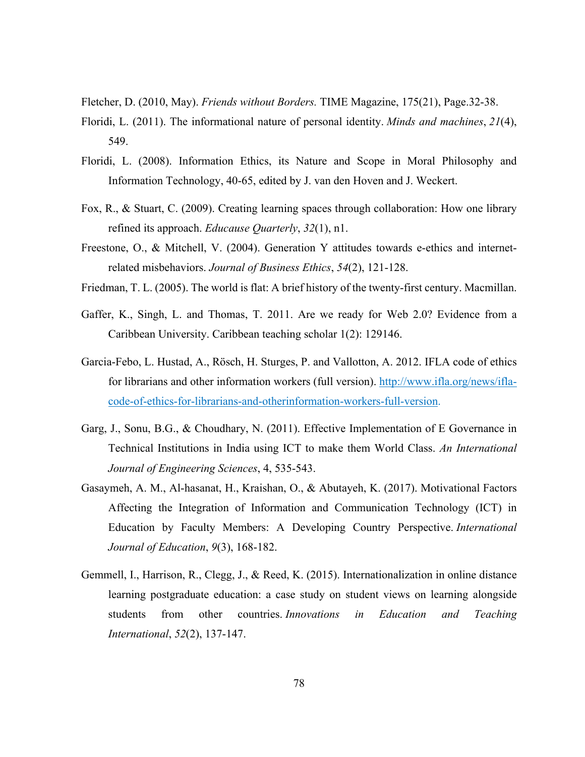Fletcher, D. (2010, May). *Friends without Borders.* TIME Magazine, 175(21), Page.32-38.

- Floridi, L. (2011). The informational nature of personal identity. *Minds and machines*, *21*(4), 549.
- Floridi, L. (2008). Information Ethics, its Nature and Scope in Moral Philosophy and Information Technology, 40-65, edited by J. van den Hoven and J. Weckert.
- Fox, R., & Stuart, C. (2009). Creating learning spaces through collaboration: How one library refined its approach. *Educause Quarterly*, *32*(1), n1.
- Freestone, O., & Mitchell, V. (2004). Generation Y attitudes towards e-ethics and internetrelated misbehaviors. *Journal of Business Ethics*, *54*(2), 121-128.
- Friedman, T. L. (2005). The world is flat: A brief history of the twenty-first century. Macmillan.
- Gaffer, K., Singh, L. and Thomas, T. 2011. Are we ready for Web 2.0? Evidence from a Caribbean University. Caribbean teaching scholar 1(2): 129146.
- Garcia-Febo, L. Hustad, A., Rösch, H. Sturges, P. and Vallotton, A. 2012. IFLA code of ethics for librarians and other information workers (full version). http://www.ifla.org/news/iflacode-of-ethics-for-librarians-and-otherinformation-workers-full-version.
- Garg, J., Sonu, B.G., & Choudhary, N. (2011). Effective Implementation of E Governance in Technical Institutions in India using ICT to make them World Class. *An International Journal of Engineering Sciences*, 4, 535-543.
- Gasaymeh, A. M., Al-hasanat, H., Kraishan, O., & Abutayeh, K. (2017). Motivational Factors Affecting the Integration of Information and Communication Technology (ICT) in Education by Faculty Members: A Developing Country Perspective. *International Journal of Education*, *9*(3), 168-182.
- Gemmell, I., Harrison, R., Clegg, J., & Reed, K. (2015). Internationalization in online distance learning postgraduate education: a case study on student views on learning alongside students from other countries. *Innovations in Education and Teaching International*, *52*(2), 137-147.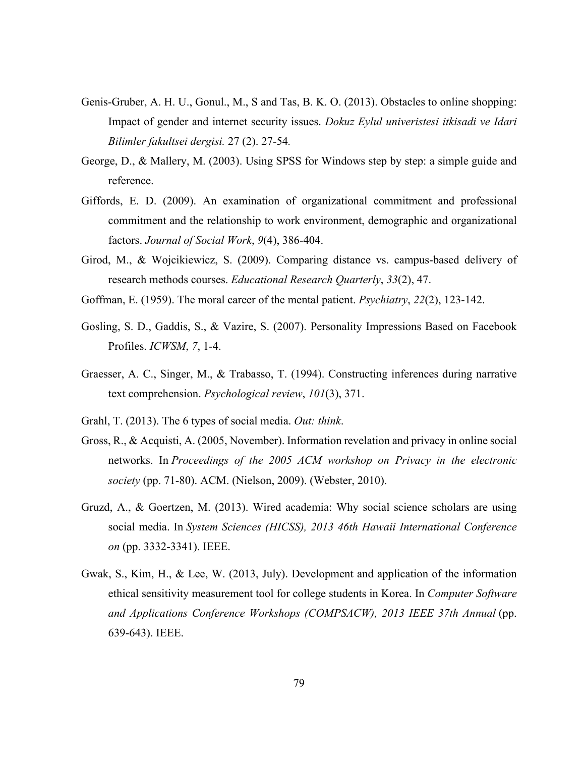- Genis-Gruber, A. H. U., Gonul., M., S and Tas, B. K. O. (2013). Obstacles to online shopping: Impact of gender and internet security issues. *Dokuz Eylul univeristesi itkisadi ve Idari Bilimler fakultsei dergisi.* 27 (2). 27-54*.*
- George, D., & Mallery, M. (2003). Using SPSS for Windows step by step: a simple guide and reference.
- Giffords, E. D. (2009). An examination of organizational commitment and professional commitment and the relationship to work environment, demographic and organizational factors. *Journal of Social Work*, *9*(4), 386-404.
- Girod, M., & Wojcikiewicz, S. (2009). Comparing distance vs. campus-based delivery of research methods courses. *Educational Research Quarterly*, *33*(2), 47.
- Goffman, E. (1959). The moral career of the mental patient. *Psychiatry*, *22*(2), 123-142.
- Gosling, S. D., Gaddis, S., & Vazire, S. (2007). Personality Impressions Based on Facebook Profiles. *ICWSM*, *7*, 1-4.
- Graesser, A. C., Singer, M., & Trabasso, T. (1994). Constructing inferences during narrative text comprehension. *Psychological review*, *101*(3), 371.
- Grahl, T. (2013). The 6 types of social media. *Out: think*.
- Gross, R., & Acquisti, A. (2005, November). Information revelation and privacy in online social networks. In *Proceedings of the 2005 ACM workshop on Privacy in the electronic society* (pp. 71-80). ACM. (Nielson, 2009). (Webster, 2010).
- Gruzd, A., & Goertzen, M. (2013). Wired academia: Why social science scholars are using social media. In *System Sciences (HICSS), 2013 46th Hawaii International Conference on* (pp. 3332-3341). IEEE.
- Gwak, S., Kim, H., & Lee, W. (2013, July). Development and application of the information ethical sensitivity measurement tool for college students in Korea. In *Computer Software and Applications Conference Workshops (COMPSACW), 2013 IEEE 37th Annual* (pp. 639-643). IEEE.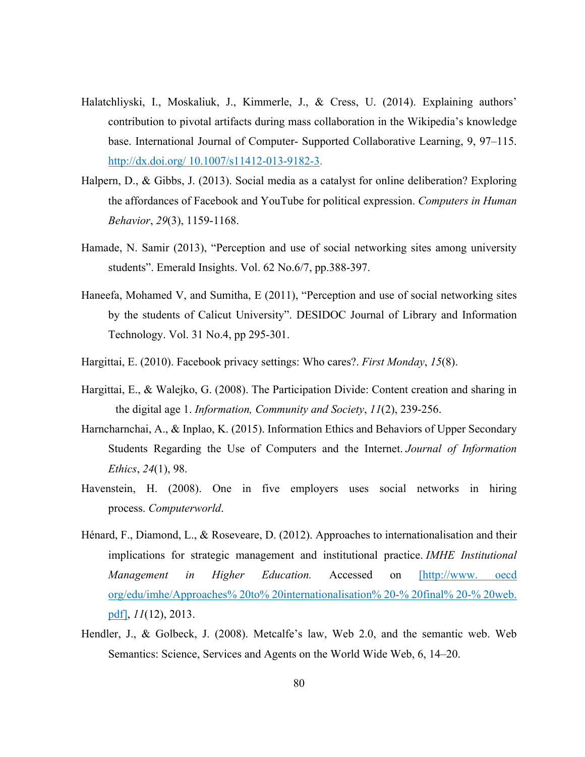- Halatchliyski, I., Moskaliuk, J., Kimmerle, J., & Cress, U. (2014). Explaining authors' contribution to pivotal artifacts during mass collaboration in the Wikipedia's knowledge base. International Journal of Computer- Supported Collaborative Learning, 9, 97–115. http://dx.doi.org/ 10.1007/s11412-013-9182-3.
- Halpern, D., & Gibbs, J. (2013). Social media as a catalyst for online deliberation? Exploring the affordances of Facebook and YouTube for political expression. *Computers in Human Behavior*, *29*(3), 1159-1168.
- Hamade, N. Samir (2013), "Perception and use of social networking sites among university students". Emerald Insights. Vol. 62 No.6/7, pp.388-397.
- Haneefa, Mohamed V, and Sumitha, E (2011), "Perception and use of social networking sites by the students of Calicut University". DESIDOC Journal of Library and Information Technology. Vol. 31 No.4, pp 295-301.
- Hargittai, E. (2010). Facebook privacy settings: Who cares?. *First Monday*, *15*(8).
- Hargittai, E., & Walejko, G. (2008). The Participation Divide: Content creation and sharing in the digital age 1. *Information, Community and Society*, *11*(2), 239-256.
- Harncharnchai, A., & Inplao, K. (2015). Information Ethics and Behaviors of Upper Secondary Students Regarding the Use of Computers and the Internet. *Journal of Information Ethics*, *24*(1), 98.
- Havenstein, H. (2008). One in five employers uses social networks in hiring process. *Computerworld*.
- Hénard, F., Diamond, L., & Roseveare, D. (2012). Approaches to internationalisation and their implications for strategic management and institutional practice. *IMHE Institutional Management in Higher Education.* Accessed on [http://www. oecd org/edu/imhe/Approaches% 20to% 20internationalisation% 20-% 20final% 20-% 20web. pdf], *11*(12), 2013.
- Hendler, J., & Golbeck, J. (2008). Metcalfe's law, Web 2.0, and the semantic web. Web Semantics: Science, Services and Agents on the World Wide Web, 6, 14–20.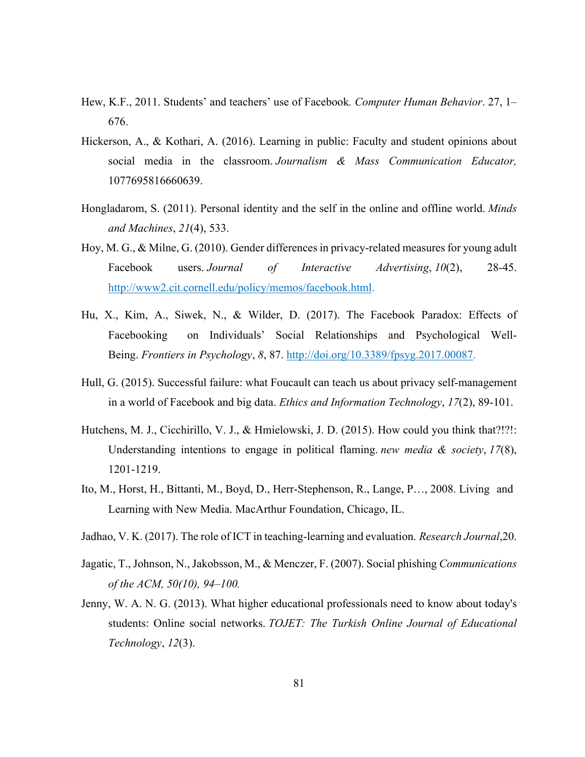- Hew, K.F., 2011. Students' and teachers' use of Facebook*. Computer Human Behavior*. 27, 1– 676.
- Hickerson, A., & Kothari, A. (2016). Learning in public: Faculty and student opinions about social media in the classroom. *Journalism & Mass Communication Educator,* 1077695816660639.
- Hongladarom, S. (2011). Personal identity and the self in the online and offline world. *Minds and Machines*, *21*(4), 533.
- Hoy, M. G., & Milne, G. (2010). Gender differences in privacy-related measures for young adult Facebook users. *Journal of Interactive Advertising*, *10*(2), 28-45. http://www2.cit.cornell.edu/policy/memos/facebook.html.
- Hu, X., Kim, A., Siwek, N., & Wilder, D. (2017). The Facebook Paradox: Effects of Facebooking on Individuals' Social Relationships and Psychological Well-Being. *Frontiers in Psychology*, *8*, 87.<http://doi.org/10.3389/fpsyg.2017.00087>.
- Hull, G. (2015). Successful failure: what Foucault can teach us about privacy self-management in a world of Facebook and big data. *Ethics and Information Technology*, *17*(2), 89-101.
- Hutchens, M. J., Cicchirillo, V. J., & Hmielowski, J. D. (2015). How could you think that?!?!: Understanding intentions to engage in political flaming. *new media & society*, *17*(8), 1201-1219.
- Ito, M., Horst, H., Bittanti, M., Boyd, D., Herr-Stephenson, R., Lange, P…, 2008. Living and Learning with New Media. MacArthur Foundation, Chicago, IL.
- Jadhao, V. K. (2017). The role of ICT in teaching-learning and evaluation. *Research Journal*,20.
- Jagatic, T., Johnson, N., Jakobsson, M., & Menczer, F. (2007). Social phishing *Communications of the ACM, 50(10), 94–100.*
- Jenny, W. A. N. G. (2013). What higher educational professionals need to know about today's students: Online social networks. *TOJET: The Turkish Online Journal of Educational Technology*, *12*(3).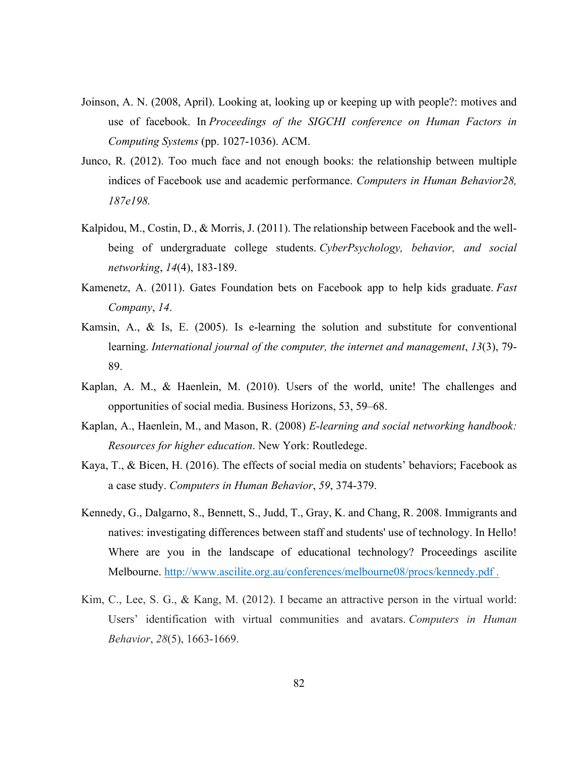- Joinson, A. N. (2008, April). Looking at, looking up or keeping up with people?: motives and use of facebook. In *Proceedings of the SIGCHI conference on Human Factors in Computing Systems* (pp. 1027-1036). ACM.
- Junco, R. (2012). Too much face and not enough books: the relationship between multiple indices of Facebook use and academic performance. *Computers in Human Behavior28, 187e198.*
- Kalpidou, M., Costin, D., & Morris, J. (2011). The relationship between Facebook and the wellbeing of undergraduate college students. *CyberPsychology, behavior, and social networking*, *14*(4), 183-189.
- Kamenetz, A. (2011). Gates Foundation bets on Facebook app to help kids graduate. *Fast Company*, *14*.
- Kamsin, A., & Is, E. (2005). Is e-learning the solution and substitute for conventional learning. *International journal of the computer, the internet and management*, *13*(3), 79- 89.
- Kaplan, A. M., & Haenlein, M. (2010). Users of the world, unite! The challenges and opportunities of social media. Business Horizons, 53, 59–68.
- Kaplan, A., Haenlein, M., and Mason, R. (2008) *E-learning and social networking handbook: Resources for higher education*. New York: Routledege.
- Kaya, T., & Bicen, H. (2016). The effects of social media on students' behaviors; Facebook as a case study. *Computers in Human Behavior*, *59*, 374-379.
- Kennedy, G., Dalgarno, 8., Bennett, S., Judd, T., Gray, K. and Chang, R. 2008. Immigrants and natives: investigating differences between staff and students' use of technology. In Hello! Where are you in the landscape of educational technology? Proceedings ascilite Melbourne.<http://www.ascilite.org.au/conferences/melbourne08/procs/kennedy.pdf>.
- Kim, C., Lee, S. G., & Kang, M. (2012). I became an attractive person in the virtual world: Users' identification with virtual communities and avatars. *Computers in Human Behavior*, *28*(5), 1663-1669.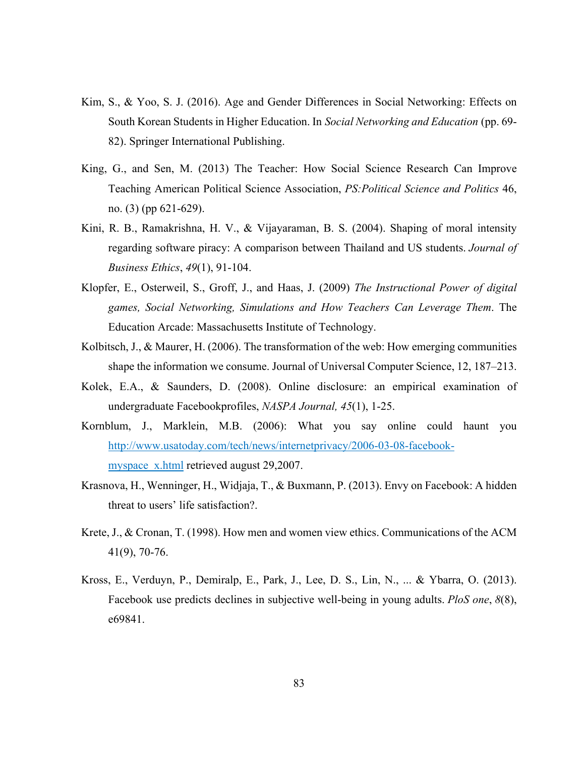- Kim, S., & Yoo, S. J. (2016). Age and Gender Differences in Social Networking: Effects on South Korean Students in Higher Education. In *Social Networking and Education* (pp. 69- 82). Springer International Publishing.
- King, G., and Sen, M. (2013) The Teacher: How Social Science Research Can Improve Teaching American Political Science Association, *PS:Political Science and Politics* 46, no. (3) (pp 621-629).
- Kini, R. B., Ramakrishna, H. V., & Vijayaraman, B. S. (2004). Shaping of moral intensity regarding software piracy: A comparison between Thailand and US students. *Journal of Business Ethics*, *49*(1), 91-104.
- Klopfer, E., Osterweil, S., Groff, J., and Haas, J. (2009) *The Instructional Power of digital games, Social Networking, Simulations and How Teachers Can Leverage Them*. The Education Arcade: Massachusetts Institute of Technology.
- Kolbitsch, J., & Maurer, H. (2006). The transformation of the web: How emerging communities shape the information we consume. Journal of Universal Computer Science, 12, 187–213.
- Kolek, E.A., & Saunders, D. (2008). Online disclosure: an empirical examination of undergraduate Facebookprofiles, *NASPA Journal, 45*(1), 1-25.
- Kornblum, J., Marklein, M.B. (2006): What you say online could haunt you [http://www.usatoday.com/tech/news/internetprivacy/2006-03-08-facebook](http://www.usatoday.com/tech/news/internetprivacy/2006-03-08-facebook-myspace_x.html)myspace x.html retrieved august 29,2007.
- Krasnova, H., Wenninger, H., Widjaja, T., & Buxmann, P. (2013). Envy on Facebook: A hidden threat to users' life satisfaction?.
- Krete, J., & Cronan, T. (1998). How men and women view ethics. Communications of the ACM 41(9), 70-76.
- Kross, E., Verduyn, P., Demiralp, E., Park, J., Lee, D. S., Lin, N., ... & Ybarra, O. (2013). Facebook use predicts declines in subjective well-being in young adults. *PloS one*, *8*(8), e69841.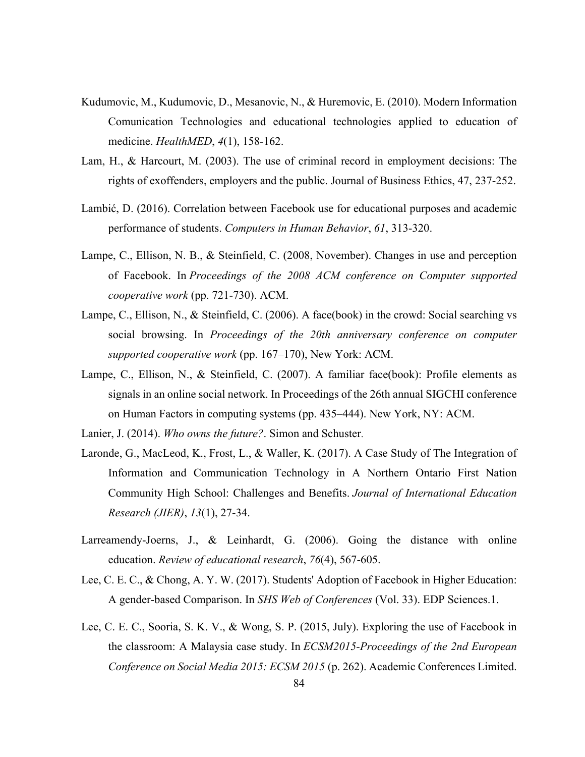- Kudumovic, M., Kudumovic, D., Mesanovic, N., & Huremovic, E. (2010). Modern Information Comunication Technologies and educational technologies applied to education of medicine. *HealthMED*, *4*(1), 158-162.
- Lam, H., & Harcourt, M. (2003). The use of criminal record in employment decisions: The rights of exoffenders, employers and the public. Journal of Business Ethics, 47, 237-252.
- Lambić, D. (2016). Correlation between Facebook use for educational purposes and academic performance of students. *Computers in Human Behavior*, *61*, 313-320.
- Lampe, C., Ellison, N. B., & Steinfield, C. (2008, November). Changes in use and perception of Facebook. In *Proceedings of the 2008 ACM conference on Computer supported cooperative work* (pp. 721-730). ACM.
- Lampe, C., Ellison, N., & Steinfield, C. (2006). A face(book) in the crowd: Social searching vs social browsing. In *Proceedings of the 20th anniversary conference on computer supported cooperative work* (pp. 167–170), New York: ACM.
- Lampe, C., Ellison, N., & Steinfield, C. (2007). A familiar face(book): Profile elements as signals in an online social network. In Proceedings of the 26th annual SIGCHI conference on Human Factors in computing systems (pp. 435–444). New York, NY: ACM.

Lanier, J. (2014). *Who owns the future?*. Simon and Schuster.

- Laronde, G., MacLeod, K., Frost, L., & Waller, K. (2017). A Case Study of The Integration of Information and Communication Technology in A Northern Ontario First Nation Community High School: Challenges and Benefits. *Journal of International Education Research (JIER)*, *13*(1), 27-34.
- Larreamendy-Joerns, J., & Leinhardt, G. (2006). Going the distance with online education. *Review of educational research*, *76*(4), 567-605.
- Lee, C. E. C., & Chong, A. Y. W. (2017). Students' Adoption of Facebook in Higher Education: A gender-based Comparison. In *SHS Web of Conferences* (Vol. 33). EDP Sciences.1.
- Lee, C. E. C., Sooria, S. K. V., & Wong, S. P. (2015, July). Exploring the use of Facebook in the classroom: A Malaysia case study. In *ECSM2015-Proceedings of the 2nd European Conference on Social Media 2015: ECSM 2015* (p. 262). Academic Conferences Limited.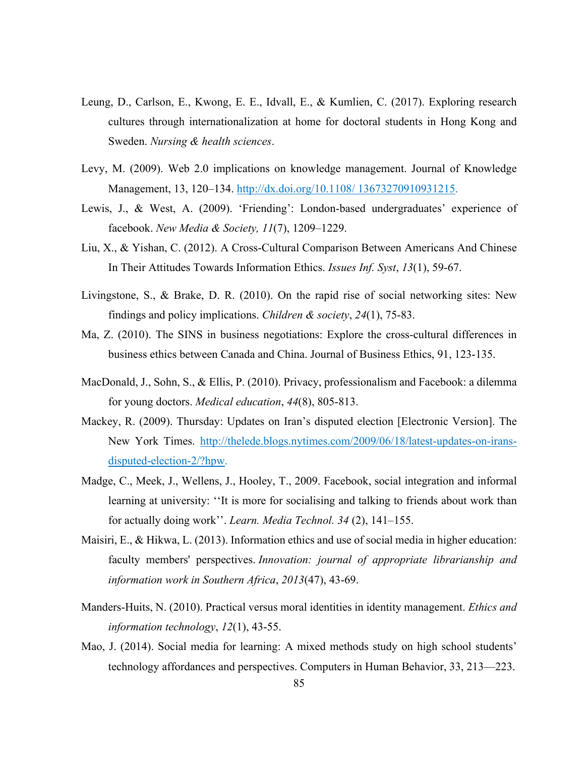- Leung, D., Carlson, E., Kwong, E. E., Idvall, E., & Kumlien, C. (2017). Exploring research cultures through internationalization at home for doctoral students in Hong Kong and Sweden. *Nursing & health sciences*.
- Levy, M. (2009). Web 2.0 implications on knowledge management. Journal of Knowledge Management, 13, 120–134. http://dx.doi.org/10.1108/ 13673270910931215.
- Lewis, J., & West, A. (2009). 'Friending': London-based undergraduates' experience of facebook. *New Media & Society, 11*(7), 1209–1229.
- Liu, X., & Yishan, C. (2012). A Cross-Cultural Comparison Between Americans And Chinese In Their Attitudes Towards Information Ethics. *Issues Inf. Syst*, *13*(1), 59-67.
- Livingstone, S., & Brake, D. R. (2010). On the rapid rise of social networking sites: New findings and policy implications. *Children & society*, *24*(1), 75-83.
- Ma, Z. (2010). The SINS in business negotiations: Explore the cross-cultural differences in business ethics between Canada and China. Journal of Business Ethics, 91, 123-135.
- MacDonald, J., Sohn, S., & Ellis, P. (2010). Privacy, professionalism and Facebook: a dilemma for young doctors. *Medical education*, *44*(8), 805-813.
- Mackey, R. (2009). Thursday: Updates on Iran's disputed election [Electronic Version]. The New York Times. http://thelede.blogs.nytimes.com/2009/06/18/latest-updates-on-iransdisputed-election-2/?hpw.
- Madge, C., Meek, J., Wellens, J., Hooley, T., 2009. Facebook, social integration and informal learning at university: ''It is more for socialising and talking to friends about work than for actually doing work''. *Learn. Media Technol. 34* (2), 141–155.
- Maisiri, E., & Hikwa, L. (2013). Information ethics and use of social media in higher education: faculty members' perspectives. *Innovation: journal of appropriate librarianship and information work in Southern Africa*, *2013*(47), 43-69.
- Manders-Huits, N. (2010). Practical versus moral identities in identity management. *Ethics and information technology*, *12*(1), 43-55.
- Mao, J. (2014). Social media for learning: A mixed methods study on high school students' technology affordances and perspectives. Computers in Human Behavior, 33, 213—223.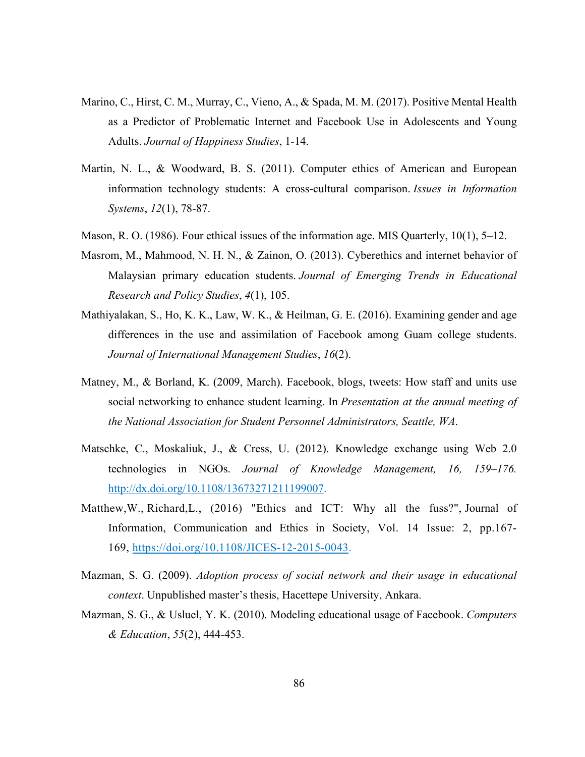- Marino, C., Hirst, C. M., Murray, C., Vieno, A., & Spada, M. M. (2017). Positive Mental Health as a Predictor of Problematic Internet and Facebook Use in Adolescents and Young Adults. *Journal of Happiness Studies*, 1-14.
- Martin, N. L., & Woodward, B. S. (2011). Computer ethics of American and European information technology students: A cross-cultural comparison. *Issues in Information Systems*, *12*(1), 78-87.
- Mason, R. O. (1986). Four ethical issues of the information age. MIS Quarterly, 10(1), 5–12.
- Masrom, M., Mahmood, N. H. N., & Zainon, O. (2013). Cyberethics and internet behavior of Malaysian primary education students. *Journal of Emerging Trends in Educational Research and Policy Studies*, *4*(1), 105.
- Mathiyalakan, S., Ho, K. K., Law, W. K., & Heilman, G. E. (2016). Examining gender and age differences in the use and assimilation of Facebook among Guam college students. *Journal of International Management Studies*, *16*(2).
- Matney, M., & Borland, K. (2009, March). Facebook, blogs, tweets: How staff and units use social networking to enhance student learning. In *Presentation at the annual meeting of the National Association for Student Personnel Administrators, Seattle, WA*.
- Matschke, C., Moskaliuk, J., & Cress, U. (2012). Knowledge exchange using Web 2.0 technologies in NGOs. *Journal of Knowledge Management, 16, 159–176.* http://dx.doi.org/10.1108/13673271211199007.
- [Matthew,W.,](http://www.emeraldinsight.com/author/Warren,+Matthew) [Richard,L.](http://www.emeraldinsight.com/author/Lucas,+Richard), (2016) "Ethics and ICT: Why all the fuss?", Journal of Information, Communication and Ethics in Society, Vol. 14 Issue: 2, pp.167- 169, <https://doi.org/10.1108/JICES-12-2015-0043>.
- Mazman, S. G. (2009). *Adoption process of social network and their usage in educational context*. Unpublished master's thesis, Hacettepe University, Ankara.
- Mazman, S. G., & Usluel, Y. K. (2010). Modeling educational usage of Facebook. *Computers & Education*, *55*(2), 444-453.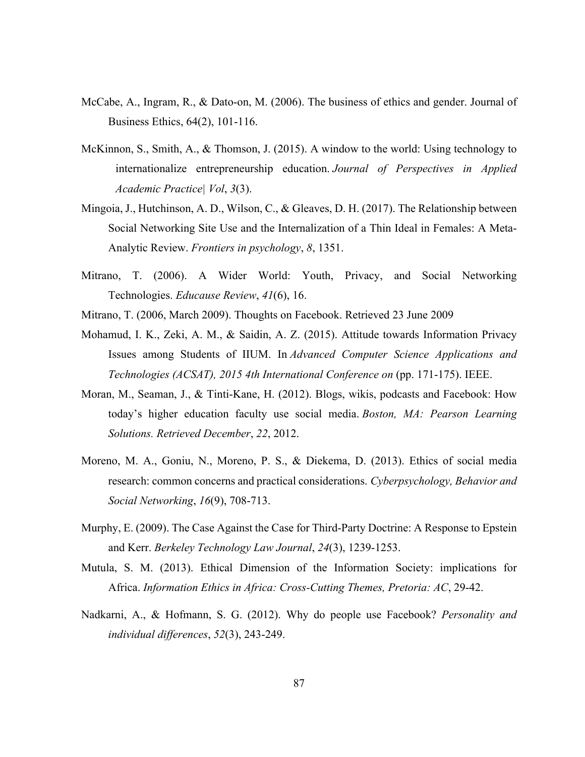- McCabe, A., Ingram, R., & Dato-on, M. (2006). The business of ethics and gender. Journal of Business Ethics, 64(2), 101-116.
- McKinnon, S., Smith, A., & Thomson, J. (2015). A window to the world: Using technology to internationalize entrepreneurship education. *Journal of Perspectives in Applied Academic Practice| Vol*, *3*(3).
- Mingoia, J., Hutchinson, A. D., Wilson, C., & Gleaves, D. H. (2017). The Relationship between Social Networking Site Use and the Internalization of a Thin Ideal in Females: A Meta-Analytic Review. *Frontiers in psychology*, *8*, 1351.
- Mitrano, T. (2006). A Wider World: Youth, Privacy, and Social Networking Technologies. *Educause Review*, *41*(6), 16.
- Mitrano, T. (2006, March 2009). Thoughts on Facebook. Retrieved 23 June 2009
- Mohamud, I. K., Zeki, A. M., & Saidin, A. Z. (2015). Attitude towards Information Privacy Issues among Students of IIUM. In *Advanced Computer Science Applications and Technologies (ACSAT), 2015 4th International Conference on* (pp. 171-175). IEEE.
- Moran, M., Seaman, J., & Tinti-Kane, H. (2012). Blogs, wikis, podcasts and Facebook: How today's higher education faculty use social media. *Boston, MA: Pearson Learning Solutions. Retrieved December*, *22*, 2012.
- Moreno, M. A., Goniu, N., Moreno, P. S., & Diekema, D. (2013). Ethics of social media research: common concerns and practical considerations. *Cyberpsychology, Behavior and Social Networking*, *16*(9), 708-713.
- Murphy, E. (2009). The Case Against the Case for Third-Party Doctrine: A Response to Epstein and Kerr. *Berkeley Technology Law Journal*, *24*(3), 1239-1253.
- Mutula, S. M. (2013). Ethical Dimension of the Information Society: implications for Africa. *Information Ethics in Africa: Cross-Cutting Themes, Pretoria: AC*, 29-42.
- Nadkarni, A., & Hofmann, S. G. (2012). Why do people use Facebook? *Personality and individual differences*, *52*(3), 243-249.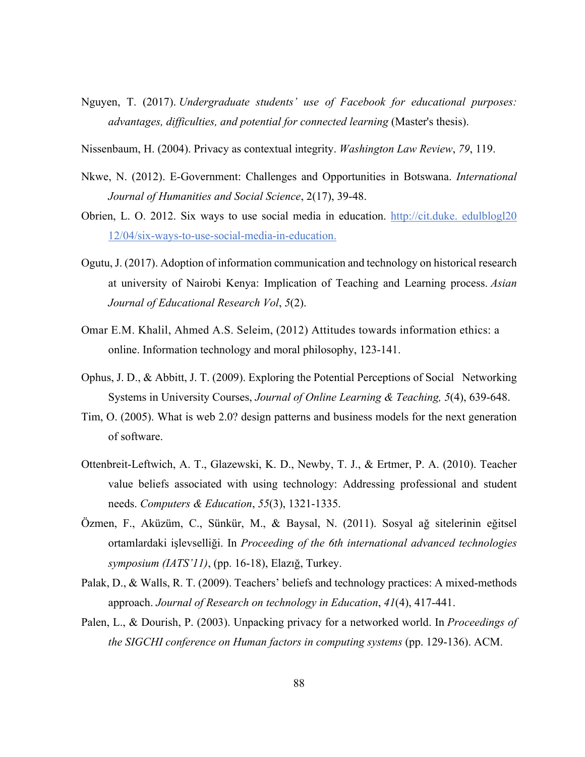- Nguyen, T. (2017). *Undergraduate students' use of Facebook for educational purposes: advantages, difficulties, and potential for connected learning* (Master's thesis).
- Nissenbaum, H. (2004). Privacy as contextual integrity. *Washington Law Review*, *79*, 119.
- Nkwe, N. (2012). E-Government: Challenges and Opportunities in Botswana. *International Journal of Humanities and Social Science*, 2(17), 39-48.
- Obrien, L. O. 2012. Six ways to use social media in education. http://cit.duke. edulblogl20 12/04/six-ways-to-use-social-media-in-education.
- Ogutu, J. (2017). Adoption of information communication and technology on historical research at university of Nairobi Kenya: Implication of Teaching and Learning process. *Asian Journal of Educational Research Vol*, *5*(2).
- O[mar E.M. Khalil](http://www.emeraldinsight.com/author/Khalil,+Omar+EM), [Ahmed A.S. Seleim,](http://www.emeraldinsight.com/author/Seleim,+Ahmed+AS) (2012) Attitudes towards information ethics: a online. Information technology and moral philosophy, 123-141.
- Ophus, J. D., & Abbitt, J. T. (2009). Exploring the Potential Perceptions of Social Networking Systems in University Courses, *Journal of Online Learning & Teaching, 5*(4), 639-648.
- Tim, O. (2005). What is web 2.0? design patterns and business models for the next generation of software.
- Ottenbreit-Leftwich, A. T., Glazewski, K. D., Newby, T. J., & Ertmer, P. A. (2010). Teacher value beliefs associated with using technology: Addressing professional and student needs. *Computers & Education*, *55*(3), 1321-1335.
- Özmen, F., Aküzüm, C., Sünkür, M., & Baysal, N. (2011). Sosyal ağ sitelerinin eğitsel ortamlardaki işlevselliği. In *Proceeding of the 6th international advanced technologies symposium (IATS'11)*, (pp. 16-18), Elazığ, Turkey.
- Palak, D., & Walls, R. T. (2009). Teachers' beliefs and technology practices: A mixed-methods approach. *Journal of Research on technology in Education*, *41*(4), 417-441.
- Palen, L., & Dourish, P. (2003). Unpacking privacy for a networked world. In *Proceedings of the SIGCHI conference on Human factors in computing systems* (pp. 129-136). ACM.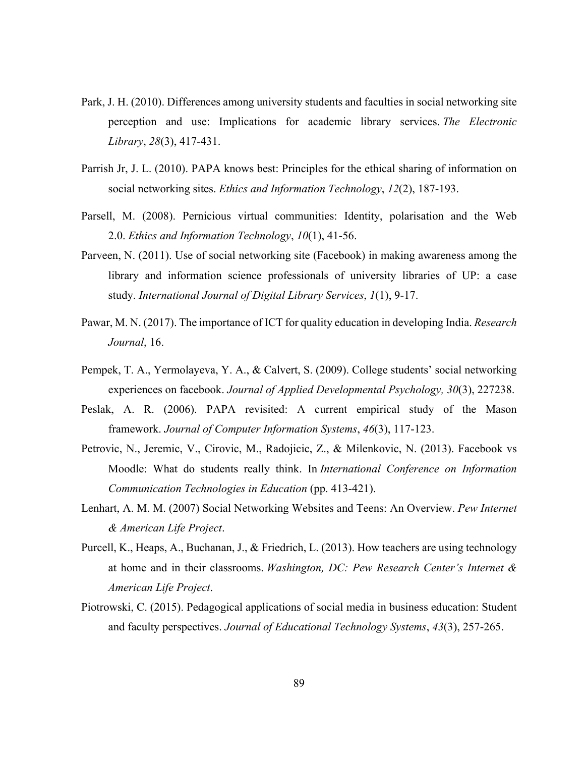- Park, J. H. (2010). Differences among university students and faculties in social networking site perception and use: Implications for academic library services. *The Electronic Library*, *28*(3), 417-431.
- Parrish Jr, J. L. (2010). PAPA knows best: Principles for the ethical sharing of information on social networking sites. *Ethics and Information Technology*, *12*(2), 187-193.
- Parsell, M. (2008). Pernicious virtual communities: Identity, polarisation and the Web 2.0. *Ethics and Information Technology*, *10*(1), 41-56.
- Parveen, N. (2011). Use of social networking site (Facebook) in making awareness among the library and information science professionals of university libraries of UP: a case study. *International Journal of Digital Library Services*, *1*(1), 9-17.
- Pawar, M. N. (2017). The importance of ICT for quality education in developing India. *Research Journal*, 16.
- Pempek, T. A., Yermolayeva, Y. A., & Calvert, S. (2009). College students' social networking experiences on facebook. *Journal of Applied Developmental Psychology, 30*(3), 227238.
- Peslak, A. R. (2006). PAPA revisited: A current empirical study of the Mason framework. *Journal of Computer Information Systems*, *46*(3), 117-123.
- Petrovic, N., Jeremic, V., Cirovic, M., Radojicic, Z., & Milenkovic, N. (2013). Facebook vs Moodle: What do students really think. In *International Conference on Information Communication Technologies in Education* (pp. 413-421).
- Lenhart, A. M. M. (2007) Social Networking Websites and Teens: An Overview. *Pew Internet & American Life Project*.
- Purcell, K., Heaps, A., Buchanan, J., & Friedrich, L. (2013). How teachers are using technology at home and in their classrooms. *Washington, DC: Pew Research Center's Internet & American Life Project*.
- Piotrowski, C. (2015). Pedagogical applications of social media in business education: Student and faculty perspectives. *Journal of Educational Technology Systems*, *43*(3), 257-265.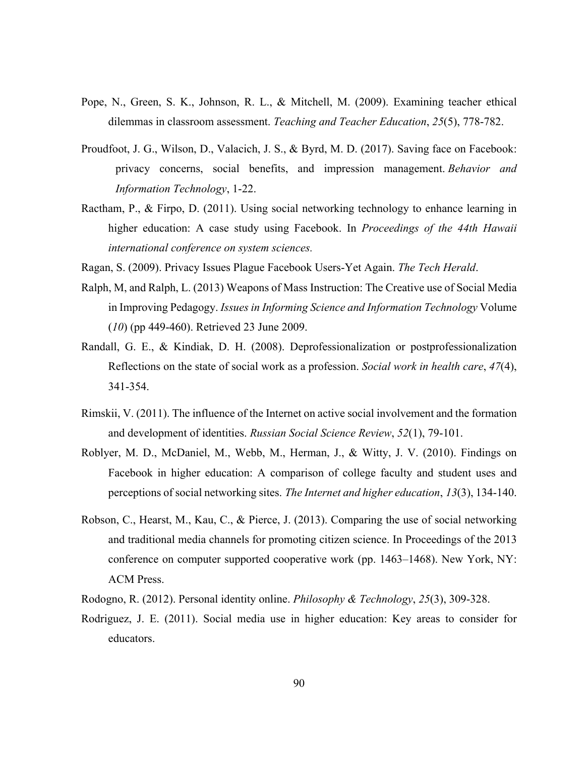- Pope, N., Green, S. K., Johnson, R. L., & Mitchell, M. (2009). Examining teacher ethical dilemmas in classroom assessment. *Teaching and Teacher Education*, *25*(5), 778-782.
- Proudfoot, J. G., Wilson, D., Valacich, J. S., & Byrd, M. D. (2017). Saving face on Facebook: privacy concerns, social benefits, and impression management. *Behavior and Information Technology*, 1-22.
- Ractham, P., & Firpo, D. (2011). Using social networking technology to enhance learning in higher education: A case study using Facebook. In *Proceedings of the 44th Hawaii international conference on system sciences.*
- Ragan, S. (2009). Privacy Issues Plague Facebook Users-Yet Again. *The Tech Herald*.
- Ralph, M, and Ralph, L. (2013) Weapons of Mass Instruction: The Creative use of Social Media in Improving Pedagogy. *Issues in Informing Science and Information Technology* Volume (*10*) (pp 449-460). Retrieved 23 June 2009.
- Randall, G. E., & Kindiak, D. H. (2008). Deprofessionalization or postprofessionalization Reflections on the state of social work as a profession. *Social work in health care*, *47*(4), 341-354.
- Rimskii, V. (2011). The influence of the Internet on active social involvement and the formation and development of identities. *Russian Social Science Review*, *52*(1), 79-101.
- Roblyer, M. D., McDaniel, M., Webb, M., Herman, J., & Witty, J. V. (2010). Findings on Facebook in higher education: A comparison of college faculty and student uses and perceptions of social networking sites. *The Internet and higher education*, *13*(3), 134-140.
- Robson, C., Hearst, M., Kau, C., & Pierce, J. (2013). Comparing the use of social networking and traditional media channels for promoting citizen science. In Proceedings of the 2013 conference on computer supported cooperative work (pp. 1463–1468). New York, NY: ACM Press.
- Rodogno, R. (2012). Personal identity online. *Philosophy & Technology*, *25*(3), 309-328.
- Rodriguez, J. E. (2011). Social media use in higher education: Key areas to consider for educators.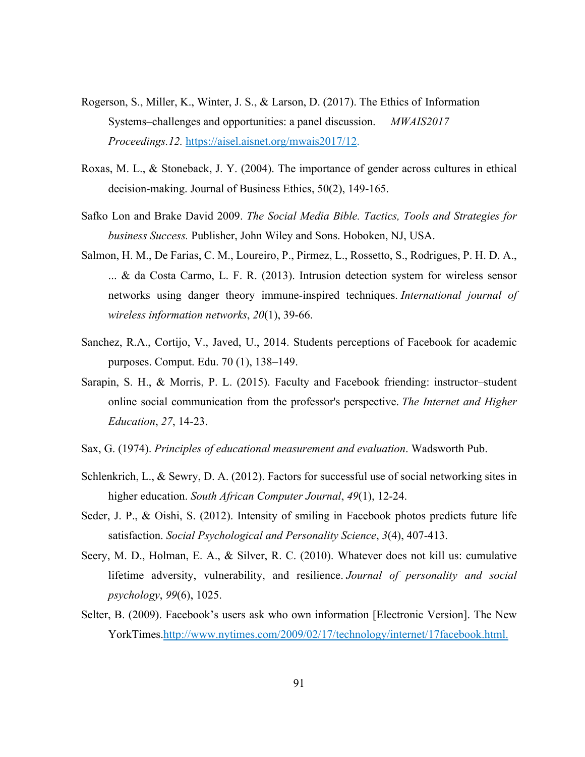- Rogerson, S., Miller, K., Winter, J. S., & Larson, D. (2017). The Ethics of Information Systems–challenges and opportunities: a panel discussion. *MWAIS2017 Proceedings.12.* https://aisel.aisnet.org/mwais2017/12.
- Roxas, M. L., & Stoneback, J. Y. (2004). The importance of gender across cultures in ethical decision-making. Journal of Business Ethics, 50(2), 149-165.
- Safko Lon and Brake David 2009. *The Social Media Bible. Tactics, Tools and Strategies for business Success.* Publisher, John Wiley and Sons. Hoboken, NJ, USA.
- Salmon, H. M., De Farias, C. M., Loureiro, P., Pirmez, L., Rossetto, S., Rodrigues, P. H. D. A., ... & da Costa Carmo, L. F. R. (2013). Intrusion detection system for wireless sensor networks using danger theory immune-inspired techniques. *International journal of wireless information networks*, *20*(1), 39-66.
- Sanchez, R.A., Cortijo, V., Javed, U., 2014. Students perceptions of Facebook for academic purposes. Comput. Edu. 70 (1), 138–149.
- Sarapin, S. H., & Morris, P. L. (2015). Faculty and Facebook friending: instructor–student online social communication from the professor's perspective. *The Internet and Higher Education*, *27*, 14-23.
- Sax, G. (1974). *Principles of educational measurement and evaluation*. Wadsworth Pub.
- Schlenkrich, L., & Sewry, D. A. (2012). Factors for successful use of social networking sites in higher education. *South African Computer Journal*, *49*(1), 12-24.
- Seder, J. P., & Oishi, S. (2012). Intensity of smiling in Facebook photos predicts future life satisfaction. *Social Psychological and Personality Science*, *3*(4), 407-413.
- Seery, M. D., Holman, E. A., & Silver, R. C. (2010). Whatever does not kill us: cumulative lifetime adversity, vulnerability, and resilience. *Journal of personality and social psychology*, *99*(6), 1025.
- Selter, B. (2009). Facebook's users ask who own information [Electronic Version]. The New YorkTimes.http://www.nytimes.com/2009/02/17/technology/internet/17facebook.html.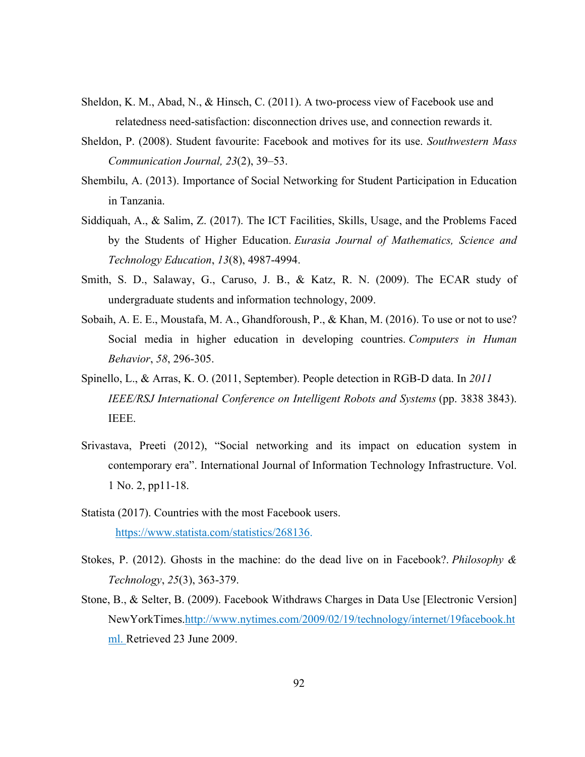- Sheldon, K. M., Abad, N., & Hinsch, C. (2011). A two-process view of Facebook use and relatedness need-satisfaction: disconnection drives use, and connection rewards it.
- Sheldon, P. (2008). Student favourite: Facebook and motives for its use. *Southwestern Mass Communication Journal, 23*(2), 39–53.
- Shembilu, A. (2013). Importance of Social Networking for Student Participation in Education in Tanzania.
- Siddiquah, A., & Salim, Z. (2017). The ICT Facilities, Skills, Usage, and the Problems Faced by the Students of Higher Education. *Eurasia Journal of Mathematics, Science and Technology Education*, *13*(8), 4987-4994.
- Smith, S. D., Salaway, G., Caruso, J. B., & Katz, R. N. (2009). The ECAR study of undergraduate students and information technology, 2009.
- Sobaih, A. E. E., Moustafa, M. A., Ghandforoush, P., & Khan, M. (2016). To use or not to use? Social media in higher education in developing countries. *Computers in Human Behavior*, *58*, 296-305.
- Spinello, L., & Arras, K. O. (2011, September). People detection in RGB-D data. In *2011 IEEE/RSJ International Conference on Intelligent Robots and Systems* (pp. 3838 3843). IEEE.
- Srivastava, Preeti (2012), "Social networking and its impact on education system in contemporary era". International Journal of Information Technology Infrastructure. Vol. 1 No. 2, pp11-18.
- Statista (2017). Countries with the most Facebook users. https://www.statista.com/statistics/268136.
- Stokes, P. (2012). Ghosts in the machine: do the dead live on in Facebook?. *Philosophy & Technology*, *25*(3), 363-379.
- Stone, B., & Selter, B. (2009). Facebook Withdraws Charges in Data Use [Electronic Version] NewYorkTimes.http://www.nytimes.com/2009/02/19/technology/internet/19facebook.ht ml. Retrieved 23 June 2009.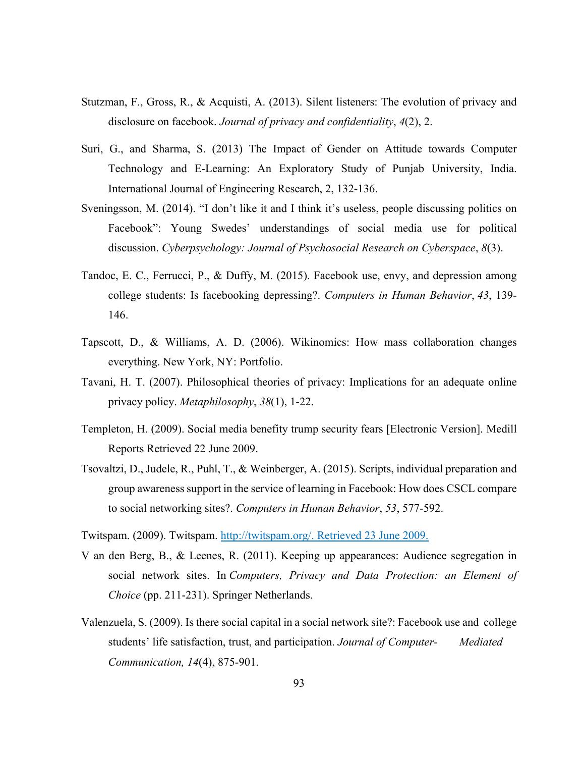- Stutzman, F., Gross, R., & Acquisti, A. (2013). Silent listeners: The evolution of privacy and disclosure on facebook. *Journal of privacy and confidentiality*, *4*(2), 2.
- Suri, G., and Sharma, S. (2013) The Impact of Gender on Attitude towards Computer Technology and E-Learning: An Exploratory Study of Punjab University, India. International Journal of Engineering Research, 2, 132-136.
- Sveningsson, M. (2014). "I don't like it and I think it's useless, people discussing politics on Facebook": Young Swedes' understandings of social media use for political discussion. *Cyberpsychology: Journal of Psychosocial Research on Cyberspace*, *8*(3).
- Tandoc, E. C., Ferrucci, P., & Duffy, M. (2015). Facebook use, envy, and depression among college students: Is facebooking depressing?. *Computers in Human Behavior*, *43*, 139- 146.
- Tapscott, D., & Williams, A. D. (2006). Wikinomics: How mass collaboration changes everything. New York, NY: Portfolio.
- Tavani, H. T. (2007). Philosophical theories of privacy: Implications for an adequate online privacy policy. *Metaphilosophy*, *38*(1), 1-22.
- Templeton, H. (2009). Social media benefity trump security fears [Electronic Version]. Medill Reports Retrieved 22 June 2009.
- Tsovaltzi, D., Judele, R., Puhl, T., & Weinberger, A. (2015). Scripts, individual preparation and group awareness support in the service of learning in Facebook: How does CSCL compare to social networking sites?. *Computers in Human Behavior*, *53*, 577-592.

Twitspam. (2009). Twitspam. http://twitspam.org/. Retrieved 23 June 2009.

- V an den Berg, B., & Leenes, R. (2011). Keeping up appearances: Audience segregation in social network sites. In *Computers, Privacy and Data Protection: an Element of Choice* (pp. 211-231). Springer Netherlands.
- Valenzuela, S. (2009). Is there social capital in a social network site?: Facebook use and college students' life satisfaction, trust, and participation. *Journal of Computer- Mediated Communication, 14*(4), 875-901.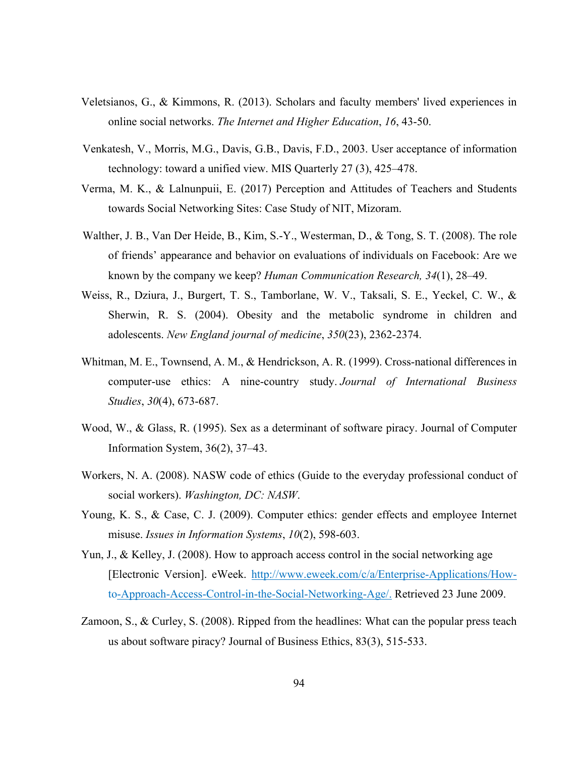- Veletsianos, G., & Kimmons, R. (2013). Scholars and faculty members' lived experiences in online social networks. *The Internet and Higher Education*, *16*, 43-50.
- Venkatesh, V., Morris, M.G., Davis, G.B., Davis, F.D., 2003. User acceptance of information technology: toward a unified view. MIS Quarterly 27 (3), 425–478.
- Verma, M. K., & Lalnunpuii, E. (2017) Perception and Attitudes of Teachers and Students towards Social Networking Sites: Case Study of NIT, Mizoram.
- Walther, J. B., Van Der Heide, B., Kim, S.-Y., Westerman, D., & Tong, S. T. (2008). The role of friends' appearance and behavior on evaluations of individuals on Facebook: Are we known by the company we keep? *Human Communication Research, 34*(1), 28–49.
- Weiss, R., Dziura, J., Burgert, T. S., Tamborlane, W. V., Taksali, S. E., Yeckel, C. W., & Sherwin, R. S. (2004). Obesity and the metabolic syndrome in children and adolescents. *New England journal of medicine*, *350*(23), 2362-2374.
- Whitman, M. E., Townsend, A. M., & Hendrickson, A. R. (1999). Cross-national differences in computer-use ethics: A nine-country study. *Journal of International Business Studies*, *30*(4), 673-687.
- Wood, W., & Glass, R. (1995). Sex as a determinant of software piracy. Journal of Computer Information System, 36(2), 37–43.
- Workers, N. A. (2008). NASW code of ethics (Guide to the everyday professional conduct of social workers). *Washington, DC: NASW*.
- Young, K. S., & Case, C. J. (2009). Computer ethics: gender effects and employee Internet misuse. *Issues in Information Systems*, *10*(2), 598-603.
- Yun, J., & Kelley, J. (2008). How to approach access control in the social networking age [Electronic Version]. eWeek. [http://www.eweek.com/c/a/Enterprise-Applications/How](http://www.eweek.com/c/a/Enterprise-Applications/How-)to-Approach-Access-Control-in-the-Social-Networking-Age/. Retrieved 23 June 2009.
- Zamoon, S., & Curley, S. (2008). Ripped from the headlines: What can the popular press teach us about software piracy? Journal of Business Ethics, 83(3), 515-533.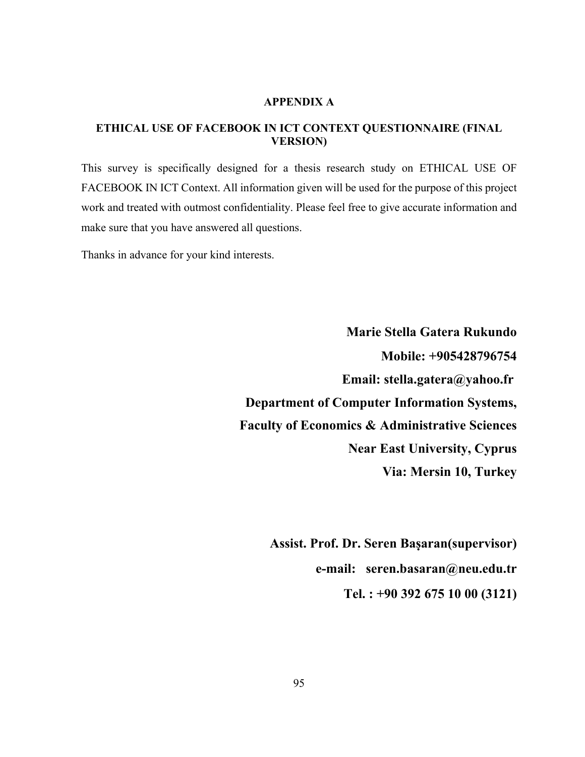#### **APPENDIX A**

#### **ETHICAL USE OF FACEBOOK IN ICT CONTEXT QUESTIONNAIRE (FINAL VERSION)**

This survey is specifically designed for a thesis research study on ETHICAL USE OF FACEBOOK IN ICT Context. All information given will be used for the purpose of this project work and treated with outmost confidentiality. Please feel free to give accurate information and make sure that you have answered all questions.

Thanks in advance for your kind interests.

 **Marie Stella Gatera Rukundo Mobile: +905428796754 Email: stella.gatera@yahoo.fr Department of Computer Information Systems, Faculty of Economics & Administrative Sciences Near East University, Cyprus Via: Mersin 10, Turkey**

> **Assist. Prof. Dr. Seren Baṣaran(supervisor) e-mail: seren.basaran@neu.edu.tr Tel. : +90 392 675 10 00 (3121)**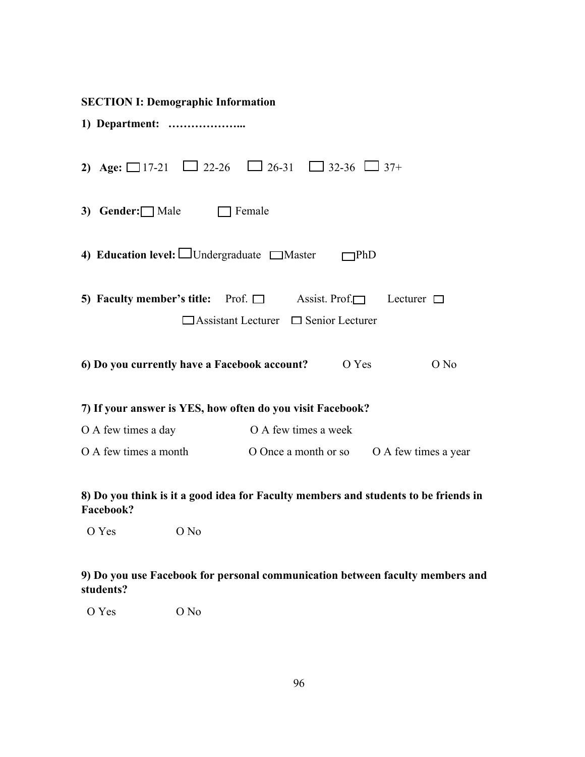|--|--|

| 2) |                        | Age: $\Box$ 17-21 $\Box$ 22-26 $\Box$ 26-31 $\Box$ 32-36 $\Box$ 37+                                                              |                      |                      |
|----|------------------------|----------------------------------------------------------------------------------------------------------------------------------|----------------------|----------------------|
|    | 3) Gender: $\Box$ Male | Female                                                                                                                           |                      |                      |
|    |                        | 4) Education level: $\Box$ Undergraduate $\Box$ Master                                                                           | $\neg$ PhD           |                      |
|    |                        | 5) Faculty member's title: Prof. $\Box$ Assist. Prof. $\Box$ Lecturer $\Box$<br>$\Box$ Assistant Lecturer $\Box$ Senior Lecturer |                      |                      |
|    |                        | 6) Do you currently have a Facebook account?                                                                                     | O Yes                | O No                 |
|    |                        | 7) If your answer is YES, how often do you visit Facebook?                                                                       |                      |                      |
|    | O A few times a day    | O A few times a week                                                                                                             |                      |                      |
|    | O A few times a month  |                                                                                                                                  | O Once a month or so | O A few times a year |

## **8) Do you think is it a good idea for Faculty members and students to be friends in Facebook?**

O Yes O No

## **9) Do you use Facebook for personal communication between faculty members and students?**

O Yes O No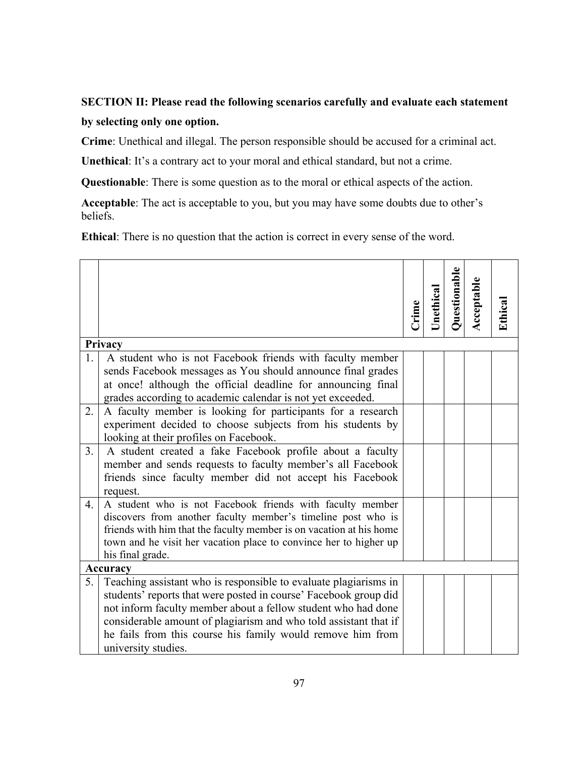# **SECTION II: Please read the following scenarios carefully and evaluate each statement by selecting only one option.**

**Crime**: Unethical and illegal. The person responsible should be accused for a criminal act.

**Unethical**: It's a contrary act to your moral and ethical standard, but not a crime.

**Questionable**: There is some question as to the moral or ethical aspects of the action.

**Acceptable**: The act is acceptable to you, but you may have some doubts due to other's beliefs.

**Ethical**: There is no question that the action is correct in every sense of the word.

|                  |                                                                                                                                                                                                                                                                                                                                                                | Crime | Unethical | Questionable | Acceptable | Ethical |
|------------------|----------------------------------------------------------------------------------------------------------------------------------------------------------------------------------------------------------------------------------------------------------------------------------------------------------------------------------------------------------------|-------|-----------|--------------|------------|---------|
|                  | Privacy                                                                                                                                                                                                                                                                                                                                                        |       |           |              |            |         |
| 1.               | A student who is not Facebook friends with faculty member<br>sends Facebook messages as You should announce final grades<br>at once! although the official deadline for announcing final<br>grades according to academic calendar is not yet exceeded.                                                                                                         |       |           |              |            |         |
| 2.               | A faculty member is looking for participants for a research<br>experiment decided to choose subjects from his students by<br>looking at their profiles on Facebook.                                                                                                                                                                                            |       |           |              |            |         |
| 3 <sub>1</sub>   | A student created a fake Facebook profile about a faculty<br>member and sends requests to faculty member's all Facebook<br>friends since faculty member did not accept his Facebook<br>request.                                                                                                                                                                |       |           |              |            |         |
| $\overline{4}$ . | A student who is not Facebook friends with faculty member<br>discovers from another faculty member's timeline post who is<br>friends with him that the faculty member is on vacation at his home<br>town and he visit her vacation place to convince her to higher up<br>his final grade.                                                                      |       |           |              |            |         |
|                  | <b>Accuracy</b>                                                                                                                                                                                                                                                                                                                                                |       |           |              |            |         |
| 5.               | Teaching assistant who is responsible to evaluate plagiarisms in<br>students' reports that were posted in course' Facebook group did<br>not inform faculty member about a fellow student who had done<br>considerable amount of plagiarism and who told assistant that if<br>he fails from this course his family would remove him from<br>university studies. |       |           |              |            |         |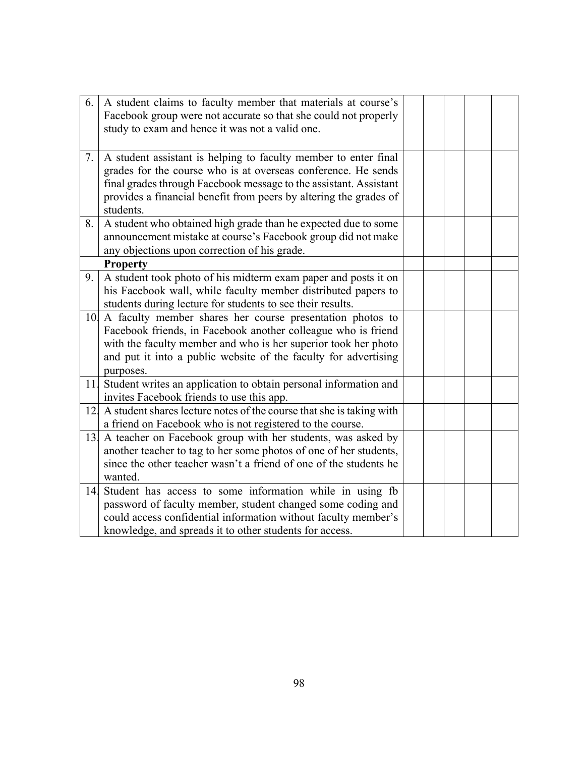| 6. | A student claims to faculty member that materials at course's<br>Facebook group were not accurate so that she could not properly<br>study to exam and hence it was not a valid one.                                                                                                     |  |  |  |
|----|-----------------------------------------------------------------------------------------------------------------------------------------------------------------------------------------------------------------------------------------------------------------------------------------|--|--|--|
| 7. | A student assistant is helping to faculty member to enter final<br>grades for the course who is at overseas conference. He sends<br>final grades through Facebook message to the assistant. Assistant<br>provides a financial benefit from peers by altering the grades of<br>students. |  |  |  |
| 8. | A student who obtained high grade than he expected due to some<br>announcement mistake at course's Facebook group did not make<br>any objections upon correction of his grade.                                                                                                          |  |  |  |
|    | <b>Property</b>                                                                                                                                                                                                                                                                         |  |  |  |
| 9. | A student took photo of his midterm exam paper and posts it on<br>his Facebook wall, while faculty member distributed papers to<br>students during lecture for students to see their results.                                                                                           |  |  |  |
|    | 10. A faculty member shares her course presentation photos to<br>Facebook friends, in Facebook another colleague who is friend<br>with the faculty member and who is her superior took her photo<br>and put it into a public website of the faculty for advertising<br>purposes.        |  |  |  |
|    | 11. Student writes an application to obtain personal information and<br>invites Facebook friends to use this app.                                                                                                                                                                       |  |  |  |
|    | 12. A student shares lecture notes of the course that she is taking with<br>a friend on Facebook who is not registered to the course.                                                                                                                                                   |  |  |  |
|    | 13. A teacher on Facebook group with her students, was asked by<br>another teacher to tag to her some photos of one of her students,<br>since the other teacher wasn't a friend of one of the students he<br>wanted.                                                                    |  |  |  |
| 14 | Student has access to some information while in using fb<br>password of faculty member, student changed some coding and<br>could access confidential information without faculty member's<br>knowledge, and spreads it to other students for access.                                    |  |  |  |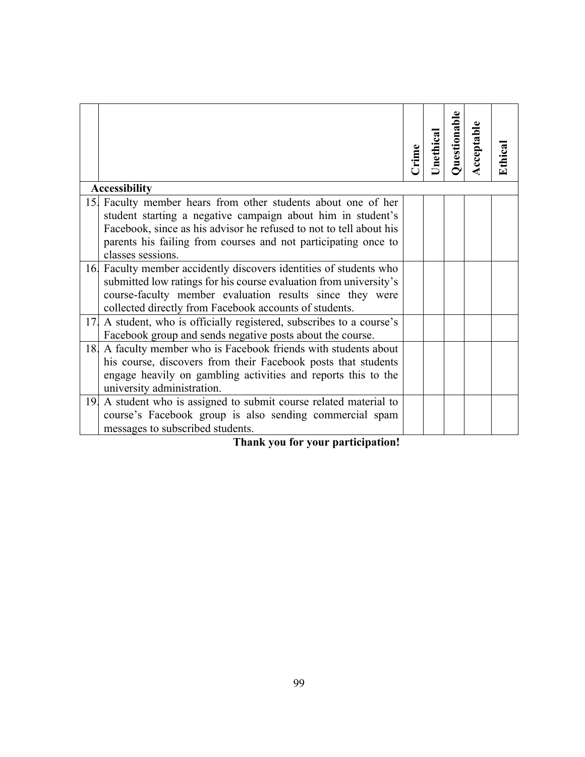|                                                                                                                                      | Crime | Jnethical | Questionable | Acceptable | Ethical |
|--------------------------------------------------------------------------------------------------------------------------------------|-------|-----------|--------------|------------|---------|
| <b>Accessibility</b>                                                                                                                 |       |           |              |            |         |
| 15. Faculty member hears from other students about one of her                                                                        |       |           |              |            |         |
| student starting a negative campaign about him in student's                                                                          |       |           |              |            |         |
| Facebook, since as his advisor he refused to not to tell about his<br>parents his failing from courses and not participating once to |       |           |              |            |         |
| classes sessions.                                                                                                                    |       |           |              |            |         |
| 16. Faculty member accidently discovers identities of students who                                                                   |       |           |              |            |         |
| submitted low ratings for his course evaluation from university's                                                                    |       |           |              |            |         |
| course-faculty member evaluation results since they were                                                                             |       |           |              |            |         |
| collected directly from Facebook accounts of students.                                                                               |       |           |              |            |         |
| A student, who is officially registered, subscribes to a course's<br>17.                                                             |       |           |              |            |         |
| Facebook group and sends negative posts about the course.                                                                            |       |           |              |            |         |
| A faculty member who is Facebook friends with students about<br>18.                                                                  |       |           |              |            |         |
| his course, discovers from their Facebook posts that students                                                                        |       |           |              |            |         |
| engage heavily on gambling activities and reports this to the                                                                        |       |           |              |            |         |
| university administration.                                                                                                           |       |           |              |            |         |
| 19 A student who is assigned to submit course related material to                                                                    |       |           |              |            |         |
| course's Facebook group is also sending commercial spam                                                                              |       |           |              |            |         |
| messages to subscribed students.<br>.                                                                                                |       |           |              |            |         |

 **Thank you for your participation!**